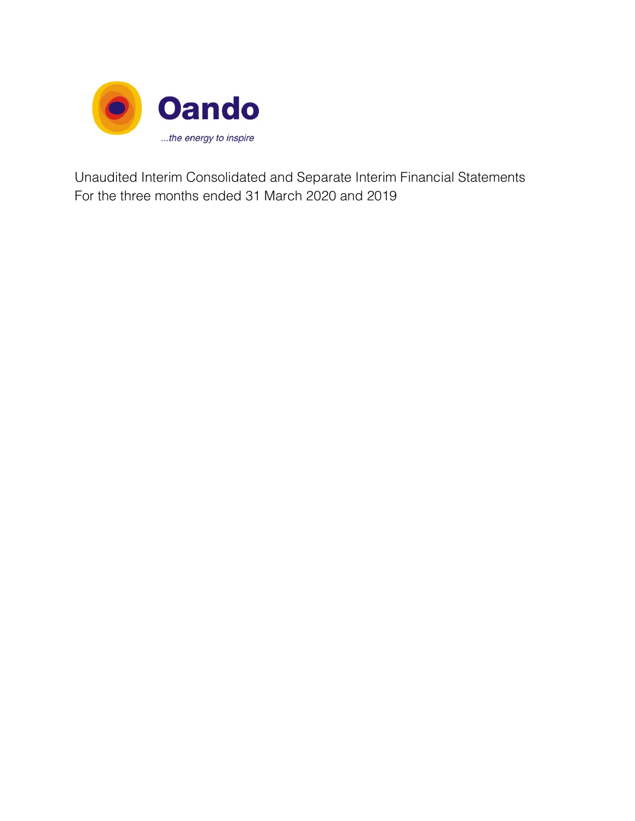

Unaudited Interim Consolidated and Separate Interim Financial Statements For the three months ended 31 March 2020 and 2019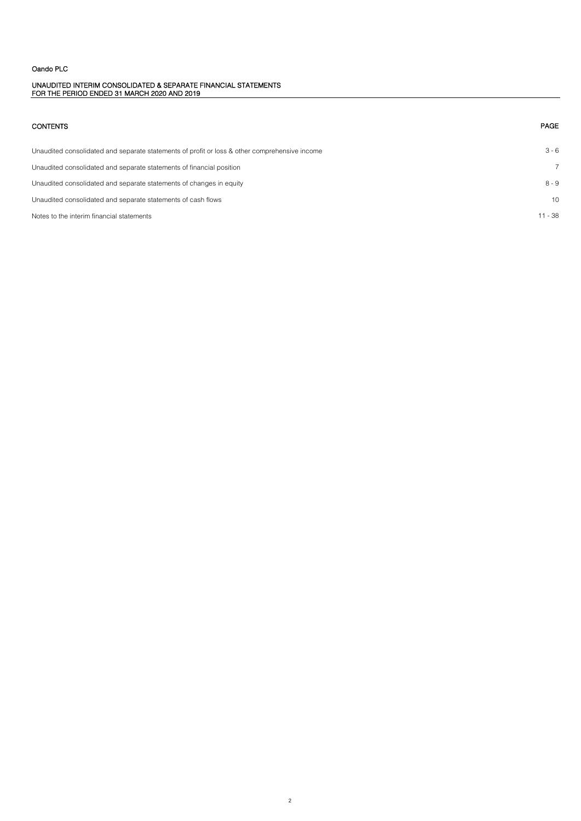# Oando PLC

# UNAUDITED INTERIM CONSOLIDATED & SEPARATE FINANCIAL STATEMENTS FOR THE PERIOD ENDED 31 MARCH 2020 AND 2019

| <b>CONTENTS</b>                                                                               | <b>PAGE</b>    |
|-----------------------------------------------------------------------------------------------|----------------|
| Unaudited consolidated and separate statements of profit or loss & other comprehensive income | $3 - 6$        |
| Unaudited consolidated and separate statements of financial position                          | $\overline{7}$ |
| Unaudited consolidated and separate statements of changes in equity                           | $8 - 9$        |
| Unaudited consolidated and separate statements of cash flows                                  | 10             |
| Notes to the interim financial statements                                                     | $11 - 38$      |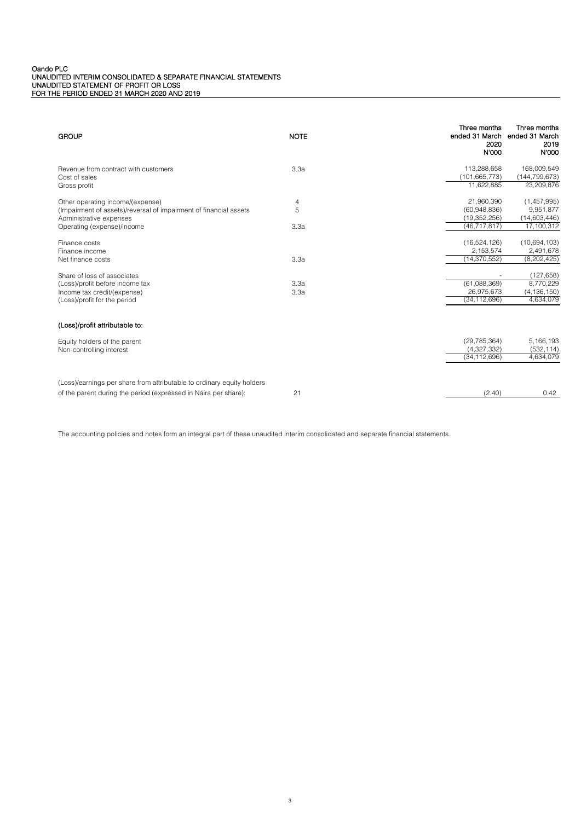# Oando PLC UNAUDITED INTERIM CONSOLIDATED & SEPARATE FINANCIAL STATEMENTS UNAUDITED STATEMENT OF PROFIT OR LOSS FOR THE PERIOD ENDED 31 MARCH 2020 AND 2019

| <b>GROUP</b>                                                           | <b>NOTE</b>    | Three months<br>2020<br>N'000 | Three months<br>ended 31 March ended 31 March<br>2019<br>N'000 |
|------------------------------------------------------------------------|----------------|-------------------------------|----------------------------------------------------------------|
| Revenue from contract with customers                                   | 3.3a           | 113,288,658                   | 168,009,549                                                    |
| Cost of sales                                                          |                | (101, 665, 773)               | (144, 799, 673)                                                |
| Gross profit                                                           |                | 11.622.885                    | 23,209,876                                                     |
| Other operating income/(expense)                                       | $\overline{4}$ | 21,960,390                    | (1,457,995)                                                    |
| (Impairment of assets)/reversal of impairment of financial assets      | 5              | (60,948,836)                  | 9,951,877                                                      |
| Administrative expenses                                                |                | (19, 352, 256)                | (14,603,446)                                                   |
| Operating (expense)/income                                             | 3.3a           | (46, 717, 817)                | 17,100,312                                                     |
| Finance costs                                                          |                | (16,524,126)                  | (10,694,103)                                                   |
| Finance income                                                         |                | 2,153,574                     | 2,491,678                                                      |
| Net finance costs                                                      | 3.3a           | (14, 370, 552)                | (8, 202, 425)                                                  |
| Share of loss of associates                                            |                |                               | (127, 658)                                                     |
| (Loss)/profit before income tax                                        | 3.3a           | (61,088,369)                  | 8,770,229                                                      |
| Income tax credit/(expense)                                            | 3.3a           | 26,975,673                    | (4, 136, 150)                                                  |
| (Loss)/profit for the period                                           |                | (34, 112, 696)                | 4,634,079                                                      |
| (Loss)/profit attributable to:                                         |                |                               |                                                                |
| Equity holders of the parent                                           |                | (29, 785, 364)                | 5,166,193                                                      |
| Non-controlling interest                                               |                | (4,327,332)                   | (532, 114)                                                     |
|                                                                        |                | (34, 112, 696)                | 4,634,079                                                      |
| (Loss)/earnings per share from attributable to ordinary equity holders |                |                               |                                                                |
| of the parent during the period (expressed in Naira per share):        | 21             | (2.40)                        | 0.42                                                           |
|                                                                        |                |                               |                                                                |

The accounting policies and notes form an integral part of these unaudited interim consolidated and separate financial statements.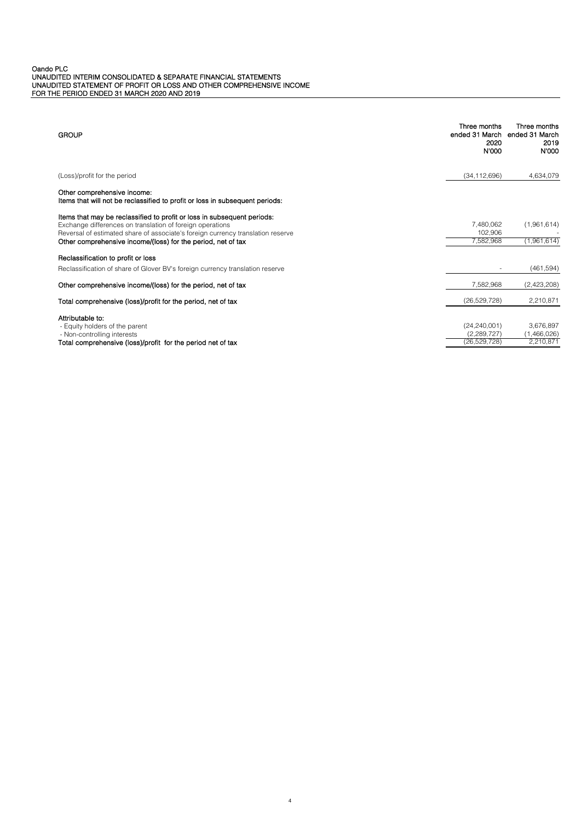# Oando PLC UNAUDITED INTERIM CONSOLIDATED & SEPARATE FINANCIAL STATEMENTS UNAUDITED STATEMENT OF PROFIT OR LOSS AND OTHER COMPREHENSIVE INCOME FOR THE PERIOD ENDED 31 MARCH 2020 AND 2019

| <b>GROUP</b>                                                                                                                                                                                                                                                                            | Three months<br>ended 31 March<br>2020<br>N'000 | Three months<br>ended 31 March<br>2019<br>N'000 |
|-----------------------------------------------------------------------------------------------------------------------------------------------------------------------------------------------------------------------------------------------------------------------------------------|-------------------------------------------------|-------------------------------------------------|
| (Loss)/profit for the period                                                                                                                                                                                                                                                            | (34, 112, 696)                                  | 4,634,079                                       |
| Other comprehensive income:<br>Items that will not be reclassified to profit or loss in subsequent periods:                                                                                                                                                                             |                                                 |                                                 |
| Items that may be reclassified to profit or loss in subsequent periods:<br>Exchange differences on translation of foreign operations<br>Reversal of estimated share of associate's foreign currency translation reserve<br>Other comprehensive income/(loss) for the period, net of tax | 7.480.062<br>102.906<br>7,582,968               | (1,961,614)<br>(1,961,614)                      |
| Reclassification to profit or loss<br>Reclassification of share of Glover BV's foreign currency translation reserve                                                                                                                                                                     |                                                 | (461, 594)                                      |
| Other comprehensive income/(loss) for the period, net of tax                                                                                                                                                                                                                            | 7,582,968                                       | (2,423,208)                                     |
| Total comprehensive (loss)/profit for the period, net of tax                                                                                                                                                                                                                            | (26, 529, 728)                                  | 2,210,871                                       |
| Attributable to:<br>- Equity holders of the parent<br>- Non-controlling interests<br>Total comprehensive (loss)/profit for the period net of tax                                                                                                                                        | (24, 240, 001)<br>(2,289,727)<br>(26.529.728)   | 3,676,897<br>(1,466,026)<br>2,210,871           |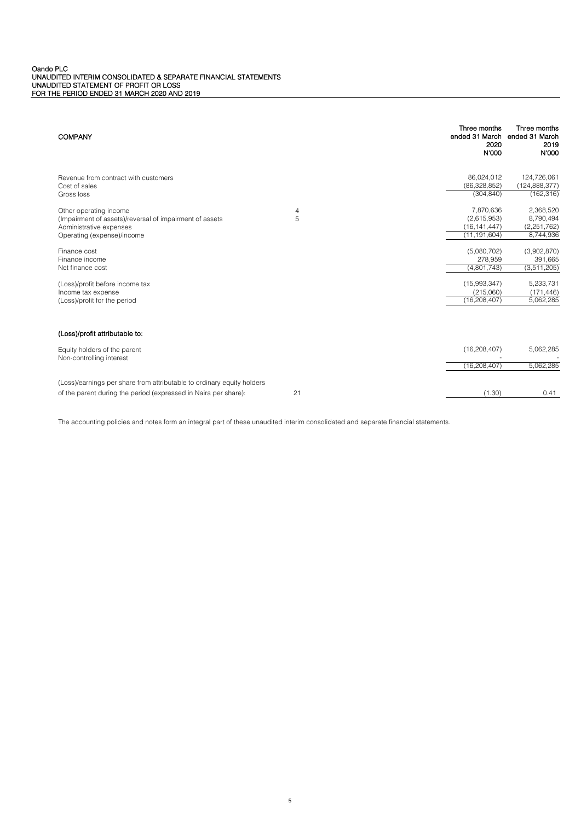# Oando PLC UNAUDITED INTERIM CONSOLIDATED & SEPARATE FINANCIAL STATEMENTS UNAUDITED STATEMENT OF PROFIT OR LOSS FOR THE PERIOD ENDED 31 MARCH 2020 AND 2019

| <b>COMPANY</b>                                                                                                                             |        | Three months<br>ended 31 March<br>2020<br>N'000              | Three months<br>ended 31 March<br>2019<br>N'000      |
|--------------------------------------------------------------------------------------------------------------------------------------------|--------|--------------------------------------------------------------|------------------------------------------------------|
| Revenue from contract with customers                                                                                                       |        | 86,024,012                                                   | 124,726,061                                          |
| Cost of sales                                                                                                                              |        | (86,328,852)                                                 | (124, 888, 377)                                      |
| Gross loss                                                                                                                                 |        | (304, 840)                                                   | (162, 316)                                           |
| Other operating income<br>(Impairment of assets)/reversal of impairment of assets<br>Administrative expenses<br>Operating (expense)/income | 4<br>5 | 7,870,636<br>(2,615,953)<br>(16, 141, 447)<br>(11, 191, 604) | 2,368,520<br>8.790.494<br>(2, 251, 762)<br>8,744,936 |
| Finance cost                                                                                                                               |        | (5,080,702)                                                  | (3,902,870)                                          |
| Finance income                                                                                                                             |        | 278,959                                                      | 391,665                                              |
| Net finance cost                                                                                                                           |        | (4,801,743)                                                  | (3, 511, 205)                                        |
| (Loss)/profit before income tax                                                                                                            |        | (15,993,347)                                                 | 5,233,731                                            |
| Income tax expense                                                                                                                         |        | (215,060)                                                    | (171, 446)                                           |
| (Loss)/profit for the period                                                                                                               |        | (16, 208, 407)                                               | 5,062,285                                            |
| (Loss)/profit attributable to:                                                                                                             |        |                                                              |                                                      |
| Equity holders of the parent                                                                                                               |        | (16, 208, 407)                                               | 5,062,285                                            |
| Non-controlling interest                                                                                                                   |        | (16, 208, 407)                                               | 5,062,285                                            |
| (Loss)/earnings per share from attributable to ordinary equity holders<br>of the parent during the period (expressed in Naira per share):  | 21     | (1.30)                                                       | 0.41                                                 |

The accounting policies and notes form an integral part of these unaudited interim consolidated and separate financial statements.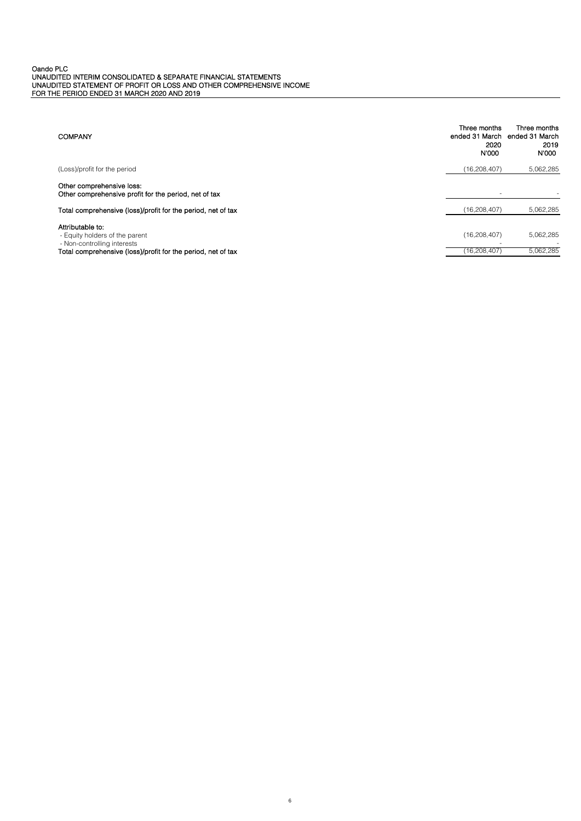| <b>COMPANY</b>                                                                                                                                    | Three months<br>2020<br>N'000    | Three months<br>ended 31 March ended 31 March<br>2019<br>N'000 |
|---------------------------------------------------------------------------------------------------------------------------------------------------|----------------------------------|----------------------------------------------------------------|
| (Loss)/profit for the period                                                                                                                      | (16, 208, 407)                   | 5,062,285                                                      |
| Other comprehensive loss:<br>Other comprehensive profit for the period, net of tax                                                                |                                  |                                                                |
| Total comprehensive (loss)/profit for the period, net of tax                                                                                      | (16, 208, 407)                   | 5,062,285                                                      |
| Attributable to:<br>- Equity holders of the parent<br>- Non-controlling interests<br>Total comprehensive (loss)/profit for the period, net of tax | (16, 208, 407)<br>(16, 208, 407) | 5,062,285<br>5,062,285                                         |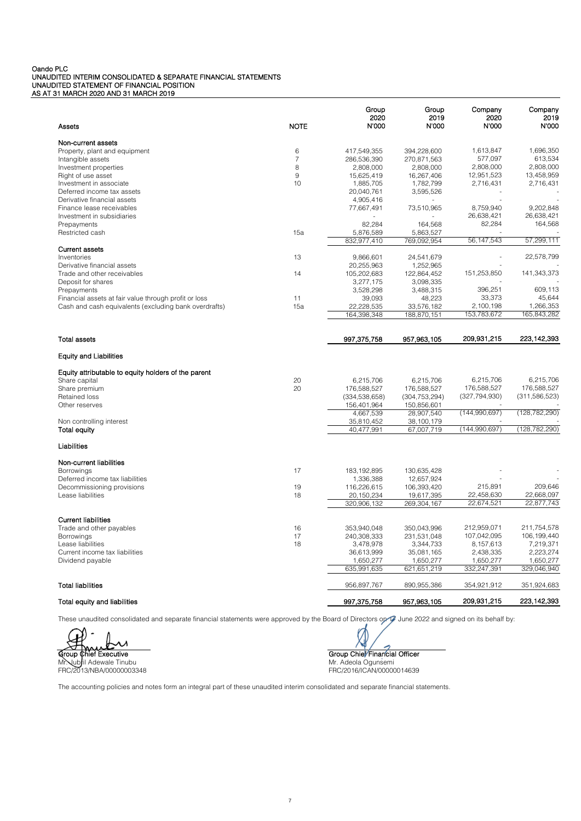# Oando PLC UNAUDITED INTERIM CONSOLIDATED & SEPARATE FINANCIAL STATEMENTS UNAUDITED STATEMENT OF FINANCIAL POSITION AS AT 31 MARCH 2020 AND 31 MARCH 2019

| Assets                                                | <b>NOTE</b>    | Group<br>2020<br>N'000 | Group<br>2019<br>N'000 | Company<br>2020<br>N'000 | Company<br>2019<br>N'000 |
|-------------------------------------------------------|----------------|------------------------|------------------------|--------------------------|--------------------------|
| Non-current assets                                    |                |                        |                        |                          |                          |
| Property, plant and equipment                         | 6              | 417,549,355            | 394.228.600            | 1,613,847                | 1,696,350                |
| Intangible assets                                     | $\overline{7}$ | 286,536,390            | 270,871,563            | 577,097                  | 613,534                  |
| Investment properties                                 | 8              | 2,808,000              | 2,808,000              | 2,808,000                | 2,808,000                |
| Right of use asset                                    | 9              | 15,625,419             | 16,267,406             | 12,951,523               | 13,458,959               |
| Investment in associate                               | 10             | 1,885,705              | 1,782,799              | 2,716,431                | 2,716,431                |
| Deferred income tax assets                            |                | 20,040,761             | 3,595,526              |                          |                          |
| Derivative financial assets                           |                | 4,905,416              |                        |                          |                          |
| Finance lease receivables                             |                | 77,667,491             | 73,510,965             | 8,759,940                | 9.202.848                |
| Investment in subsidiaries                            |                |                        |                        | 26,638,421               | 26,638,421               |
| Prepayments                                           |                | 82,284                 | 164,568                | 82,284                   | 164,568                  |
| Restricted cash                                       | 15a            | 5.876.589              | 5.863.527              |                          |                          |
|                                                       |                | 832,977,410            | 769,092,954            | 56,147,543               | 57,299,111               |
| <b>Current assets</b>                                 |                |                        |                        |                          |                          |
| Inventories                                           | 13             | 9,866,601              | 24,541,679             | L.                       | 22,578,799               |
| Derivative financial assets                           |                | 20,255,963             | 1,252,965              |                          |                          |
|                                                       | 14             |                        |                        | 151,253,850              | 141,343,373              |
| Trade and other receivables                           |                | 105,202,683            | 122,864,452            |                          |                          |
| Deposit for shares                                    |                | 3,277,175              | 3,098,335              |                          | 609,113                  |
| Prepayments                                           |                | 3,528,298              | 3,488,315              | 396,251                  |                          |
| Financial assets at fair value through profit or loss | 11             | 39,093                 | 48,223                 | 33,373                   | 45,644                   |
| Cash and cash equivalents (excluding bank overdrafts) | 15a            | 22,228,535             | 33,576,182             | 2,100,198                | 1,266,353                |
|                                                       |                | 164,398,348            | 188,870,151            | 153,783,672              | 165,843,282              |
| <b>Total assets</b>                                   |                | 997,375,758            | 957,963,105            | 209.931.215              | 223,142,393              |
| <b>Equity and Liabilities</b>                         |                |                        |                        |                          |                          |
| Equity attributable to equity holders of the parent   |                |                        |                        | 6,215,706                | 6,215,706                |
| Share capital                                         | 20             | 6,215,706              | 6,215,706              |                          |                          |
| Share premium                                         | 20             | 176,588,527            | 176,588,527            | 176,588,527              | 176,588,527              |
| Retained loss                                         |                | (334, 538, 658)        | (304, 753, 294)        | (327, 794, 930)          | (311, 586, 523)          |
| Other reserves                                        |                | 156,401,964            | 150,856,601            |                          |                          |
|                                                       |                | 4,667,539              | 28,907,540             | (144, 990, 697)          | (128, 782, 290)          |
| Non controlling interest                              |                | 35,810,452             | 38,100,179             |                          |                          |
| <b>Total equity</b>                                   |                | 40,477,991             | 67.007.719             | (144, 990, 697)          | (128, 782, 290)          |
| Liabilities                                           |                |                        |                        |                          |                          |
| Non-current liabilities                               |                |                        |                        |                          |                          |
| Borrowings                                            | 17             | 183, 192, 895          | 130,635,428            |                          |                          |
| Deferred income tax liabilities                       |                | 1,336,388              | 12,657,924             |                          |                          |
| Decommissioning provisions                            | 19             | 116,226,615            | 106,393,420            | 215,891                  | 209,646                  |
| Lease liabilities                                     | 18             | 20,150,234             | 19,617,395             | 22,458,630               | 22,668,097               |
|                                                       |                | 320,906,132            | 269,304,167            | 22,674,521               | 22,877,743               |
| <b>Current liabilities</b>                            |                |                        |                        |                          |                          |
| Trade and other payables                              | 16             | 353,940,048            | 350,043,996            | 212,959,071              | 211,754,578              |
| Borrowings                                            | 17             | 240,308,333            | 231,531,048            | 107,042,095              | 106,199,440              |
| Lease liabilities                                     | 18             | 3,478,978              | 3,344,733              | 8,157,613                | 7,219,371                |
| Current income tax liabilities                        |                | 36,613,999             | 35,081,165             | 2,438,335                | 2,223,274                |
| Dividend payable                                      |                | 1,650,277              | 1,650,277              | 1,650,277                | 1,650,277                |
|                                                       |                | 635,991,635            | 621,651,219            | 332,247,391              | 329,046,940              |
| <b>Total liabilities</b>                              |                | 956,897,767            | 890,955,386            | 354,921,912              | 351,924,683              |
| Total equity and liabilities                          |                | 997,375,758            | 957,963,105            | 209,931,215              | 223,142,393              |

These unaudited consolidated and separate financial statements were approved by the Board of Directors on 17 June 2022 and signed on its behalf by:

b  $\lambda$ Group Chief Executive<br>Mr. Jubril Adewale Tinubu<br>FRC/2013/NBA/00000003348

 $\phi$ Group Chie<sup>y</sup> Financial Officer FRC/2016/ICAN/00000014639

The accounting policies and notes form an integral part of these unaudited interim consolidated and separate financial statements.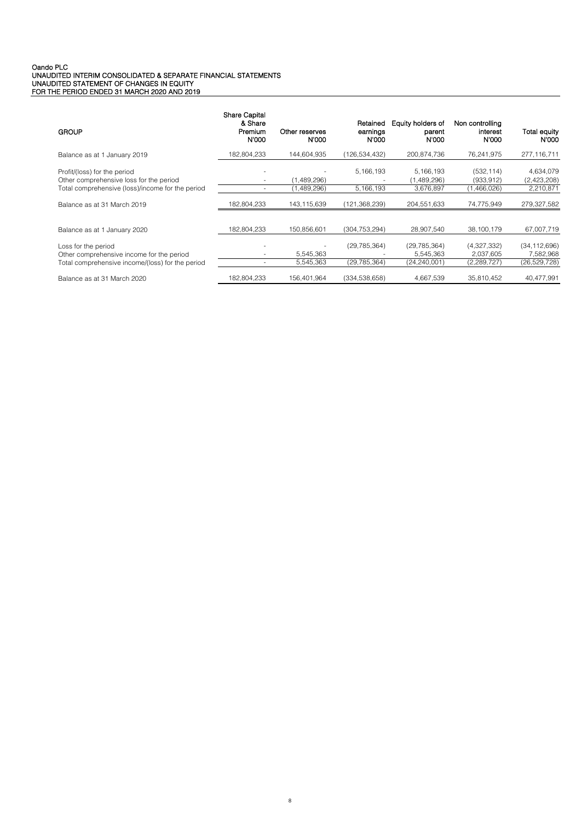# Oando PLC UNAUDITED INTERIM CONSOLIDATED & SEPARATE FINANCIAL STATEMENTS UNAUDITED STATEMENT OF CHANGES IN EQUITY FOR THE PERIOD ENDED 31 MARCH 2020 AND 2019

| <b>GROUP</b>                                                            | <b>Share Capital</b><br>& Share<br>Premium<br>N'000 | Other reserves<br>N'000 | Retained<br>earnings<br>N'000 | Equity holders of<br>parent<br>N'000 | Non controlling<br>interest<br>N'000 | Total equity<br>N'000       |
|-------------------------------------------------------------------------|-----------------------------------------------------|-------------------------|-------------------------------|--------------------------------------|--------------------------------------|-----------------------------|
| Balance as at 1 January 2019                                            | 182,804,233                                         | 144,604,935             | (126, 534, 432)               | 200,874,736                          | 76.241.975                           | 277,116,711                 |
| Profit/(loss) for the period<br>Other comprehensive loss for the period |                                                     | (1,489,296)             | 5,166,193                     | 5,166,193<br>(1,489,296)             | (532, 114)<br>(933, 912)             | 4,634,079<br>(2,423,208)    |
| Total comprehensive (loss)/income for the period                        | ٠                                                   | (1,489,296)             | 5,166,193                     | 3,676,897                            | (1,466,026)                          | 2,210,871                   |
| Balance as at 31 March 2019                                             | 182,804,233                                         | 143,115,639             | (121, 368, 239)               | 204,551,633                          | 74,775,949                           | 279,327,582                 |
| Balance as at 1 January 2020                                            | 182,804,233                                         | 150,856,601             | (304, 753, 294)               | 28,907,540                           | 38,100,179                           | 67,007,719                  |
| Loss for the period<br>Other comprehensive income for the period        | ٠                                                   | 5,545,363               | (29, 785, 364)                | (29,785,364)<br>5,545,363            | (4,327,332)<br>2,037,605             | (34, 112, 696)<br>7,582,968 |
| Total comprehensive income/(loss) for the period                        | $\overline{\phantom{a}}$                            | 5,545,363               | (29, 785, 364)                | (24,240,001)                         | (2,289,727)                          | (26, 529, 728)              |
| Balance as at 31 March 2020                                             | 182.804.233                                         | 156,401,964             | (334, 538, 658)               | 4,667,539                            | 35,810,452                           | 40,477,991                  |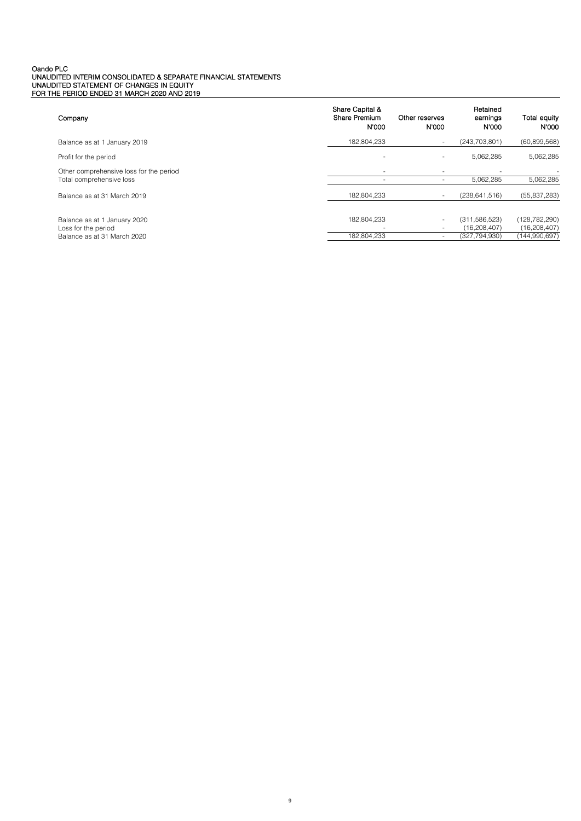# Oando PLC UNAUDITED INTERIM CONSOLIDATED & SEPARATE FINANCIAL STATEMENTS UNAUDITED STATEMENT OF CHANGES IN EQUITY FOR THE PERIOD ENDED 31 MARCH 2020 AND 2019

| Company                                                                            | Share Capital &<br>Share Premium<br>N'000 | Other reserves<br>N'000  | Retained<br>earnings<br>N'000                    | <b>Total equity</b><br>N'000                       |
|------------------------------------------------------------------------------------|-------------------------------------------|--------------------------|--------------------------------------------------|----------------------------------------------------|
| Balance as at 1 January 2019                                                       | 182.804.233                               |                          | (243, 703, 801)                                  | (60, 899, 568)                                     |
| Profit for the period                                                              |                                           | $\overline{\phantom{a}}$ | 5,062,285                                        | 5,062,285                                          |
| Other comprehensive loss for the period<br>Total comprehensive loss                | ۰                                         |                          | 5.062.285                                        | 5.062.285                                          |
| Balance as at 31 March 2019                                                        | 182,804,233                               |                          | (238, 641, 516)                                  | (55,837,283)                                       |
| Balance as at 1 January 2020<br>Loss for the period<br>Balance as at 31 March 2020 | 182,804,233<br>182.804.233                | $\overline{\phantom{a}}$ | (311,586,523)<br>(16, 208, 407)<br>(327.794.930) | (128, 782, 290)<br>(16, 208, 407)<br>(144,990,697) |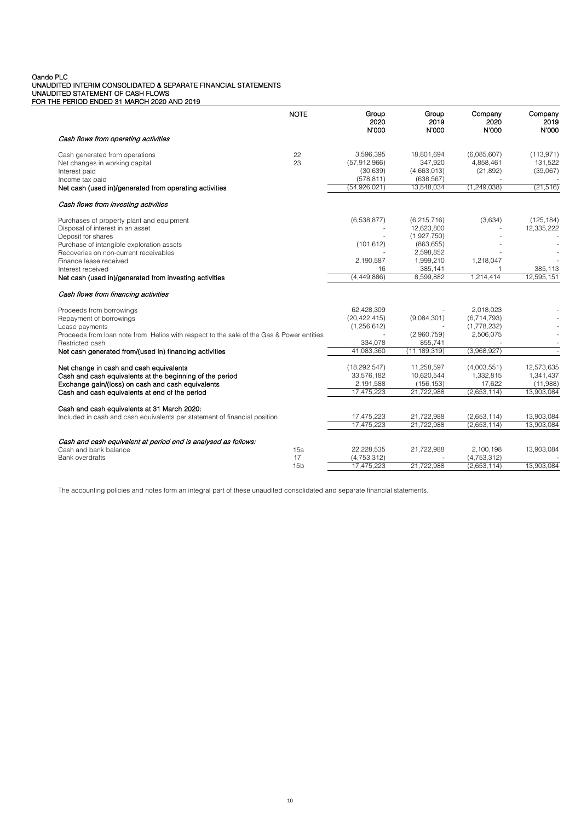# Oando PLC UNAUDITED INTERIM CONSOLIDATED & SEPARATE FINANCIAL STATEMENTS UNAUDITED STATEMENT OF CASH FLOWS FOR THE PERIOD ENDED 31 MARCH 2020 AND 2019

|                                                                                          | <b>NOTE</b>     | Group<br>2020<br>N'000 | Group<br>2019<br>N'000 | Company<br>2020<br>N'000 | Company<br>2019<br>N'000 |
|------------------------------------------------------------------------------------------|-----------------|------------------------|------------------------|--------------------------|--------------------------|
| Cash flows from operating activities                                                     |                 |                        |                        |                          |                          |
| Cash generated from operations                                                           | 22              | 3,596,395              | 18,801,694             | (6,085,607)              | (113, 971)               |
| Net changes in working capital                                                           | 23              | (57, 912, 966)         | 347,920                | 4,858,461                | 131,522                  |
| Interest paid                                                                            |                 | (30, 639)              | (4,663,013)            | (21, 892)                | (39,067)                 |
| Income tax paid                                                                          |                 | (578, 811)             | (638, 567)             |                          |                          |
| Net cash (used in)/generated from operating activities                                   |                 | (54, 926, 021)         | 13,848,034             | (1,249,038)              | (21, 516)                |
| Cash flows from investing activities                                                     |                 |                        |                        |                          |                          |
| Purchases of property plant and equipment                                                |                 | (6,538,877)            | (6,215,716)            | (3,634)                  | (125, 184)               |
| Disposal of interest in an asset                                                         |                 |                        | 12,623,800             |                          | 12,335,222               |
| Deposit for shares                                                                       |                 |                        | (1,927,750)            |                          |                          |
| Purchase of intangible exploration assets                                                |                 | (101, 612)             | (863, 655)             |                          |                          |
| Recoveries on non-current receivables                                                    |                 |                        | 2,598,852              |                          |                          |
| Finance lease received                                                                   |                 | 2,190,587              | 1,999,210              | 1,218,047                |                          |
| Interest received                                                                        |                 | 16                     | 385,141                |                          | 385,113                  |
| Net cash (used in)/generated from investing activities                                   |                 | (4, 449, 886)          | 8.599.882              | 1,214,414                | 12.595.151               |
| Cash flows from financing activities                                                     |                 |                        |                        |                          |                          |
| Proceeds from borrowings                                                                 |                 | 62.428.309             |                        | 2.018.023                |                          |
| Repayment of borrowings                                                                  |                 | (20, 422, 415)         | (9,084,301)            | (6,714,793)              |                          |
| Lease payments                                                                           |                 | (1,256,612)            |                        | (1,778,232)              |                          |
| Proceeds from loan note from Helios with respect to the sale of the Gas & Power entities |                 |                        | (2,960,759)            | 2,506,075                |                          |
| Restricted cash                                                                          |                 | 334,078                | 855,741                |                          |                          |
| Net cash generated from/(used in) financing activities                                   |                 | 41,083,360             | (11, 189, 319)         | (3.968.927)              |                          |
| Net change in cash and cash equivalents                                                  |                 | (18, 292, 547)         | 11,258,597             | (4,003,551)              | 12,573,635               |
| Cash and cash equivalents at the beginning of the period                                 |                 | 33,576,182             | 10,620,544             | 1,332,815                | 1,341,437                |
| Exchange gain/(loss) on cash and cash equivalents                                        |                 | 2,191,588              | (156, 153)             | 17,622                   | (11,988)                 |
| Cash and cash equivalents at end of the period                                           |                 | 17.475.223             | 21,722,988             | (2,653,114)              | 13.903.084               |
| Cash and cash equivalents at 31 March 2020:                                              |                 |                        |                        |                          |                          |
| Included in cash and cash equivalents per statement of financial position                |                 | 17,475,223             | 21,722,988             | (2,653,114)              | 13.903.084               |
|                                                                                          |                 | 17,475,223             | 21,722,988             | (2,653,114)              | 13,903,084               |
| Cash and cash equivalent at period end is analysed as follows:                           |                 |                        |                        |                          |                          |
| Cash and bank balance                                                                    | 15a             | 22.228.535             | 21.722.988             | 2.100.198                | 13,903,084               |
| <b>Bank overdrafts</b>                                                                   | 17              | (4, 753, 312)          |                        | (4,753,312)              |                          |
|                                                                                          | 15 <sub>b</sub> | 17,475,223             | 21,722,988             | (2,653,114)              | 13,903,084               |

The accounting policies and notes form an integral part of these unaudited consolidated and separate financial statements.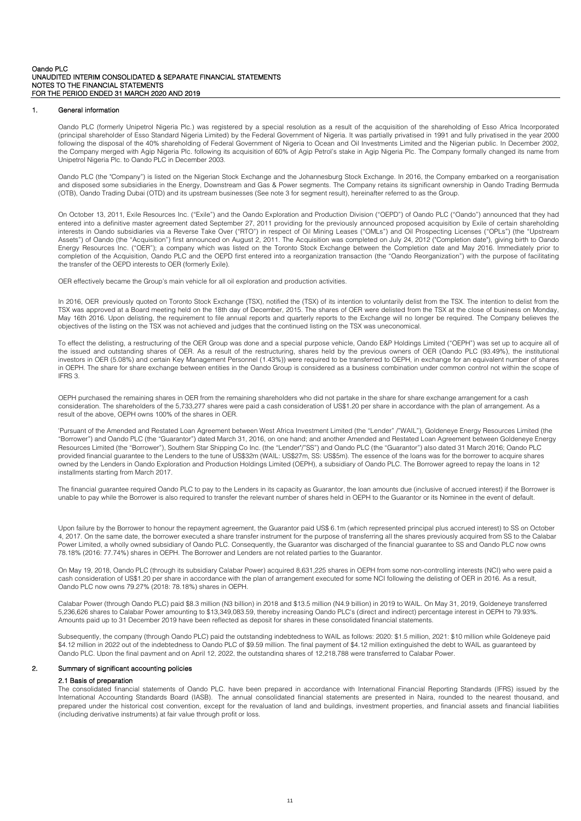# 1. General information

Oando PLC (formerly Unipetrol Nigeria Plc.) was registered by a special resolution as a result of the acquisition of the shareholding of Esso Africa Incorporated (principal shareholder of Esso Standard Nigeria Limited) by the Federal Government of Nigeria. It was partially privatised in 1991 and fully privatised in the year 2000 following the disposal of the 40% shareholding of Federal Government of Nigeria to Ocean and Oil Investments Limited and the Nigerian public. In December 2002, the Company merged with Agip Nigeria Plc. following its acquisition of 60% of Agip Petrol's stake in Agip Nigeria Plc. The Company formally changed its name from Unipetrol Nigeria Plc. to Oando PLC in December 2003.

Oando PLC (the "Company") is listed on the Nigerian Stock Exchange and the Johannesburg Stock Exchange. In 2016, the Company embarked on a reorganisation and disposed some subsidiaries in the Energy, Downstream and Gas & Power segments. The Company retains its significant ownership in Oando Trading Bermuda (OTB), Oando Trading Dubai (OTD) and its upstream businesses (See note 3 for segment result), hereinafter referred to as the Group.

On October 13, 2011, Exile Resources Inc. ("Exile") and the Oando Exploration and Production Division ("OEPD") of Oando PLC ("Oando") announced that they had entered into a definitive master agreement dated September 27, 2011 providing for the previously announced proposed acquisition by Exile of certain shareholding interests in Oando subsidiaries via a Reverse Take Over ("RTO") in respect of Oil Mining Leases ("OMLs") and Oil Prospecting Licenses ("OPLs") (the "Upstream Assets") of Oando (the "Acquisition") first announced on August 2, 2011. The Acquisition was completed on July 24, 2012 ("Completion date"), giving birth to Oando Energy Resources Inc. ("OER"); a company which was listed on the Toronto Stock Exchange between the Completion date and May 2016. Immediately prior to completion of the Acquisition, Oando PLC and the OEPD first entered into a reorganization transaction (the "Oando Reorganization") with the purpose of facilitating the transfer of the OEPD interests to OER (formerly Exile).

OER effectively became the Group's main vehicle for all oil exploration and production activities.

In 2016, OER previously quoted on Toronto Stock Exchange (TSX), notified the (TSX) of its intention to voluntarily delist from the TSX. The intention to delist from the TSX was approved at a Board meeting held on the 18th day of December, 2015. The shares of OER were delisted from the TSX at the close of business on Monday, May 16th 2016. Upon delisting, the requirement to file annual reports and quarterly reports to the Exchange will no longer be required. The Company believes the objectives of the listing on the TSX was not achieved and judges that the continued listing on the TSX was uneconomical.

To effect the delisting, a restructuring of the OER Group was done and a special purpose vehicle, Oando E&P Holdings Limited ("OEPH") was set up to acquire all of the issued and outstanding shares of OER. As a result of the restructuring, shares held by the previous owners of OER (Oando PLC (93.49%), the institutional investors in OER (5.08%) and certain Key Management Personnel (1.43%)) were required to be transferred to OEPH, in exchange for an equivalent number of shares in OEPH. The share for share exchange between entities in the Oando Group is considered as a business combination under common control not within the scope of IFRS 3.

OEPH purchased the remaining shares in OER from the remaining shareholders who did not partake in the share for share exchange arrangement for a cash consideration. The shareholders of the 5,733,277 shares were paid a cash consideration of US\$1.20 per share in accordance with the plan of arrangement. As a result of the above, OEPH owns 100% of the shares in OER.

'Pursuant of the Amended and Restated Loan Agreement between West Africa Investment Limited (the "Lender" /"WAIL"), Goldeneye Energy Resources Limited (the "Borrower") and Oando PLC (the "Guarantor") dated March 31, 2016, on one hand; and another Amended and Restated Loan Agreement between Goldeneye Energy Resources Limited (the "Borrower"), Southern Star Shipping Co Inc. (the "Lender"/"SS") and Oando PLC (the "Guarantor") also dated 31 March 2016; Oando PLC provided financial guarantee to the Lenders to the tune of US\$32m (WAIL: US\$27m, SS: US\$5m). The essence of the loans was for the borrower to acquire shares owned by the Lenders in Oando Exploration and Production Holdings Limited (OEPH), a subsidiary of Oando PLC. The Borrower agreed to repay the loans in 12 installments starting from March 2017.

The financial guarantee required Oando PLC to pay to the Lenders in its capacity as Guarantor, the loan amounts due (inclusive of accrued interest) if the Borrower is unable to pay while the Borrower is also required to transfer the relevant number of shares held in OEPH to the Guarantor or its Nominee in the event of default.

Upon failure by the Borrower to honour the repayment agreement, the Guarantor paid US\$ 6.1m (which represented principal plus accrued interest) to SS on October 4, 2017. On the same date, the borrower executed a share transfer instrument for the purpose of transferring all the shares previously acquired from SS to the Calabar Power Limited, a wholly owned subsidiary of Oando PLC. Consequently, the Guarantor was discharged of the financial guarantee to SS and Oando PLC now owns 78.18% (2016: 77.74%) shares in OEPH. The Borrower and Lenders are not related parties to the Guarantor.

On May 19, 2018, Oando PLC (through its subsidiary Calabar Power) acquired 8,631,225 shares in OEPH from some non-controlling interests (NCI) who were paid a cash consideration of US\$1.20 per share in accordance with the plan of arrangement executed for some NCI following the delisting of OER in 2016. As a result, Oando PLC now owns 79.27% (2018: 78.18%) shares in OEPH.

Calabar Power (through Oando PLC) paid \$8.3 million (N3 billion) in 2018 and \$13.5 million (N4.9 billion) in 2019 to WAIL. On May 31, 2019, Goldeneye transferred 5,236,626 shares to Calabar Power amounting to \$13,349,083.59, thereby increasing Oando PLC's (direct and indirect) percentage interest in OEPH to 79.93%. Amounts paid up to 31 December 2019 have been reflected as deposit for shares in these consolidated financial statements.

Subsequently, the company (through Oando PLC) paid the outstanding indebtedness to WAIL as follows: 2020: \$1.5 million, 2021: \$10 million while Goldeneye paid \$4.12 million in 2022 out of the indebtedness to Oando PLC of \$9.59 million. The final payment of \$4.12 million extinguished the debt to WAIL as guaranteed by Oando PLC. Upon the final payment and on April 12, 2022, the outstanding shares of 12,218,788 were transferred to Calabar Power.

# 2. Summary of significant accounting policies

# 2.1 Basis of preparation

The consolidated financial statements of Oando PLC. have been prepared in accordance with International Financial Reporting Standards (IFRS) issued by the International Accounting Standards Board (IASB). The annual consolidated financial statements are presented in Naira, rounded to the nearest thousand, and prepared under the historical cost convention, except for the revaluation of land and buildings, investment properties, and financial assets and financial liabilities (including derivative instruments) at fair value through profit or loss.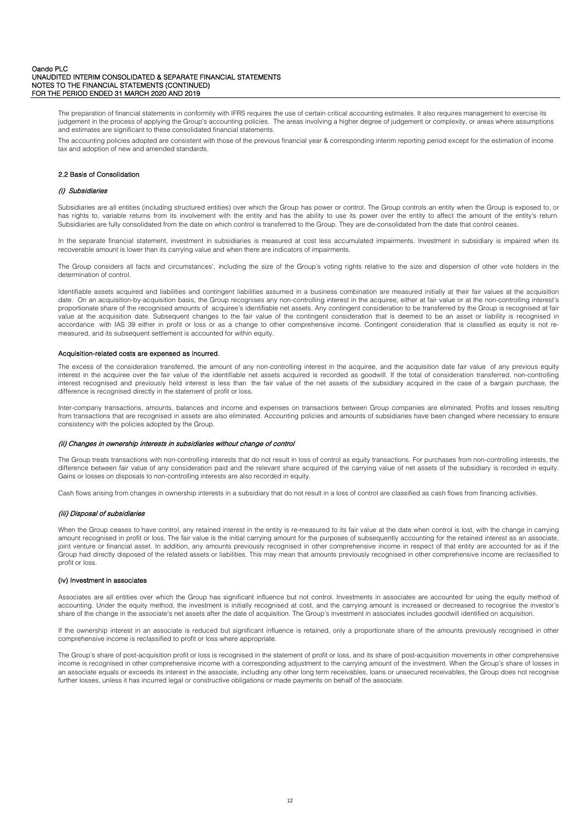The preparation of financial statements in conformity with IFRS requires the use of certain critical accounting estimates. It also requires management to exercise its judgement in the process of applying the Group's accounting policies. The areas involving a higher degree of judgement or complexity, or areas where assumptions and estimates are significant to these consolidated financial statements.

The accounting policies adopted are consistent with those of the previous financial year & corresponding interim reporting period except for the estimation of income tax and adoption of new and amended standards.

# 2.2 Basis of Consolidation

# (i) Subsidiaries

Subsidiaries are all entities (including structured entities) over which the Group has power or control. The Group controls an entity when the Group is exposed to, or has rights to, variable returns from its involvement with the entity and has the ability to use its power over the entity to affect the amount of the entity's return. Subsidiaries are fully consolidated from the date on which control is transferred to the Group. They are de-consolidated from the date that control ceases.

In the separate financial statement, investment in subsidiaries is measured at cost less accumulated impairments. Investment in subsidiary is impaired when its recoverable amount is lower than its carrying value and when there are indicators of impairments.

The Group considers all facts and circumstances', including the size of the Group's voting rights relative to the size and dispersion of other vote holders in the determination of control.

Identifiable assets acquired and liabilities and contingent liabilities assumed in a business combination are measured initially at their fair values at the acquisition date. On an acquisition-by-acquisition basis, the Group recognises any non-controlling interest in the acquiree, either at fair value or at the non-controlling interest's proportionate share of the recognised amounts of acquiree's identifiable net assets. Any contingent consideration to be transferred by the Group is recognised at fair value at the acquisition date. Subsequent changes to the fair value of the contingent consideration that is deemed to be an asset or liability is recognised in accordance with IAS 39 either in profit or loss or as a change to other comprehensive income. Contingent consideration that is classified as equity is not remeasured, and its subsequent settlement is accounted for within equity.

# Acquisition-related costs are expensed as incurred.

The excess of the consideration transferred, the amount of any non-controlling interest in the acquiree, and the acquisition date fair value of any previous equity interest in the acquiree over the fair value of the identifiable net assets acquired is recorded as goodwill. If the total of consideration transferred, non-controlling interest recognised and previously held interest is less than the fair value of the net assets of the subsidiary acquired in the case of a bargain purchase, the difference is recognised directly in the statement of profit or loss.

Inter-company transactions, amounts, balances and income and expenses on transactions between Group companies are eliminated. Profits and losses resulting from transactions that are recognised in assets are also eliminated. Accounting policies and amounts of subsidiaries have been changed where necessary to ensure consistency with the policies adopted by the Group.

# (ii) Changes in ownership interests in subsidiaries without change of control

The Group treats transactions with non-controlling interests that do not result in loss of control as equity transactions. For purchases from non-controlling interests, the difference between fair value of any consideration paid and the relevant share acquired of the carrying value of net assets of the subsidiary is recorded in equity. Gains or losses on disposals to non-controlling interests are also recorded in equity.

Cash flows arising from changes in ownership interests in a subsidiary that do not result in a loss of control are classified as cash flows from financing activities.

### (iii) Disposal of subsidiaries

When the Group ceases to have control, any retained interest in the entity is re-measured to its fair value at the date when control is lost, with the change in carrying amount recognised in profit or loss. The fair value is the initial carrying amount for the purposes of subsequently accounting for the retained interest as an associate, joint venture or financial asset. In addition, any amounts previously recognised in other comprehensive income in respect of that entity are accounted for as if the Group had directly disposed of the related assets or liabilities. This may mean that amounts previously recognised in other comprehensive income are reclassified to profit or loss.

# (iv) Investment in associates

Associates are all entities over which the Group has significant influence but not control. Investments in associates are accounted for using the equity method of accounting. Under the equity method, the investment is initially recognised at cost, and the carrying amount is increased or decreased to recognise the investor's share of the change in the associate's net assets after the date of acquisition. The Group's investment in associates includes goodwill identified on acquisition.

If the ownership interest in an associate is reduced but significant influence is retained, only a proportionate share of the amounts previously recognised in other comprehensive income is reclassified to profit or loss where appropriate.

The Group's share of post-acquisition profit or loss is recognised in the statement of profit or loss, and its share of post-acquisition movements in other comprehensive income is recognised in other comprehensive income with a corresponding adjustment to the carrying amount of the investment. When the Group's share of losses in an associate equals or exceeds its interest in the associate, including any other long term receivables, loans or unsecured receivables, the Group does not recognise further losses, unless it has incurred legal or constructive obligations or made payments on behalf of the associate.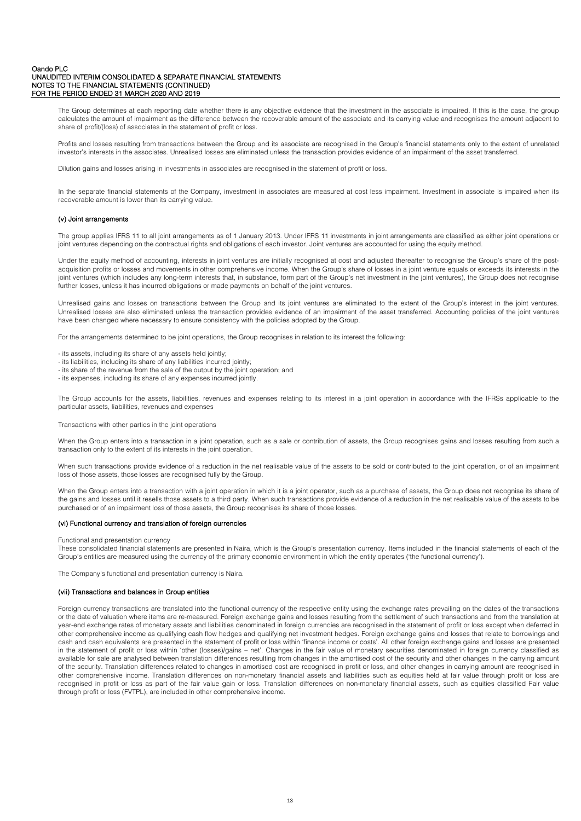The Group determines at each reporting date whether there is any objective evidence that the investment in the associate is impaired. If this is the case, the group calculates the amount of impairment as the difference between the recoverable amount of the associate and its carrying value and recognises the amount adjacent to share of profit/(loss) of associates in the statement of profit or loss.

Profits and losses resulting from transactions between the Group and its associate are recognised in the Group's financial statements only to the extent of unrelated investor's interests in the associates. Unrealised losses are eliminated unless the transaction provides evidence of an impairment of the asset transferred.

Dilution gains and losses arising in investments in associates are recognised in the statement of profit or loss.

In the separate financial statements of the Company, investment in associates are measured at cost less impairment. Investment in associate is impaired when its recoverable amount is lower than its carrying value.

# (v) Joint arrangements

The group applies IFRS 11 to all joint arrangements as of 1 January 2013. Under IFRS 11 investments in joint arrangements are classified as either joint operations or joint ventures depending on the contractual rights and obligations of each investor. Joint ventures are accounted for using the equity method.

Under the equity method of accounting, interests in joint ventures are initially recognised at cost and adjusted thereafter to recognise the Group's share of the postacquisition profits or losses and movements in other comprehensive income. When the Group's share of losses in a joint venture equals or exceeds its interests in the joint ventures (which includes any long-term interests that, in substance, form part of the Group's net investment in the joint ventures), the Group does not recognise further losses, unless it has incurred obligations or made payments on behalf of the joint ventures.

Unrealised gains and losses on transactions between the Group and its joint ventures are eliminated to the extent of the Group's interest in the joint ventures. Unrealised losses are also eliminated unless the transaction provides evidence of an impairment of the asset transferred. Accounting policies of the joint ventures have been changed where necessary to ensure consistency with the policies adopted by the Group.

For the arrangements determined to be joint operations, the Group recognises in relation to its interest the following:

- its assets, including its share of any assets held jointly;
- its liabilities, including its share of any liabilities incurred jointly;
- its share of the revenue from the sale of the output by the joint operation; and
- its expenses, including its share of any expenses incurred jointly.

The Group accounts for the assets, liabilities, revenues and expenses relating to its interest in a joint operation in accordance with the IFRSs applicable to the particular assets, liabilities, revenues and expenses

Transactions with other parties in the joint operations

When the Group enters into a transaction in a joint operation, such as a sale or contribution of assets, the Group recognises gains and losses resulting from such a transaction only to the extent of its interests in the joint operation.

When such transactions provide evidence of a reduction in the net realisable value of the assets to be sold or contributed to the joint operation, or of an impairment loss of those assets, those losses are recognised fully by the Group.

When the Group enters into a transaction with a joint operation in which it is a joint operator, such as a purchase of assets, the Group does not recognise its share of the gains and losses until it resells those assets to a third party. When such transactions provide evidence of a reduction in the net realisable value of the assets to be purchased or of an impairment loss of those assets, the Group recognises its share of those losses.

## (vi) Functional currency and translation of foreign currencies

Functional and presentation currency

These consolidated financial statements are presented in Naira, which is the Group's presentation currency. Items included in the financial statements of each of the Group's entities are measured using the currency of the primary economic environment in which the entity operates ('the functional currency').

The Company's functional and presentation currency is Naira.

# (vii) Transactions and balances in Group entities

Foreign currency transactions are translated into the functional currency of the respective entity using the exchange rates prevailing on the dates of the transactions or the date of valuation where items are re-measured. Foreign exchange gains and losses resulting from the settlement of such transactions and from the translation at year-end exchange rates of monetary assets and liabilities denominated in foreign currencies are recognised in the statement of profit or loss except when deferred in other comprehensive income as qualifying cash flow hedges and qualifying net investment hedges. Foreign exchange gains and losses that relate to borrowings and cash and cash equivalents are presented in the statement of profit or loss within 'finance income or costs'. All other foreign exchange gains and losses are presented in the statement of profit or loss within 'other (losses)/gains – net'. Changes in the fair value of monetary securities denominated in foreign currency classified as available for sale are analysed between translation differences resulting from changes in the amortised cost of the security and other changes in the carrying amount of the security. Translation differences related to changes in amortised cost are recognised in profit or loss, and other changes in carrying amount are recognised in other comprehensive income. Translation differences on non-monetary financial assets and liabilities such as equities held at fair value through profit or loss are recognised in profit or loss as part of the fair value gain or loss. Translation differences on non-monetary financial assets, such as equities classified Fair value through profit or loss (FVTPL), are included in other comprehensive income.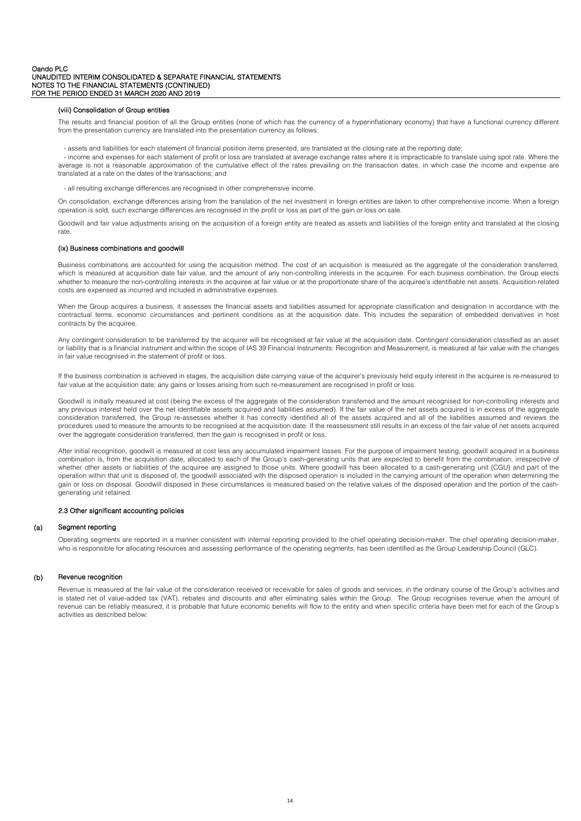# (viii) Consolidation of Group entities

The results and financial position of all the Group entities (none of which has the currency of a hyperinflationary economy) that have a functional currency different from the presentation currency are translated into the presentation currency as follows:

- assets and liabilities for each statement of financial position items presented, are translated at the closing rate at the reporting date;

- income and expenses for each statement of profit or loss are translated at average exchange rates where it is impracticable to translate using spot rate. Where the average is not a reasonable approximation of the cumulative effect of the rates prevailing on the transaction dates, in which case the income and expense are translated at a rate on the dates of the transactions; and

- all resulting exchange differences are recognised in other comprehensive income

On consolidation, exchange differences arising from the translation of the net investment in foreign entities are taken to other comprehensive income. When a foreign operation is sold, such exchange differences are recognised in the profit or loss as part of the gain or loss on sale.

Goodwill and fair value adjustments arising on the acquisition of a foreign entity are treated as assets and liabilities of the foreign entity and translated at the closing rate.

### (ix) Business combinations and goodwill

Business combinations are accounted for using the acquisition method. The cost of an acquisition is measured as the aggregate of the consideration transferred, which is measured at acquisition date fair value, and the amount of any non-controlling interests in the acquiree. For each business combination, the Group elects whether to measure the non-controlling interests in the acquiree at fair value or at the proportionate share of the acquiree's identifiable net assets. Acquisition-related costs are expensed as incurred and included in administrative expenses.

When the Group acquires a business, it assesses the financial assets and liabilities assumed for appropriate classification and designation in accordance with the contractual terms, economic circumstances and pertinent conditions as at the acquisition date. This includes the separation of embedded derivatives in host contracts by the acquiree.

Any contingent consideration to be transferred by the acquirer will be recognised at fair value at the acquisition date. Contingent consideration classified as an asset or liability that is a financial instrument and within the scope of IAS 39 Financial Instruments: Recognition and Measurement, is measured at fair value with the changes in fair value recognised in the statement of profit or loss.

If the business combination is achieved in stages, the acquisition date carrying value of the acquirer's previously held equity interest in the acquiree is re-measured to fair value at the acquisition date; any gains or losses arising from such re-measurement are recognised in profit or loss.

Goodwill is initially measured at cost (being the excess of the aggregate of the consideration transferred and the amount recognised for non-controlling interests and any previous interest held over the net identifiable assets acquired and liabilities assumed). If the fair value of the net assets acquired is in excess of the aggregate consideration transferred, the Group re-assesses whether it has correctly identified all of the assets acquired and all of the liabilities assumed and reviews the procedures used to measure the amounts to be recognised at the acquisition date. If the reassessment still results in an excess of the fair value of net assets acquired over the aggregate consideration transferred, then the gain is recognised in profit or loss.

After initial recognition, goodwill is measured at cost less any accumulated impairment losses. For the purpose of impairment testing, goodwill acquired in a business combination is, from the acquisition date, allocated to each of the Group's cash-generating units that are expected to benefit from the combination, irrespective of whether other assets or liabilities of the acquiree are assigned to those units. Where goodwill has been allocated to a cash-generating unit (CGU) and part of the operation within that unit is disposed of, the goodwill associated with the disposed operation is included in the carrying amount of the operation when determining the gain or loss on disposal. Goodwill disposed in these circumstances is measured based on the relative values of the disposed operation and the portion of the cashgenerating unit retained.

# 2.3 Other significant accounting policies

# (a) Segment reporting

Operating segments are reported in a manner consistent with internal reporting provided to the chief operating decision-maker. The chief operating decision-maker, who is responsible for allocating resources and assessing performance of the operating segments, has been identified as the Group Leadership Council (GLC).

# (b) Revenue recognition

Revenue is measured at the fair value of the consideration received or receivable for sales of goods and services, in the ordinary course of the Group's activities and is stated net of value-added tax (VAT), rebates and discounts and after eliminating sales within the Group. The Group recognises revenue when the amount of revenue can be reliably measured, it is probable that future economic benefits will flow to the entity and when specific criteria have been met for each of the Group's activities as described below: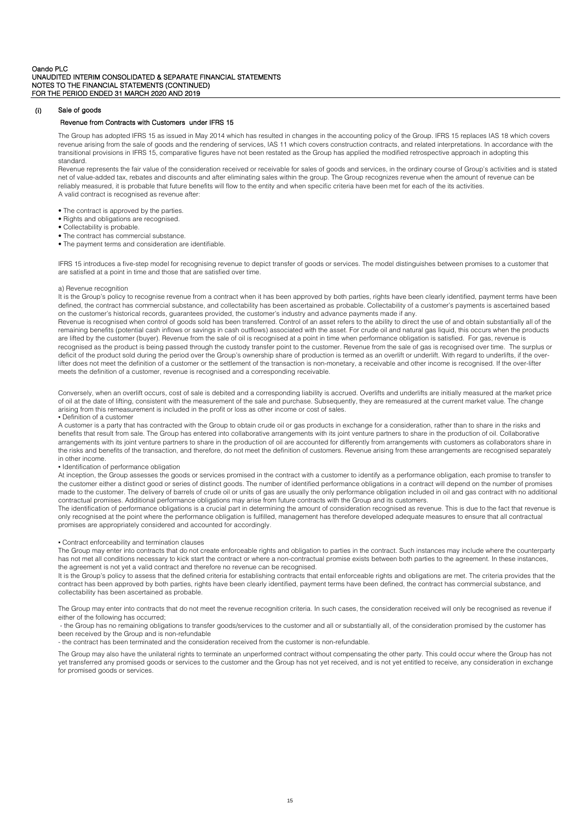# (i) Sale of goods

# Revenue from Contracts with Customers under IFRS 15

The Group has adopted IFRS 15 as issued in May 2014 which has resulted in changes in the accounting policy of the Group. IFRS 15 replaces IAS 18 which covers revenue arising from the sale of goods and the rendering of services, IAS 11 which covers construction contracts, and related interpretations. In accordance with the transitional provisions in IFRS 15, comparative figures have not been restated as the Group has applied the modified retrospective approach in adopting this standard.

Revenue represents the fair value of the consideration received or receivable for sales of goods and services, in the ordinary course of Group's activities and is stated net of value-added tax, rebates and discounts and after eliminating sales within the group. The Group recognizes revenue when the amount of revenue can be reliably measured, it is probable that future benefits will flow to the entity and when specific criteria have been met for each of the its activities. A valid contract is recognised as revenue after:

- The contract is approved by the parties.
- Rights and obligations are recognised.
- Collectability is probable.
- The contract has commercial substance.
- The payment terms and consideration are identifiable.

IFRS 15 introduces a five-step model for recognising revenue to depict transfer of goods or services. The model distinguishes between promises to a customer that are satisfied at a point in time and those that are satisfied over time.

### a) Revenue recognition

It is the Group's policy to recognise revenue from a contract when it has been approved by both parties, rights have been clearly identified, payment terms have been defined, the contract has commercial substance, and collectability has been ascertained as probable. Collectability of a customer's payments is ascertained based on the customer's historical records, guarantees provided, the customer's industry and advance payments made if any.

Revenue is recognised when control of goods sold has been transferred. Control of an asset refers to the ability to direct the use of and obtain substantially all of the remaining benefits (potential cash inflows or savings in cash outflows) associated with the asset. For crude oil and natural gas liquid, this occurs when the products are lifted by the customer (buyer). Revenue from the sale of oil is recognised at a point in time when performance obligation is satisfied. For gas, revenue is recognised as the product is being passed through the custody transfer point to the customer. Revenue from the sale of gas is recognised over time. The surplus or deficit of the product sold during the period over the Group's ownership share of production is termed as an overlift or underlift. With regard to underlifts, if the overlifter does not meet the definition of a customer or the settlement of the transaction is non-monetary, a receivable and other income is recognised. If the over-lifter meets the definition of a customer, revenue is recognised and a corresponding receivable.

Conversely, when an overlift occurs, cost of sale is debited and a corresponding liability is accrued. Overlifts and underlifts are initially measured at the market price of oil at the date of lifting, consistent with the measurement of the sale and purchase. Subsequently, they are remeasured at the current market value. The change arising from this remeasurement is included in the profit or loss as other income or cost of sales. ▪ Definition of a customer

A customer is a party that has contracted with the Group to obtain crude oil or gas products in exchange for a consideration, rather than to share in the risks and benefits that result from sale. The Group has entered into collaborative arrangements with its joint venture partners to share in the production of oil. Collaborative arrangements with its joint venture partners to share in the production of oil are accounted for differently from arrangements with customers as collaborators share in the risks and benefits of the transaction, and therefore, do not meet the definition of customers. Revenue arising from these arrangements are recognised separately in other income.

# ▪ Identification of performance obligation

At inception, the Group assesses the goods or services promised in the contract with a customer to identify as a performance obligation, each promise to transfer to the customer either a distinct good or series of distinct goods. The number of identified performance obligations in a contract will depend on the number of promises made to the customer. The delivery of barrels of crude oil or units of gas are usually the only performance obligation included in oil and gas contract with no additional contractual promises. Additional performance obligations may arise from future contracts with the Group and its customers.

The identification of performance obligations is a crucial part in determining the amount of consideration recognised as revenue. This is due to the fact that revenue is only recognised at the point where the performance obligation is fulfilled, management has therefore developed adequate measures to ensure that all contractual promises are appropriately considered and accounted for accordingly.

# ▪ Contract enforceability and termination clauses

The Group may enter into contracts that do not create enforceable rights and obligation to parties in the contract. Such instances may include where the counterparty has not met all conditions necessary to kick start the contract or where a non-contractual promise exists between both parties to the agreement. In these instances, the agreement is not yet a valid contract and therefore no revenue can be recognised.

It is the Group's policy to assess that the defined criteria for establishing contracts that entail enforceable rights and obligations are met. The criteria provides that the contract has been approved by both parties, rights have been clearly identified, payment terms have been defined, the contract has commercial substance, and collectability has been ascertained as probable.

The Group may enter into contracts that do not meet the revenue recognition criteria. In such cases, the consideration received will only be recognised as revenue if either of the following has occurred;

 - the Group has no remaining obligations to transfer goods/services to the customer and all or substantially all, of the consideration promised by the customer has been received by the Group and is non-refundable

- the contract has been terminated and the consideration received from the customer is non-refundable.

The Group may also have the unilateral rights to terminate an unperformed contract without compensating the other party. This could occur where the Group has not yet transferred any promised goods or services to the customer and the Group has not yet received, and is not yet entitled to receive, any consideration in exchange for promised goods or services.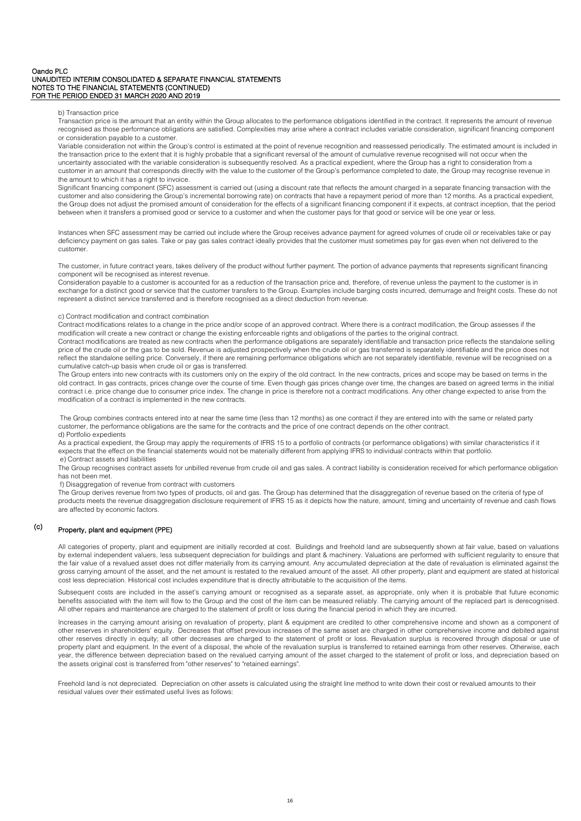### b) Transaction price

Transaction price is the amount that an entity within the Group allocates to the performance obligations identified in the contract. It represents the amount of revenue recognised as those performance obligations are satisfied. Complexities may arise where a contract includes variable consideration, significant financing component or consideration payable to a customer.

Variable consideration not within the Group's control is estimated at the point of revenue recognition and reassessed periodically. The estimated amount is included in the transaction price to the extent that it is highly probable that a significant reversal of the amount of cumulative revenue recognised will not occur when the uncertainty associated with the variable consideration is subsequently resolved. As a practical expedient, where the Group has a right to consideration from a customer in an amount that corresponds directly with the value to the customer of the Group's performance completed to date, the Group may recognise revenue in the amount to which it has a right to invoice.

Significant financing component (SFC) assessment is carried out (using a discount rate that reflects the amount charged in a separate financing transaction with the customer and also considering the Group's incremental borrowing rate) on contracts that have a repayment period of more than 12 months. As a practical expedient, the Group does not adjust the promised amount of consideration for the effects of a significant financing component if it expects, at contract inception, that the period between when it transfers a promised good or service to a customer and when the customer pays for that good or service will be one year or less.

Instances when SFC assessment may be carried out include where the Group receives advance payment for agreed volumes of crude oil or receivables take or pay deficiency payment on gas sales. Take or pay gas sales contract ideally provides that the customer must sometimes pay for gas even when not delivered to the customer.

The customer, in future contract years, takes delivery of the product without further payment. The portion of advance payments that represents significant financing component will be recognised as interest revenue.

Consideration payable to a customer is accounted for as a reduction of the transaction price and, therefore, of revenue unless the payment to the customer is in exchange for a distinct good or service that the customer transfers to the Group. Examples include barging costs incurred, demurrage and freight costs. These do not represent a distinct service transferred and is therefore recognised as a direct deduction from revenue.

### c) Contract modification and contract combination

Contract modifications relates to a change in the price and/or scope of an approved contract. Where there is a contract modification, the Group assesses if the modification will create a new contract or change the existing enforceable rights and obligations of the parties to the original contract.

Contract modifications are treated as new contracts when the performance obligations are separately identifiable and transaction price reflects the standalone selling price of the crude oil or the gas to be sold. Revenue is adjusted prospectively when the crude oil or gas transferred is separately identifiable and the price does not reflect the standalone selling price. Conversely, if there are remaining performance obligations which are not separately identifiable, revenue will be recognised on a cumulative catch-up basis when crude oil or gas is transferred.

The Group enters into new contracts with its customers only on the expiry of the old contract. In the new contracts, prices and scope may be based on terms in the old contract. In gas contracts, prices change over the course of time. Even though gas prices change over time, the changes are based on agreed terms in the initial contract i.e. price change due to consumer price index. The change in price is therefore not a contract modifications. Any other change expected to arise from the modification of a contract is implemented in the new contracts.

 The Group combines contracts entered into at near the same time (less than 12 months) as one contract if they are entered into with the same or related party customer, the performance obligations are the same for the contracts and the price of one contract depends on the other contract. d) Portfolio expedients

As a practical expedient, the Group may apply the requirements of IFRS 15 to a portfolio of contracts (or performance obligations) with similar characteristics if it expects that the effect on the financial statements would not be materially different from applying IFRS to individual contracts within that portfolio.

# e) Contract assets and liabilities

The Group recognises contract assets for unbilled revenue from crude oil and gas sales. A contract liability is consideration received for which performance obligation has not been met.

f) Disaggregation of revenue from contract with customers

The Group derives revenue from two types of products, oil and gas. The Group has determined that the disaggregation of revenue based on the criteria of type of products meets the revenue disaggregation disclosure requirement of IFRS 15 as it depicts how the nature, amount, timing and uncertainty of revenue and cash flows are affected by economic factors.

# (c) Property, plant and equipment (PPE)

All categories of property, plant and equipment are initially recorded at cost. Buildings and freehold land are subsequently shown at fair value, based on valuations by external independent valuers, less subsequent depreciation for buildings and plant & machinery. Valuations are performed with sufficient regularity to ensure that the fair value of a revalued asset does not differ materially from its carrying amount. Any accumulated depreciation at the date of revaluation is eliminated against the gross carrying amount of the asset, and the net amount is restated to the revalued amount of the asset. All other property, plant and equipment are stated at historical cost less depreciation. Historical cost includes expenditure that is directly attributable to the acquisition of the items.

Subsequent costs are included in the asset's carrying amount or recognised as a separate asset, as appropriate, only when it is probable that future economic benefits associated with the item will flow to the Group and the cost of the item can be measured reliably. The carrying amount of the replaced part is derecognised. All other repairs and maintenance are charged to the statement of profit or loss during the financial period in which they are incurred.

Increases in the carrying amount arising on revaluation of property, plant & equipment are credited to other comprehensive income and shown as a component of other reserves in shareholders' equity. Decreases that offset previous increases of the same asset are charged in other comprehensive income and debited against other reserves directly in equity; all other decreases are charged to the statement of profit or loss. Revaluation surplus is recovered through disposal or use of property plant and equipment. In the event of a disposal, the whole of the revaluation surplus is transferred to retained earnings from other reserves. Otherwise, each year, the difference between depreciation based on the revalued carrying amount of the asset charged to the statement of profit or loss, and depreciation based on the assets original cost is transferred from "other reserves" to "retained earnings".

Freehold land is not depreciated. Depreciation on other assets is calculated using the straight line method to write down their cost or revalued amounts to their residual values over their estimated useful lives as follows: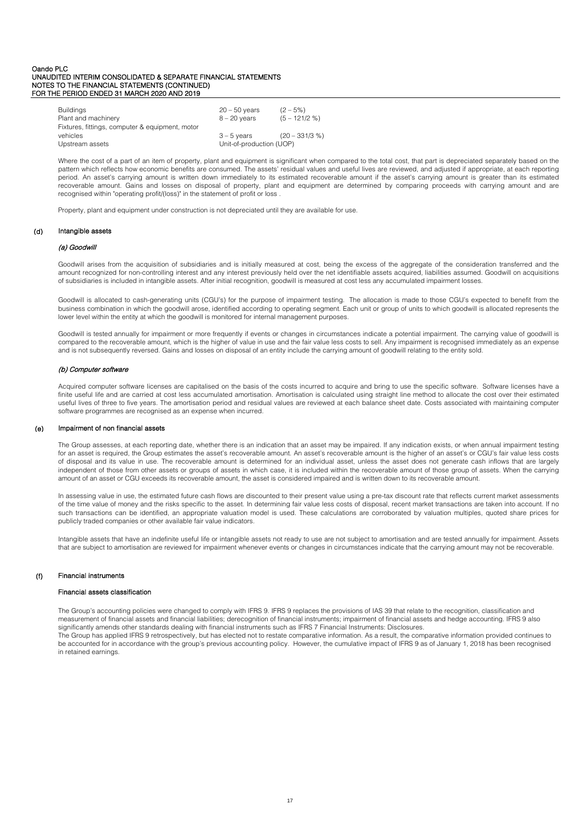| <b>Buildings</b><br>Plant and machinery         | $20 - 50$ years<br>$8 - 20$ years | $(2 - 5\%)$<br>$(5 - 121/2 %$ |  |
|-------------------------------------------------|-----------------------------------|-------------------------------|--|
| Fixtures, fittings, computer & equipment, motor |                                   |                               |  |
| vehicles                                        | $3 - 5$ vears                     | $(20 - 331/3$ %)              |  |
| Upstream assets                                 | Unit-of-production (UOP)          |                               |  |

Where the cost of a part of an item of property, plant and equipment is significant when compared to the total cost, that part is depreciated separately based on the pattern which reflects how economic benefits are consumed. The assets' residual values and useful lives are reviewed, and adjusted if appropriate, at each reporting period. An asset's carrying amount is written down immediately to its estimated recoverable amount if the asset's carrying amount is greater than its estimated recoverable amount. Gains and losses on disposal of property, plant and equipment are determined by comparing proceeds with carrying amount and are recognised within "operating profit/(loss)" in the statement of profit or loss .

Property, plant and equipment under construction is not depreciated until they are available for use.

# (d) Intangible assets

# (a) Goodwill

Goodwill arises from the acquisition of subsidiaries and is initially measured at cost, being the excess of the aggregate of the consideration transferred and the amount recognized for non-controlling interest and any interest previously held over the net identifiable assets acquired, liabilities assumed. Goodwill on acquisitions of subsidiaries is included in intangible assets. After initial recognition, goodwill is measured at cost less any accumulated impairment losses.

Goodwill is allocated to cash-generating units (CGU's) for the purpose of impairment testing. The allocation is made to those CGU's expected to benefit from the business combination in which the goodwill arose, identified according to operating segment. Each unit or group of units to which goodwill is allocated represents the lower level within the entity at which the goodwill is monitored for internal management purposes.

Goodwill is tested annually for impairment or more frequently if events or changes in circumstances indicate a potential impairment. The carrying value of goodwill is compared to the recoverable amount, which is the higher of value in use and the fair value less costs to sell. Any impairment is recognised immediately as an expense and is not subsequently reversed. Gains and losses on disposal of an entity include the carrying amount of goodwill relating to the entity sold.

# (b) Computer software

Acquired computer software licenses are capitalised on the basis of the costs incurred to acquire and bring to use the specific software. Software licenses have a finite useful life and are carried at cost less accumulated amortisation. Amortisation is calculated using straight line method to allocate the cost over their estimated useful lives of three to five years. The amortisation period and residual values are reviewed at each balance sheet date. Costs associated with maintaining computer software programmes are recognised as an expense when incurred

## (e) Impairment of non financial assets

The Group assesses, at each reporting date, whether there is an indication that an asset may be impaired. If any indication exists, or when annual impairment testing for an asset is required, the Group estimates the asset's recoverable amount. An asset's recoverable amount is the higher of an asset's or CGU's fair value less costs of disposal and its value in use. The recoverable amount is determined for an individual asset, unless the asset does not generate cash inflows that are largely independent of those from other assets or groups of assets in which case, it is included within the recoverable amount of those group of assets. When the carrying amount of an asset or CGU exceeds its recoverable amount, the asset is considered impaired and is written down to its recoverable amount.

In assessing value in use, the estimated future cash flows are discounted to their present value using a pre-tax discount rate that reflects current market assessments of the time value of money and the risks specific to the asset. In determining fair value less costs of disposal, recent market transactions are taken into account. If no such transactions can be identified, an appropriate valuation model is used. These calculations are corroborated by valuation multiples, quoted share prices for publicly traded companies or other available fair value indicators.

Intangible assets that have an indefinite useful life or intangible assets not ready to use are not subject to amortisation and are tested annually for impairment. Assets that are subject to amortisation are reviewed for impairment whenever events or changes in circumstances indicate that the carrying amount may not be recoverable.

# (f) Financial instruments

# Financial assets classification

The Group's accounting policies were changed to comply with IFRS 9. IFRS 9 replaces the provisions of IAS 39 that relate to the recognition, classification and measurement of financial assets and financial liabilities; derecognition of financial instruments; impairment of financial assets and hedge accounting. IFRS 9 also significantly amends other standards dealing with financial instruments such as IFRS 7 Financial Instruments: Disclosures.

The Group has applied IFRS 9 retrospectively, but has elected not to restate comparative information. As a result, the comparative information provided continues to be accounted for in accordance with the group's previous accounting policy. However, the cumulative impact of IFRS 9 as of January 1, 2018 has been recognised in retained earnings.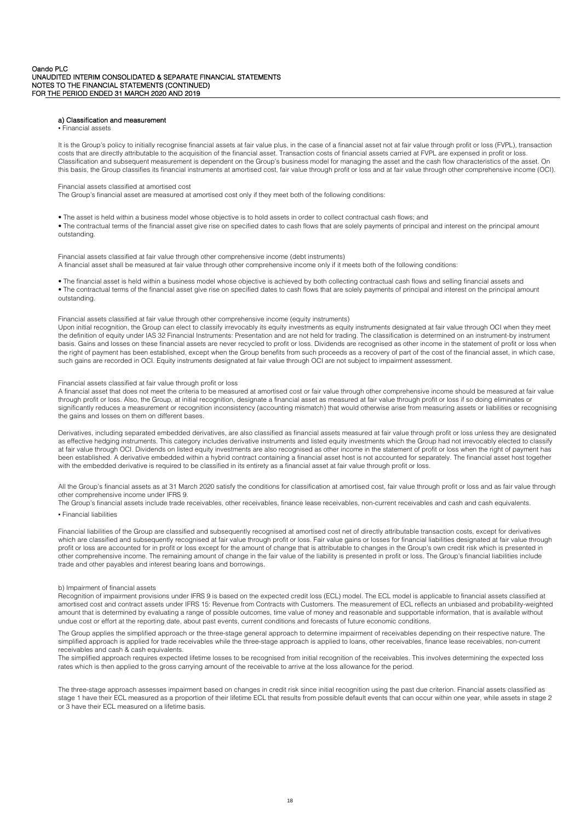# a) Classification and measurement

### ▪ Financial assets

It is the Group's policy to initially recognise financial assets at fair value plus, in the case of a financial asset not at fair value through profit or loss (FVPL), transaction costs that are directly attributable to the acquisition of the financial asset. Transaction costs of financial assets carried at FVPL are expensed in profit or loss. Classification and subsequent measurement is dependent on the Group's business model for managing the asset and the cash flow characteristics of the asset. On this basis, the Group classifies its financial instruments at amortised cost, fair value through profit or loss and at fair value through other comprehensive income (OCI).

# Financial assets classified at amortised cost

The Group's financial asset are measured at amortised cost only if they meet both of the following conditions:

• The asset is held within a business model whose objective is to hold assets in order to collect contractual cash flows; and • The contractual terms of the financial asset give rise on specified dates to cash flows that are solely payments of principal and interest on the principal amount outstanding.

Financial assets classified at fair value through other comprehensive income (debt instruments) A financial asset shall be measured at fair value through other comprehensive income only if it meets both of the following conditions:

• The financial asset is held within a business model whose objective is achieved by both collecting contractual cash flows and selling financial assets and • The contractual terms of the financial asset give rise on specified dates to cash flows that are solely payments of principal and interest on the principal amount outstanding.

### Financial assets classified at fair value through other comprehensive income (equity instruments)

Upon initial recognition, the Group can elect to classify irrevocably its equity investments as equity instruments designated at fair value through OCI when they meet the definition of equity under IAS 32 Financial Instruments: Presentation and are not held for trading. The classification is determined on an instrument-by instrument basis. Gains and losses on these financial assets are never recycled to profit or loss. Dividends are recognised as other income in the statement of profit or loss when the right of payment has been established, except when the Group benefits from such proceeds as a recovery of part of the cost of the financial asset, in which case, such gains are recorded in OCI. Equity instruments designated at fair value through OCI are not subject to impairment assessment.

# Financial assets classified at fair value through profit or loss

A financial asset that does not meet the criteria to be measured at amortised cost or fair value through other comprehensive income should be measured at fair value through profit or loss. Also, the Group, at initial recognition, designate a financial asset as measured at fair value through profit or loss if so doing eliminates or significantly reduces a measurement or recognition inconsistency (accounting mismatch) that would otherwise arise from measuring assets or liabilities or recognising the gains and losses on them on different bases.

Derivatives, including separated embedded derivatives, are also classified as financial assets measured at fair value through profit or loss unless they are designated as effective hedging instruments. This category includes derivative instruments and listed equity investments which the Group had not irrevocably elected to classify at fair value through OCI. Dividends on listed equity investments are also recognised as other income in the statement of profit or loss when the right of payment has been established. A derivative embedded within a hybrid contract containing a financial asset host is not accounted for separately. The financial asset host together with the embedded derivative is required to be classified in its entirety as a financial asset at fair value through profit or loss.

All the Group's financial assets as at 31 March 2020 satisfy the conditions for classification at amortised cost, fair value through profit or loss and as fair value through other comprehensive income under IFRS 9.

The Group's financial assets include trade receivables, other receivables, finance lease receivables, non-current receivables and cash and cash equivalents. ▪ Financial liabilities

Financial liabilities of the Group are classified and subsequently recognised at amortised cost net of directly attributable transaction costs, except for derivatives which are classified and subsequently recognised at fair value through profit or loss. Fair value gains or losses for financial liabilities designated at fair value through profit or loss are accounted for in profit or loss except for the amount of change that is attributable to changes in the Group's own credit risk which is presented in other comprehensive income. The remaining amount of change in the fair value of the liability is presented in profit or loss. The Group's financial liabilities include trade and other payables and interest bearing loans and borrowings.

# b) Impairment of financial assets

Recognition of impairment provisions under IFRS 9 is based on the expected credit loss (ECL) model. The ECL model is applicable to financial assets classified at amortised cost and contract assets under IFRS 15: Revenue from Contracts with Customers. The measurement of ECL reflects an unbiased and probability-weighted amount that is determined by evaluating a range of possible outcomes, time value of money and reasonable and supportable information, that is available without undue cost or effort at the reporting date, about past events, current conditions and forecasts of future economic conditions.

The Group applies the simplified approach or the three-stage general approach to determine impairment of receivables depending on their respective nature. The simplified approach is applied for trade receivables while the three-stage approach is applied to loans, other receivables, finance lease receivables, non-current receivables and cash & cash equivalents.

The simplified approach requires expected lifetime losses to be recognised from initial recognition of the receivables. This involves determining the expected loss rates which is then applied to the gross carrying amount of the receivable to arrive at the loss allowance for the period.

The three-stage approach assesses impairment based on changes in credit risk since initial recognition using the past due criterion. Financial assets classified as stage 1 have their ECL measured as a proportion of their lifetime ECL that results from possible default events that can occur within one year, while assets in stage 2 or 3 have their ECL measured on a lifetime basis.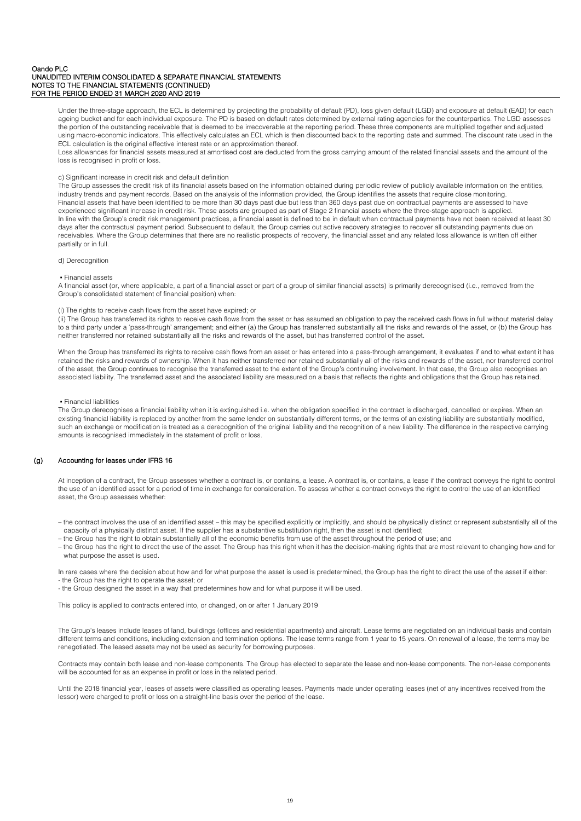Under the three-stage approach, the ECL is determined by projecting the probability of default (PD), loss given default (LGD) and exposure at default (EAD) for each ageing bucket and for each individual exposure. The PD is based on default rates determined by external rating agencies for the counterparties. The LGD assesses the portion of the outstanding receivable that is deemed to be irrecoverable at the reporting period. These three components are multiplied together and adjusted using macro-economic indicators. This effectively calculates an ECL which is then discounted back to the reporting date and summed. The discount rate used in the ECL calculation is the original effective interest rate or an approximation thereof.

Loss allowances for financial assets measured at amortised cost are deducted from the gross carrying amount of the related financial assets and the amount of the loss is recognised in profit or loss.

# c) Significant increase in credit risk and default definition

The Group assesses the credit risk of its financial assets based on the information obtained during periodic review of publicly available information on the entities, industry trends and payment records. Based on the analysis of the information provided, the Group identifies the assets that require close monitoring. Financial assets that have been identified to be more than 30 days past due but less than 360 days past due on contractual payments are assessed to have experienced significant increase in credit risk. These assets are grouped as part of Stage 2 financial assets where the three-stage approach is applied. In line with the Group's credit risk management practices, a financial asset is defined to be in default when contractual payments have not been received at least 30 days after the contractual payment period. Subsequent to default, the Group carries out active recovery strategies to recover all outstanding payments due on receivables. Where the Group determines that there are no realistic prospects of recovery, the financial asset and any related loss allowance is written off either partially or in full.

# d) Derecognition

# ▪ Financial assets

A financial asset (or, where applicable, a part of a financial asset or part of a group of similar financial assets) is primarily derecognised (i.e., removed from the Group's consolidated statement of financial position) when:

### (i) The rights to receive cash flows from the asset have expired; or

(ii) The Group has transferred its rights to receive cash flows from the asset or has assumed an obligation to pay the received cash flows in full without material delay to a third party under a 'pass-through' arrangement; and either (a) the Group has transferred substantially all the risks and rewards of the asset, or (b) the Group has neither transferred nor retained substantially all the risks and rewards of the asset, but has transferred control of the asset.

When the Group has transferred its rights to receive cash flows from an asset or has entered into a pass-through arrangement, it evaluates if and to what extent it has retained the risks and rewards of ownership. When it has neither transferred nor retained substantially all of the risks and rewards of the asset, nor transferred control of the asset, the Group continues to recognise the transferred asset to the extent of the Group's continuing involvement. In that case, the Group also recognises an associated liability. The transferred asset and the associated liability are measured on a basis that reflects the rights and obligations that the Group has retained.

### ▪ Financial liabilities

The Group derecognises a financial liability when it is extinguished i.e. when the obligation specified in the contract is discharged, cancelled or expires. When an existing financial liability is replaced by another from the same lender on substantially different terms, or the terms of an existing liability are substantially modified, such an exchange or modification is treated as a derecognition of the original liability and the recognition of a new liability. The difference in the respective carrying amounts is recognised immediately in the statement of profit or loss.

### $(a)$ Accounting for leases under IFRS 16

At inception of a contract, the Group assesses whether a contract is, or contains, a lease. A contract is, or contains, a lease if the contract conveys the right to control the use of an identified asset for a period of time in exchange for consideration. To assess whether a contract conveys the right to control the use of an identified asset, the Group assesses whether:

- the contract involves the use of an identified asset this may be specified explicitly or implicitly, and should be physically distinct or represent substantially all of the capacity of a physically distinct asset. If the supplier has a substantive substitution right, then the asset is not identified;
- the Group has the right to obtain substantially all of the economic benefits from use of the asset throughout the period of use; and
- the Group has the right to direct the use of the asset. The Group has this right when it has the decision-making rights that are most relevant to changing how and for what purpose the asset is used.

In rare cases where the decision about how and for what purpose the asset is used is predetermined, the Group has the right to direct the use of the asset if either: - the Group has the right to operate the asset; or

- the Group designed the asset in a way that predetermines how and for what purpose it will be used.

This policy is applied to contracts entered into, or changed, on or after 1 January 2019

The Group's leases include leases of land, buildings (offices and residential apartments) and aircraft. Lease terms are negotiated on an individual basis and contain different terms and conditions, including extension and termination options. The lease terms range from 1 year to 15 years. On renewal of a lease, the terms may be renegotiated. The leased assets may not be used as security for borrowing purposes.

Contracts may contain both lease and non-lease components. The Group has elected to separate the lease and non-lease components. The non-lease components will be accounted for as an expense in profit or loss in the related period.

Until the 2018 financial year, leases of assets were classified as operating leases. Payments made under operating leases (net of any incentives received from the lessor) were charged to profit or loss on a straight-line basis over the period of the lease.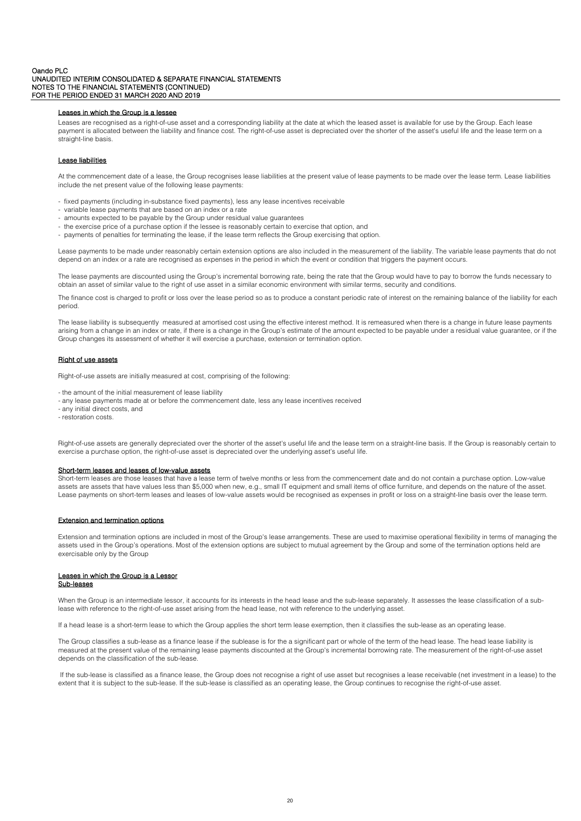# Leases in which the Group is a lessee

Leases are recognised as a right-of-use asset and a corresponding liability at the date at which the leased asset is available for use by the Group. Each lease payment is allocated between the liability and finance cost. The right-of-use asset is depreciated over the shorter of the asset's useful life and the lease term on a straight-line basis.

# Lease liabilities

At the commencement date of a lease, the Group recognises lease liabilities at the present value of lease payments to be made over the lease term. Lease liabilities include the net present value of the following lease payments:

- fixed payments (including in-substance fixed payments), less any lease incentives receivable
- variable lease payments that are based on an index or a rate
- amounts expected to be payable by the Group under residual value guarantees
- the exercise price of a purchase option if the lessee is reasonably certain to exercise that option, and
- payments of penalties for terminating the lease, if the lease term reflects the Group exercising that option.

Lease payments to be made under reasonably certain extension options are also included in the measurement of the liability. The variable lease payments that do not depend on an index or a rate are recognised as expenses in the period in which the event or condition that triggers the payment occurs.

The lease payments are discounted using the Group's incremental borrowing rate, being the rate that the Group would have to pay to borrow the funds necessary to obtain an asset of similar value to the right of use asset in a similar economic environment with similar terms, security and conditions.

The finance cost is charged to profit or loss over the lease period so as to produce a constant periodic rate of interest on the remaining balance of the liability for each period.

The lease liability is subsequently measured at amortised cost using the effective interest method. It is remeasured when there is a change in future lease payments arising from a change in an index or rate, if there is a change in the Group's estimate of the amount expected to be payable under a residual value guarantee, or if the Group changes its assessment of whether it will exercise a purchase, extension or termination option.

# Right of use assets

Right-of-use assets are initially measured at cost, comprising of the following:

- the amount of the initial measurement of lease liability
- any lease payments made at or before the commencement date, less any lease incentives received
- any initial direct costs, and
- restoration costs.

Right-of-use assets are generally depreciated over the shorter of the asset's useful life and the lease term on a straight-line basis. If the Group is reasonably certain to exercise a purchase option, the right-of-use asset is depreciated over the underlying asset's useful life.

### Short-term leases and leases of low-value assets

Short-term leases are those leases that have a lease term of twelve months or less from the commencement date and do not contain a purchase option. Low-value assets are assets that have values less than \$5,000 when new, e.g., small IT equipment and small items of office furniture, and depends on the nature of the asset. Lease payments on short-term leases and leases of low-value assets would be recognised as expenses in profit or loss on a straight-line basis over the lease term.

# Extension and termination options

Extension and termination options are included in most of the Group's lease arrangements. These are used to maximise operational flexibility in terms of managing the assets used in the Group's operations. Most of the extension options are subject to mutual agreement by the Group and some of the termination options held are exercisable only by the Group

### Leases in which the Group is a Lessor Sub-leases

When the Group is an intermediate lessor, it accounts for its interests in the head lease and the sub-lease separately. It assesses the lease classification of a sublease with reference to the right-of-use asset arising from the head lease, not with reference to the underlying asset.

If a head lease is a short-term lease to which the Group applies the short term lease exemption, then it classifies the sub-lease as an operating lease.

The Group classifies a sub-lease as a finance lease if the sublease is for the a significant part or whole of the term of the head lease. The head lease liability is measured at the present value of the remaining lease payments discounted at the Group's incremental borrowing rate. The measurement of the right-of-use asset depends on the classification of the sub-lease.

If the sub-lease is classified as a finance lease, the Group does not recognise a right of use asset but recognises a lease receivable (net investment in a lease) to the extent that it is subject to the sub-lease. If the sub-lease is classified as an operating lease, the Group continues to recognise the right-of-use asset.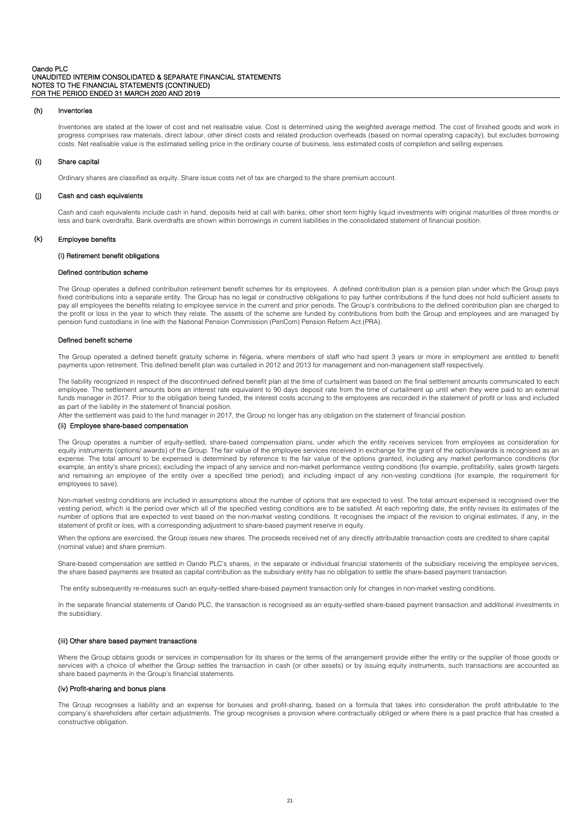#### (h) Inventories

Inventories are stated at the lower of cost and net realisable value. Cost is determined using the weighted average method. The cost of finished goods and work in progress comprises raw materials, direct labour, other direct costs and related production overheads (based on normal operating capacity), but excludes borrowing costs. Net realisable value is the estimated selling price in the ordinary course of business, less estimated costs of completion and selling expenses.

#### (i) Share capital

Ordinary shares are classified as equity. Share issue costs net of tax are charged to the share premium account.

### (j) Cash and cash equivalents

Cash and cash equivalents include cash in hand, deposits held at call with banks, other short term highly liquid investments with original maturities of three months or less and bank overdrafts. Bank overdrafts are shown within borrowings in current liabilities in the consolidated statement of financial position.

### (k) Employee benefits

# (i) Retirement benefit obligations

# Defined contribution scheme

The Group operates a defined contribution retirement benefit schemes for its employees. A defined contribution plan is a pension plan under which the Group pays fixed contributions into a separate entity. The Group has no legal or constructive obligations to pay further contributions if the fund does not hold sufficient assets to pay all employees the benefits relating to employee service in the current and prior periods. The Group's contributions to the defined contribution plan are charged to the profit or loss in the year to which they relate. The assets of the scheme are funded by contributions from both the Group and employees and are managed by pension fund custodians in line with the National Pension Commission (PenCom) Pension Reform Act (PRA).

# Defined benefit scheme

The Group operated a defined benefit gratuity scheme in Nigeria, where members of staff who had spent 3 years or more in employment are entitled to benefit payments upon retirement. This defined benefit plan was curtailed in 2012 and 2013 for management and non-management staff respectively.

The liability recognized in respect of the discontinued defined benefit plan at the time of curtailment was based on the final settlement amounts communicated to each employee. The settlement amounts bore an interest rate equivalent to 90 days deposit rate from the time of curtailment up until when they were paid to an external funds manager in 2017. Prior to the obligation being funded, the interest costs accruing to the employees are recorded in the statement of profit or loss and included as part of the liability in the statement of financial position.

After the settlement was paid to the fund manager in 2017, the Group no longer has any obligation on the statement of financial position.

# (ii) Employee share-based compensation

The Group operates a number of equity-settled, share-based compensation plans, under which the entity receives services from employees as consideration for equity instruments (options/ awards) of the Group. The fair value of the employee services received in exchange for the grant of the option/awards is recognised as an expense. The total amount to be expensed is determined by reference to the fair value of the options granted, including any market performance conditions (for example, an entity's share prices); excluding the impact of any service and non-market performance vesting conditions (for example, profitability, sales growth targets and remaining an employee of the entity over a specified time period); and including impact of any non-vesting conditions (for example, the requirement for employees to save).

Non-market vesting conditions are included in assumptions about the number of options that are expected to vest. The total amount expensed is recognised over the vesting period, which is the period over which all of the specified vesting conditions are to be satisfied. At each reporting date, the entity revises its estimates of the number of options that are expected to vest based on the non-market vesting conditions. It recognises the impact of the revision to original estimates, if any, in the statement of profit or loss, with a corresponding adjustment to share-based payment reserve in equity.

When the options are exercised, the Group issues new shares. The proceeds received net of any directly attributable transaction costs are credited to share capital (nominal value) and share premium.

Share-based compensation are settled in Oando PLC's shares, in the separate or individual financial statements of the subsidiary receiving the employee services, the share based payments are treated as capital contribution as the subsidiary entity has no obligation to settle the share-based payment transaction.

The entity subsequently re-measures such an equity-settled share-based payment transaction only for changes in non-market vesting conditions.

In the separate financial statements of Oando PLC, the transaction is recognised as an equity-settled share-based payment transaction and additional investments in the subsidiary.

# (iii) Other share based payment transactions

Where the Group obtains goods or services in compensation for its shares or the terms of the arrangement provide either the entity or the supplier of those goods or services with a choice of whether the Group settles the transaction in cash (or other assets) or by issuing equity instruments, such transactions are accounted as share based payments in the Group's financial statements.

# (iv) Profit-sharing and bonus plans

The Group recognises a liability and an expense for bonuses and profit-sharing, based on a formula that takes into consideration the profit attributable to the company's shareholders after certain adjustments. The group recognises a provision where contractually obliged or where there is a past practice that has created a constructive obligation.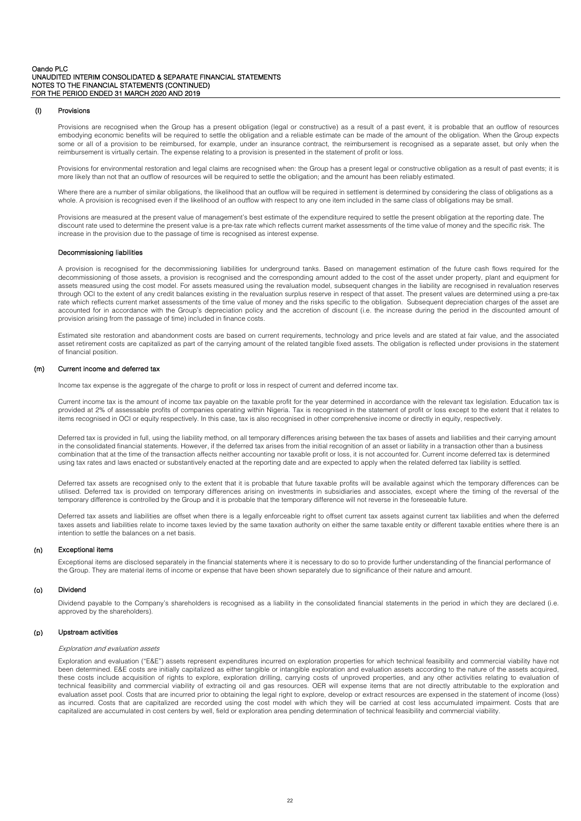### (l) Provisions

Provisions are recognised when the Group has a present obligation (legal or constructive) as a result of a past event, it is probable that an outflow of resources embodying economic benefits will be required to settle the obligation and a reliable estimate can be made of the amount of the obligation. When the Group expects some or all of a provision to be reimbursed, for example, under an insurance contract, the reimbursement is recognised as a separate asset, but only when the reimbursement is virtually certain. The expense relating to a provision is presented in the statement of profit or loss.

Provisions for environmental restoration and legal claims are recognised when: the Group has a present legal or constructive obligation as a result of past events; it is more likely than not that an outflow of resources will be required to settle the obligation; and the amount has been reliably estimated.

Where there are a number of similar obligations, the likelihood that an outflow will be required in settlement is determined by considering the class of obligations as a whole. A provision is recognised even if the likelihood of an outflow with respect to any one item included in the same class of obligations may be small.

Provisions are measured at the present value of management's best estimate of the expenditure required to settle the present obligation at the reporting date. The discount rate used to determine the present value is a pre-tax rate which reflects current market assessments of the time value of money and the specific risk. The increase in the provision due to the passage of time is recognised as interest expense.

# Decommissioning liabilities

A provision is recognised for the decommissioning liabilities for underground tanks. Based on management estimation of the future cash flows required for the decommissioning of those assets, a provision is recognised and the corresponding amount added to the cost of the asset under property, plant and equipment for assets measured using the cost model. For assets measured using the revaluation model, subsequent changes in the liability are recognised in revaluation reserves through OCI to the extent of any credit balances existing in the revaluation surplus reserve in respect of that asset. The present values are determined using a pre-tax rate which reflects current market assessments of the time value of money and the risks specific to the obligation. Subsequent depreciation charges of the asset are accounted for in accordance with the Group's depreciation policy and the accretion of discount (i.e. the increase during the period in the discounted amount of provision arising from the passage of time) included in finance costs.

Estimated site restoration and abandonment costs are based on current requirements, technology and price levels and are stated at fair value, and the associated asset retirement costs are capitalized as part of the carrying amount of the related tangible fixed assets. The obligation is reflected under provisions in the statement of financial position.

### (m) Current income and deferred tax

Income tax expense is the aggregate of the charge to profit or loss in respect of current and deferred income tax.

Current income tax is the amount of income tax payable on the taxable profit for the year determined in accordance with the relevant tax legislation. Education tax is provided at 2% of assessable profits of companies operating within Nigeria. Tax is recognised in the statement of profit or loss except to the extent that it relates to items recognised in OCI or equity respectively. In this case, tax is also recognised in other comprehensive income or directly in equity, respectively.

Deferred tax is provided in full, using the liability method, on all temporary differences arising between the tax bases of assets and liabilities and their carrying amount in the consolidated financial statements. However, if the deferred tax arises from the initial recognition of an asset or liability in a transaction other than a business combination that at the time of the transaction affects neither accounting nor taxable profit or loss, it is not accounted for. Current income deferred tax is determined using tax rates and laws enacted or substantively enacted at the reporting date and are expected to apply when the related deferred tax liability is settled.

Deferred tax assets are recognised only to the extent that it is probable that future taxable profits will be available against which the temporary differences can be utilised. Deferred tax is provided on temporary differences arising on investments in subsidiaries and associates, except where the timing of the reversal of the temporary difference is controlled by the Group and it is probable that the temporary difference will not reverse in the foreseeable future.

Deferred tax assets and liabilities are offset when there is a legally enforceable right to offset current tax assets against current tax liabilities and when the deferred taxes assets and liabilities relate to income taxes levied by the same taxation authority on either the same taxable entity or different taxable entities where there is an intention to settle the balances on a net basis.

# (n) Exceptional items

Exceptional items are disclosed separately in the financial statements where it is necessary to do so to provide further understanding of the financial performance of the Group. They are material items of income or expense that have been shown separately due to significance of their nature and amount.

## (o) Dividend

Dividend payable to the Company's shareholders is recognised as a liability in the consolidated financial statements in the period in which they are declared (i.e. approved by the shareholders).

# (p) Upstream activities

# Exploration and evaluation assets

Exploration and evaluation ("E&E") assets represent expenditures incurred on exploration properties for which technical feasibility and commercial viability have not been determined. E&E costs are initially capitalized as either tangible or intangible exploration and evaluation assets according to the nature of the assets acquired, these costs include acquisition of rights to explore, exploration drilling, carrying costs of unproved properties, and any other activities relating to evaluation of technical feasibility and commercial viability of extracting oil and gas resources. OER will expense items that are not directly attributable to the exploration and evaluation asset pool. Costs that are incurred prior to obtaining the legal right to explore, develop or extract resources are expensed in the statement of income (loss) as incurred. Costs that are capitalized are recorded using the cost model with which they will be carried at cost less accumulated impairment. Costs that are capitalized are accumulated in cost centers by well, field or exploration area pending determination of technical feasibility and commercial viability.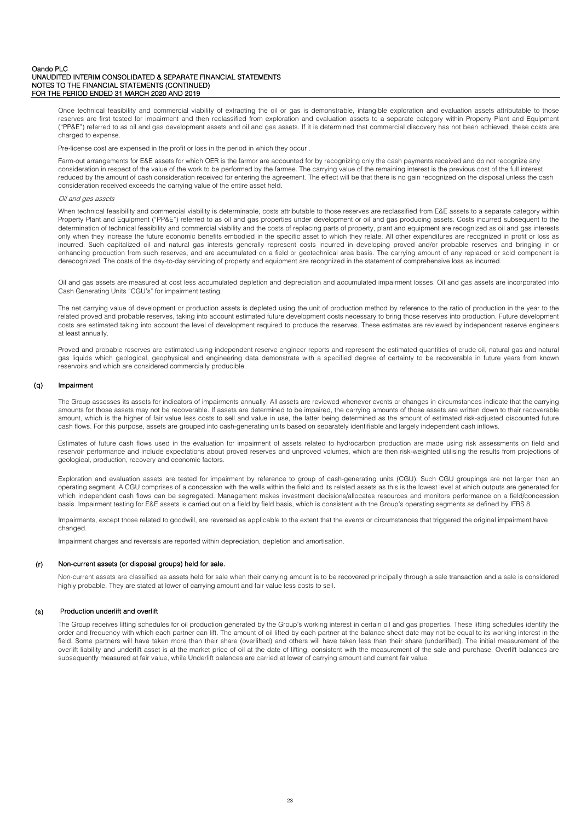Once technical feasibility and commercial viability of extracting the oil or gas is demonstrable, intangible exploration and evaluation assets attributable to those reserves are first tested for impairment and then reclassified from exploration and evaluation assets to a separate category within Property Plant and Equipment ("PP&E") referred to as oil and gas development assets and oil and gas assets. If it is determined that commercial discovery has not been achieved, these costs are charged to expense.

Pre-license cost are expensed in the profit or loss in the period in which they occur

Farm-out arrangements for E&E assets for which OER is the farmor are accounted for by recognizing only the cash payments received and do not recognize any consideration in respect of the value of the work to be performed by the farmee. The carrying value of the remaining interest is the previous cost of the full interest reduced by the amount of cash consideration received for entering the agreement. The effect will be that there is no gain recognized on the disposal unless the cash consideration received exceeds the carrying value of the entire asset held.

### Oil and gas assets

When technical feasibility and commercial viability is determinable, costs attributable to those reserves are reclassified from E&E assets to a separate category within Property Plant and Equipment ("PP&E") referred to as oil and gas properties under development or oil and gas producing assets. Costs incurred subsequent to the determination of technical feasibility and commercial viability and the costs of replacing parts of property, plant and equipment are recognized as oil and gas interests only when they increase the future economic benefits embodied in the specific asset to which they relate. All other expenditures are recognized in profit or loss as incurred. Such capitalized oil and natural gas interests generally represent costs incurred in developing proved and/or probable reserves and bringing in or enhancing production from such reserves, and are accumulated on a field or geotechnical area basis. The carrying amount of any replaced or sold component is derecognized. The costs of the day-to-day servicing of property and equipment are recognized in the statement of comprehensive loss as incurred.

Oil and gas assets are measured at cost less accumulated depletion and depreciation and accumulated impairment losses. Oil and gas assets are incorporated into Cash Generating Units "CGU's" for impairment testing.

The net carrying value of development or production assets is depleted using the unit of production method by reference to the ratio of production in the year to the related proved and probable reserves, taking into account estimated future development costs necessary to bring those reserves into production. Future development costs are estimated taking into account the level of development required to produce the reserves. These estimates are reviewed by independent reserve engineers at least annually.

Proved and probable reserves are estimated using independent reserve engineer reports and represent the estimated quantities of crude oil, natural gas and natural gas liquids which geological, geophysical and engineering data demonstrate with a specified degree of certainty to be recoverable in future years from known reservoirs and which are considered commercially producible.

#### (q) Impairment

The Group assesses its assets for indicators of impairments annually. All assets are reviewed whenever events or changes in circumstances indicate that the carrying amounts for those assets may not be recoverable. If assets are determined to be impaired, the carrying amounts of those assets are written down to their recoverable amount, which is the higher of fair value less costs to sell and value in use, the latter being determined as the amount of estimated risk-adjusted discounted future cash flows. For this purpose, assets are grouped into cash-generating units based on separately identifiable and largely independent cash inflows.

Estimates of future cash flows used in the evaluation for impairment of assets related to hydrocarbon production are made using risk assessments on field and reservoir performance and include expectations about proved reserves and unproved volumes, which are then risk-weighted utilising the results from projections of geological, production, recovery and economic factors.

Exploration and evaluation assets are tested for impairment by reference to group of cash-generating units (CGU). Such CGU groupings are not larger than an operating segment. A CGU comprises of a concession with the wells within the field and its related assets as this is the lowest level at which outputs are generated for which independent cash flows can be segregated. Management makes investment decisions/allocates resources and monitors performance on a field/concession basis. Impairment testing for E&E assets is carried out on a field by field basis, which is consistent with the Group's operating segments as defined by IFRS 8.

Impairments, except those related to goodwill, are reversed as applicable to the extent that the events or circumstances that triggered the original impairment have changed.

Impairment charges and reversals are reported within depreciation, depletion and amortisation.

# (r) Non-current assets (or disposal groups) held for sale.

Non-current assets are classified as assets held for sale when their carrying amount is to be recovered principally through a sale transaction and a sale is considered highly probable. They are stated at lower of carrying amount and fair value less costs to sell.

# (s) Production underlift and overlift

The Group receives lifting schedules for oil production generated by the Group's working interest in certain oil and gas properties. These lifting schedules identify the order and frequency with which each partner can lift. The amount of oil lifted by each partner at the balance sheet date may not be equal to its working interest in the field. Some partners will have taken more than their share (overlifted) and others will have taken less than their share (underlifted). The initial measurement of the overlift liability and underlift asset is at the market price of oil at the date of lifting, consistent with the measurement of the sale and purchase. Overlift balances are subsequently measured at fair value, while Underlift balances are carried at lower of carrying amount and current fair value.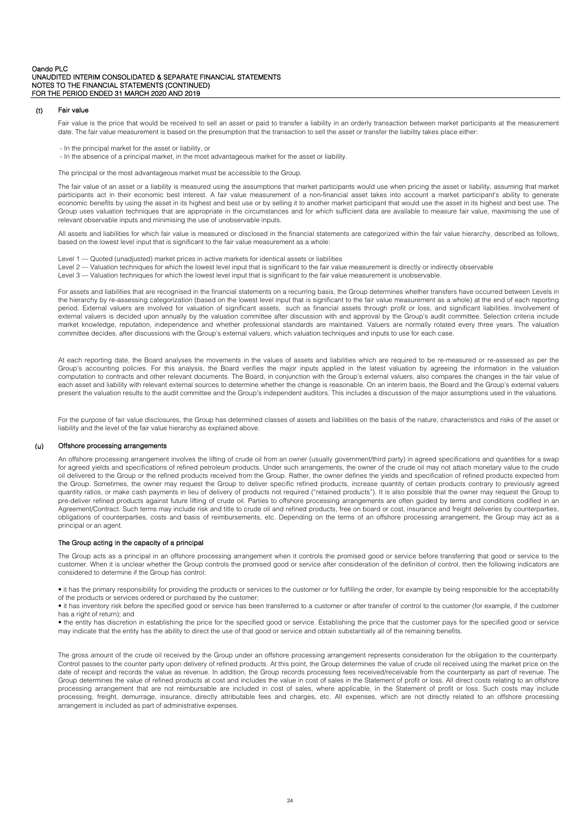# (t) Fair value

Fair value is the price that would be received to sell an asset or paid to transfer a liability in an orderly transaction between market participants at the measurement date. The fair value measurement is based on the presumption that the transaction to sell the asset or transfer the liability takes place either:

- In the principal market for the asset or liability, or
- In the absence of a principal market, in the most advantageous market for the asset or liability.

The principal or the most advantageous market must be accessible to the Group.

The fair value of an asset or a liability is measured using the assumptions that market participants would use when pricing the asset or liability, assuming that market participants act in their economic best interest. A fair value measurement of a non-financial asset takes into account a market participant's ability to generate economic benefits by using the asset in its highest and best use or by selling it to another market participant that would use the asset in its highest and best use. The Group uses valuation techniques that are appropriate in the circumstances and for which sufficient data are available to measure fair value, maximising the use of relevant observable inputs and minimising the use of unobservable inputs.

All assets and liabilities for which fair value is measured or disclosed in the financial statements are categorized within the fair value hierarchy, described as follows, based on the lowest level input that is significant to the fair value measurement as a whole:

Level 1 — Quoted (unadjusted) market prices in active markets for identical assets or liabilities

Level 2 — Valuation techniques for which the lowest level input that is significant to the fair value measurement is directly or indirectly observable

Level 3 — Valuation techniques for which the lowest level input that is significant to the fair value measurement is unobservable.

For assets and liabilities that are recognised in the financial statements on a recurring basis, the Group determines whether transfers have occurred between Levels in the hierarchy by re-assessing categorization (based on the lowest level input that is significant to the fair value measurement as a whole) at the end of each reporting period. External valuers are involved for valuation of significant assets, such as financial assets through profit or loss, and significant liabilities. Involvement of external valuers is decided upon annually by the valuation committee after discussion with and approval by the Group's audit committee. Selection criteria include market knowledge, reputation, independence and whether professional standards are maintained. Valuers are normally rotated every three years. The valuation committee decides, after discussions with the Group's external valuers, which valuation techniques and inputs to use for each case

At each reporting date, the Board analyses the movements in the values of assets and liabilities which are required to be re-measured or re-assessed as per the Group's accounting policies. For this analysis, the Board verifies the major inputs applied in the latest valuation by agreeing the information in the valuation computation to contracts and other relevant documents. The Board, in conjunction with the Group's external valuers, also compares the changes in the fair value of each asset and liability with relevant external sources to determine whether the change is reasonable. On an interim basis, the Board and the Group's external valuers present the valuation results to the audit committee and the Group's independent auditors. This includes a discussion of the major assumptions used in the valuations.

For the purpose of fair value disclosures, the Group has determined classes of assets and liabilities on the basis of the nature, characteristics and risks of the asset or liability and the level of the fair value hierarchy as explained above.

# (u) Offshore processing arrangements

An offshore processing arrangement involves the lifting of crude oil from an owner (usually government/third party) in agreed specifications and quantities for a swap for agreed yields and specifications of refined petroleum products. Under such arrangements, the owner of the crude oil may not attach monetary value to the crude oil delivered to the Group or the refined products received from the Group. Rather, the owner defines the yields and specification of refined products expected from the Group. Sometimes, the owner may request the Group to deliver specific refined products, increase quantity of certain products contrary to previously agreed quantity ratios, or make cash payments in lieu of delivery of products not required ("retained products"). It is also possible that the owner may request the Group to pre-deliver refined products against future lifting of crude oil. Parties to offshore processing arrangements are often guided by terms and conditions codified in an .<br>Agreement/Contract. Such terms may include risk and title to crude oil and refined products, free on board or cost, insurance and freight deliveries by counterparties. obligations of counterparties, costs and basis of reimbursements, etc. Depending on the terms of an offshore processing arrangement, the Group may act as a principal or an agent.

# The Group acting in the capacity of a principal

The Group acts as a principal in an offshore processing arrangement when it controls the promised good or service before transferring that good or service to the customer. When it is unclear whether the Group controls the promised good or service after consideration of the definition of control, then the following indicators are considered to determine if the Group has control:

• it has the primary responsibility for providing the products or services to the customer or for fulfilling the order, for example by being responsible for the acceptability of the products or services ordered or purchased by the customer;

• it has inventory risk before the specified good or service has been transferred to a customer or after transfer of control to the customer (for example, if the customer has a right of return); and

• the entity has discretion in establishing the price for the specified good or service. Establishing the price that the customer pays for the specified good or service may indicate that the entity has the ability to direct the use of that good or service and obtain substantially all of the remaining benefits.

The gross amount of the crude oil received by the Group under an offshore processing arrangement represents consideration for the obligation to the counterparty. Control passes to the counter party upon delivery of refined products. At this point, the Group determines the value of crude oil received using the market price on the date of receipt and records the value as revenue. In addition, the Group records processing fees received/receivable from the counterparty as part of revenue. The Group determines the value of refined products at cost and includes the value in cost of sales in the Statement of profit or loss. All direct costs relating to an offshore processing arrangement that are not reimbursable are included in cost of sales, where applicable, in the Statement of profit or loss. Such costs may include processing, freight, demurrage, insurance, directly attributable fees and charges, etc. All expenses, which are not directly related to an offshore processing arrangement is included as part of administrative expenses.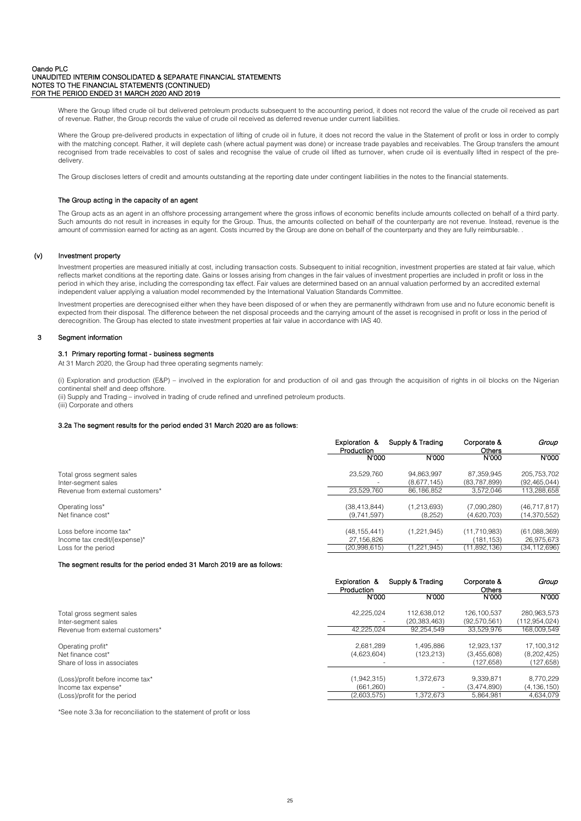Where the Group lifted crude oil but delivered petroleum products subsequent to the accounting period, it does not record the value of the crude oil received as part of revenue. Rather, the Group records the value of crude oil received as deferred revenue under current liabilities.

Where the Group pre-delivered products in expectation of lifting of crude oil in future, it does not record the value in the Statement of profit or loss in order to comply with the matching concept. Rather, it will deplete cash (where actual payment was done) or increase trade payables and receivables. The Group transfers the amount recognised from trade receivables to cost of sales and recognise the value of crude oil lifted as turnover, when crude oil is eventually lifted in respect of the predelivery.

The Group discloses letters of credit and amounts outstanding at the reporting date under contingent liabilities in the notes to the financial statements.

# The Group acting in the capacity of an agent

The Group acts as an agent in an offshore processing arrangement where the gross inflows of economic benefits include amounts collected on behalf of a third party. Such amounts do not result in increases in equity for the Group. Thus, the amounts collected on behalf of the counterparty are not revenue. Instead, revenue is the amount of commission earned for acting as an agent. Costs incurred by the Group are done on behalf of the counterparty and they are fully reimbursable. .

# (v) Investment property

Investment properties are measured initially at cost, including transaction costs. Subsequent to initial recognition, investment properties are stated at fair value, which reflects market conditions at the reporting date. Gains or losses arising from changes in the fair values of investment properties are included in profit or loss in the period in which they arise, including the corresponding tax effect. Fair values are determined based on an annual valuation performed by an accredited external independent valuer applying a valuation model recommended by the International Valuation Standards Committee.

Investment properties are derecognised either when they have been disposed of or when they are permanently withdrawn from use and no future economic benefit is expected from their disposal. The difference between the net disposal proceeds and the carrying amount of the asset is recognised in profit or loss in the period of derecognition. The Group has elected to state investment properties at fair value in accordance with IAS 40.

# 3 Segment information

# 3.1 Primary reporting format - business segments

At 31 March 2020, the Group had three operating segments namely:

(i) Exploration and production (E&P) – involved in the exploration for and production of oil and gas through the acquisition of rights in oil blocks on the Nigerian continental shelf and deep offshore.

(ii) Supply and Trading – involved in trading of crude refined and unrefined petroleum products. (iii) Corporate and others

# 3.2a The segment results for the period ended 31 March 2020 are as follows:

|                                  | Exploration &<br>Production | Supply & Trading         | Corporate &<br>Others | Group          |
|----------------------------------|-----------------------------|--------------------------|-----------------------|----------------|
|                                  | N'000                       | N'000                    | N'000                 | N'000          |
| Total gross segment sales        | 23.529.760                  | 94.863.997               | 87.359.945            | 205,753,702    |
| Inter-segment sales              |                             | (8.677.145)              | (83.787.899)          | (92, 465, 044) |
| Revenue from external customers* | 23.529.760                  | 86.186.852               | 3.572.046             | 113.288.658    |
| Operating loss*                  | (38.413.844)                | (1,213,693)              | (7,090,280)           | (46, 717, 817) |
| Net finance cost*                | (9.741.597)                 | (8,252)                  | (4,620,703)           | (14,370,552)   |
| Loss before income tax*          | (48.155.441)                | (1,221,945)              | (11.710.983)          | (61,088,369)   |
| Income tax credit/(expense)*     | 27.156.826                  | $\overline{\phantom{a}}$ | (181.153)             | 26.975.673     |
| Loss for the period              | (20.998.615)                | (1.221.945)              | (11.892.136)          | (34,112,696)   |

# The segment results for the period ended 31 March 2019 are as follows:

|                                  | Exploration &<br>Production | Supply & Trading | Corporate &<br>Others | Group           |
|----------------------------------|-----------------------------|------------------|-----------------------|-----------------|
|                                  | N'000                       | N'000            | N'000                 | N'000           |
| Total gross segment sales        | 42.225.024                  | 112.638.012      | 126.100.537           | 280.963.573     |
| Inter-segment sales              |                             | (20.383.463)     | (92.570.561)          | (112, 954, 024) |
| Revenue from external customers* | 42,225,024                  | 92,254,549       | 33.529.976            | 168,009,549     |
| Operating profit*                | 2.681.289                   | .495.886         | 12.923.137            | 17.100.312      |
| Net finance cost*                | (4,623,604)                 | (123,213)        | (3,455,608)           | (8,202,425)     |
| Share of loss in associates      |                             |                  | (127.658)             | (127, 658)      |
| (Loss)/profit before income tax* | (1,942,315)                 | 1.372.673        | 9.339.871             | 8.770.229       |
| Income tax expense*              | (661.260)                   |                  | (3.474.890)           | (4, 136, 150)   |
| (Loss)/profit for the period     | (2,603,575)                 | .372.673         | 5.864.981             | 4,634,079       |

\*See note 3.3a for reconciliation to the statement of profit or loss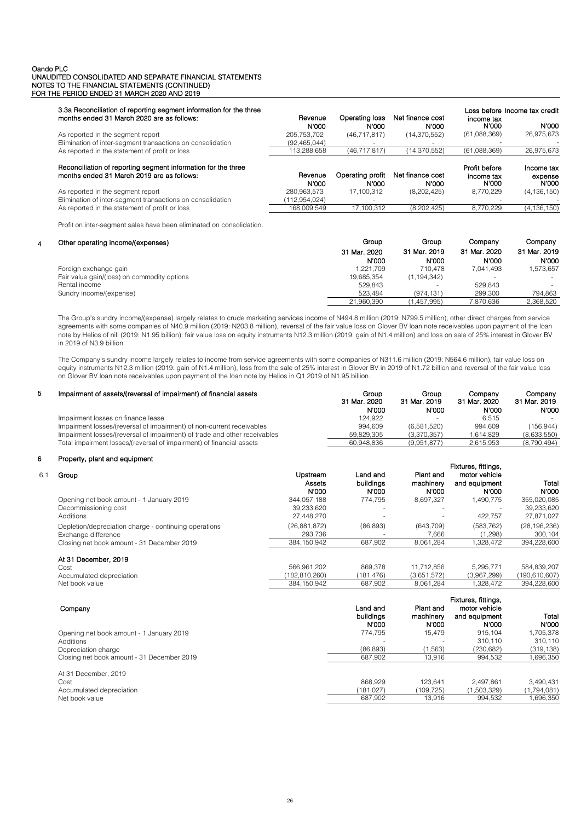| 3.3a Reconciliation of reporting segment information for the three<br>months ended 31 March 2020 are as follows: | Revenue<br>N'000 | Operating loss<br>N'000   | Net finance cost<br>N'000 | income tax<br><b>N'000</b>                  | Loss before Income tax credit<br><b>N'000</b> |
|------------------------------------------------------------------------------------------------------------------|------------------|---------------------------|---------------------------|---------------------------------------------|-----------------------------------------------|
| As reported in the segment report                                                                                | 205.753.702      | (46, 717, 817)            | (14, 370, 552)            | (61,088,369)                                | 26.975.673                                    |
| Elimination of inter-segment transactions on consolidation                                                       | (92.465.044)     |                           |                           |                                             |                                               |
| As reported in the statement of profit or loss                                                                   | 113.288.658      | (46.717.817)              | (14,370,552)              | (61,088,369)                                | 26.975.673                                    |
| Reconciliation of reporting segment information for the three<br>months ended 31 March 2019 are as follows:      | Revenue<br>N'000 | Operating profit<br>N'000 | Net finance cost<br>N'000 | Profit before<br>income tax<br><b>N'000</b> | Income tax<br>expense<br>N 000                |
| As reported in the segment report                                                                                | 280.963.573      | 17.100.312                | (8,202,425)               | 8,770,229                                   | (4, 136, 150)                                 |
| Elimination of inter-segment transactions on consolidation                                                       | (112.954.024)    | $\overline{\phantom{a}}$  |                           |                                             |                                               |
| As reported in the statement of profit or loss                                                                   | 168.009.549      | 17.100.312                | (8,202,425)               | 8.770.229                                   | (4, 136, 150)                                 |
|                                                                                                                  |                  |                           |                           |                                             |                                               |

Profit on inter-segment sales have been eliminated on consolidation.

# 4 Other operating income/(expenses) Group Group Company Company

| other operating income, experiency          |              |                          |              |              |
|---------------------------------------------|--------------|--------------------------|--------------|--------------|
|                                             | 31 Mar. 2020 | 31 Mar. 2019             | 31 Mar. 2020 | 31 Mar. 2019 |
|                                             | N'000        | <b>N'000</b>             | <b>N'000</b> | N'000        |
| Foreign exchange gain                       | 1.221.709    | 710.478                  | 7.041.493    | .573.657     |
| Fair value gain/(loss) on commodity options | 19.685.354   | (1.194.342)              |              |              |
| Rental income                               | 529.843      | $\overline{\phantom{a}}$ | 529.843      |              |
| Sundry income/(expense)                     | 523.484      | (974.131)                | 299,300      | 794.863      |
|                                             | 21.960.390   | (1.457.995)              | 7.870.636    | 2.368.520    |

The Group's sundry income/(expense) largely relates to crude marketing services income of N494.8 million (2019: N799.5 million), other direct charges from service agreements with some companies of N40.9 million (2019: N203.8 million), reversal of the fair value loss on Glover BV loan note receivables upon payment of the loan note by Helios of nill (2019: N1.95 billion), fair value loss on equity instruments N12.3 million (2019: gain of N1.4 million) and loss on sale of 25% interest in Glover BV in 2019 of N3.9 billion.

The Company's sundry income largely relates to income from service agreements with some companies of N311.6 million (2019: N564.6 million), fair value loss on equity instruments N12.3 million (2019: gain of N1.4 million), loss from the sale of 25% interest in Glover BV in 2019 of N1.72 billion and reversal of the fair value loss on Glover BV loan note receivables upon payment of the loan note by Helios in Q1 2019 of N1.95 billion.

| Impairment of assets/(reversal of impairment) of financial assets         | Group<br>31 Mar. 2020 | Group<br>31 Mar. 2019 | Company<br>31 Mar. 2020 | Company<br>31 Mar. 2019 |
|---------------------------------------------------------------------------|-----------------------|-----------------------|-------------------------|-------------------------|
|                                                                           | N'000                 | N'000                 | N'000                   | N 000                   |
| Impairment losses on finance lease                                        | 124.922               |                       | 6.515                   |                         |
| Impairment losses/(reversal of impairment) of non-current receivables     | 994.609               | (6.581.520)           | 994.609                 | (156.944)               |
| Impairment losses/(reversal of impairment) of trade and other receivables | 59.829.305            | (3.370.357)           | 1.614.829               | (8,633,550)             |
| Total impairment losses/(reversal of impairment) of financial assets      | 60.948.836            | (9.951.877)           | 2.615.953               | (8,790,494)             |

Fixtures, fittings,

Fixtures, fittings,

# 6 Property, plant and equipment

6.1

| Group                                                                        | Upstream<br>Assets<br>N'000 | Land and<br>buildings<br>N'000 | Plant and<br>machinery<br>N'000 | motor vehicle<br>and equipment<br>N'000 | Total<br>N'000            |
|------------------------------------------------------------------------------|-----------------------------|--------------------------------|---------------------------------|-----------------------------------------|---------------------------|
| Opening net book amount - 1 January 2019                                     | 344,057,188                 | 774.795                        | 8.697.327                       | 1.490.775                               | 355,020,085               |
| Decommissioning cost<br>Additions                                            | 39,233,620<br>27.448.270    | ۰                              |                                 | 422.757                                 | 39,233,620<br>27.871.027  |
| Depletion/depreciation charge - continuing operations<br>Exchange difference | (26, 881, 872)<br>293.736   | (86, 893)<br>۰                 | (643, 709)<br>7.666             | (583.762)<br>(1.298)                    | (28, 196, 236)<br>300.104 |
| Closing net book amount - 31 December 2019                                   | 384,150,942                 | 687.902                        | 8.061.284                       | 1.328.472                               | 394,228,600               |
| At 31 December, 2019                                                         |                             |                                |                                 |                                         |                           |

| Cost                     | 566.961.202   | 869.378   | 11.712.856  | 5.295.771   | 584.839.207   |
|--------------------------|---------------|-----------|-------------|-------------|---------------|
| Accumulated depreciation | (182.810.260) | (181.476) | (3.651.572) | (3.967.299) | (190.610.607) |
| Net book value           | 384.150.942   | 687.902   | 8.061.284   | 1.328.472   | 394.228.600   |
|                          |               |           |             |             |               |

|                                            |                       |                        | гиш <del>с</del> э шшцэ,       |             |
|--------------------------------------------|-----------------------|------------------------|--------------------------------|-------------|
| Company                                    | Land and<br>buildings | Plant and<br>machinery | motor vehicle<br>and equipment | Total       |
|                                            | N'000                 | N'000                  | N'000                          | N'000       |
| Opening net book amount - 1 January 2019   | 774.795               | 15.479                 | 915.104                        | 1.705.378   |
| Additions                                  |                       |                        | 310.110                        | 310.110     |
| Depreciation charge                        | (86, 893)             | 1,563                  | (230, 682)                     | (319, 138)  |
| Closing net book amount - 31 December 2019 | 687.902               | 13.916                 | 994.532                        | .696.350    |
| At 31 December, 2019                       |                       |                        |                                |             |
| Cost                                       | 868.929               | 123.641                | 2.497.861                      | 3.490.431   |
| Accumulated depreciation                   | (181.027)             | (109.725)              | (1,503,329)                    | (1,794,081) |
| Net book value                             | 687.902               | 13.916                 | 994.532                        | .696.350    |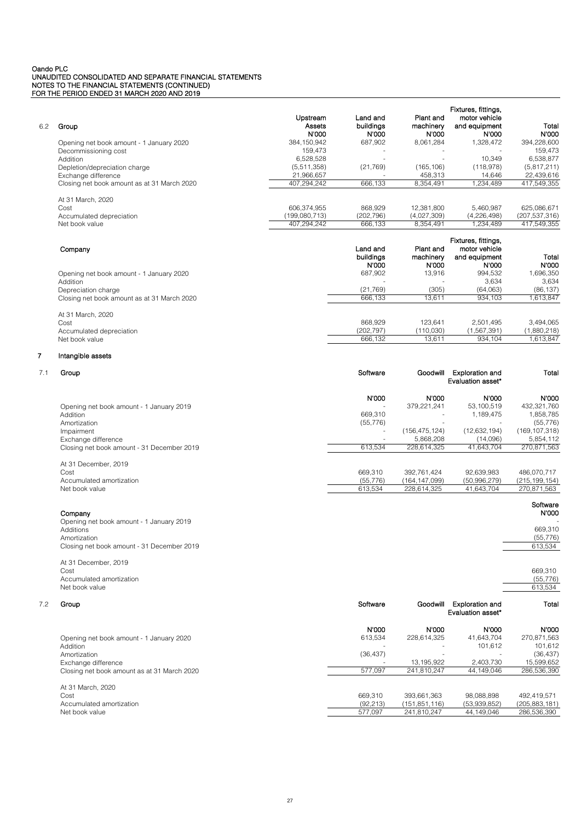|     |                                             | Upstream        | Land and                 | Plant and          | Fixtures, fittings,<br>motor vehicle |                 |
|-----|---------------------------------------------|-----------------|--------------------------|--------------------|--------------------------------------|-----------------|
| 6.2 | Group                                       | Assets<br>N'000 | buildings<br>N'000       | machinery<br>N'000 | and equipment<br>N'000               | Total<br>N'000  |
|     | Opening net book amount - 1 January 2020    | 384.150.942     | 687.902                  | 8.061.284          | 1,328,472                            | 394,228,600     |
|     | Decommissioning cost                        | 159.473         |                          |                    |                                      | 159.473         |
|     | Addition                                    | 6.528.528       | $\overline{\phantom{a}}$ |                    | 10.349                               | 6.538.877       |
|     | Depletion/depreciation charge               | (5,511,358)     | (21,769)                 | (165.106)          | (118.978)                            | (5,817,211)     |
|     | Exchange difference                         | 21.966.657      |                          | 458.313            | 14.646                               | 22.439.616      |
|     | Closing net book amount as at 31 March 2020 | 407,294,242     | 666,133                  | 8,354,491          | 1.234.489                            | 417,549,355     |
|     | At 31 March, 2020                           |                 |                          |                    |                                      |                 |
|     | Cost                                        | 606.374.955     | 868,929                  | 12.381.800         | 5.460.987                            | 625,086,671     |
|     | Accumulated depreciation                    | (199.080.713)   | (202.796)                | (4.027.309)        | (4.226.498)                          | (207, 537, 316) |

| Company                                     | Land and<br>buildings<br>N'000 | Plant and<br>machinery<br>N'000 | Fixtures, fittings,<br>motor vehicle<br>and equipment<br>N'000 | Total<br>N'000 |
|---------------------------------------------|--------------------------------|---------------------------------|----------------------------------------------------------------|----------------|
| Opening net book amount - 1 January 2020    | 687,902                        | 13.916                          | 994.532                                                        | ,696,350       |
| Addition                                    |                                |                                 | 3.634                                                          | 3.634          |
| Depreciation charge                         | (21,769)                       | (305)                           | (64,063)                                                       | (86, 137)      |
| Closing net book amount as at 31 March 2020 | 666.133                        | 13.611                          | 934.103                                                        | ,613,847       |
| At 31 March, 2020                           |                                |                                 |                                                                |                |
| Cost                                        | 868.929                        | 123.641                         | 2.501.495                                                      | 3.494.065      |
| Accumulated depreciation                    | (202, 797)                     | (110,030)                       | (1,567,391)                                                    | (1,880,218)    |
| Net book value                              | 666.132                        | 13.611                          | 934.104                                                        | .613.847       |

Net book value 407,294,242 666,133 8,354,491 1,234,489 417,549,355

# 7 Intangible assets

| 7.1 | Group                                      | Software                 | Goodwill      | <b>Exploration and</b><br>Evaluation asset* | Total           |
|-----|--------------------------------------------|--------------------------|---------------|---------------------------------------------|-----------------|
|     |                                            | N'000                    | N'000         | N'000                                       | N'000           |
|     | Opening net book amount - 1 January 2019   |                          | 379.221.241   | 53.100.519                                  | 432,321,760     |
|     | Addition                                   | 669,310                  | ۰             | 1.189.475                                   | 1,858,785       |
|     | Amortization                               | (55, 776)                |               |                                             | (55, 776)       |
|     | Impairment                                 | $\overline{\phantom{a}}$ | (156.475.124) | (12,632,194)                                | (169, 107, 318) |
|     | Exchange difference                        |                          | 5.868.208     | (14,096)                                    | 5,854,112       |
|     | Closing net book amount - 31 December 2019 | 613.534                  | 228.614.325   | 41.643.704                                  | 270,871,563     |
|     | At 31 December, 2019                       |                          |               |                                             |                 |
|     | Cost                                       | 669.310                  | 392.761.424   | 92.639.983                                  | 486.070.717     |
|     | Accumulated amortization                   | (55, 776)                | (164,147,099) | (50,996,279)                                | (215, 199, 154) |

Net book value 613,534 228,614,325 41,643,704 270,871,563

Software<br>N'000

Total

| N'000 |
|-------|
|       |

| Opening net book amount - 1 January 2019   |           |
|--------------------------------------------|-----------|
| <b>Additions</b>                           | 669,310   |
| Amortization                               | (55, 776) |
| Closing net book amount - 31 December 2019 | 613.534   |

At 31 December, 2019 Cost 669,310 Accumulated amortization<br>
Accumulated amortization<br>
Net book value 613,534<br>
Accumulated amortization<br>
165,776) Net book value 613,534

### Group Group Software Goodwill Exploration and 7.2

|                                             |           |               | Evaluation asset* |               |
|---------------------------------------------|-----------|---------------|-------------------|---------------|
|                                             | N'000     | N'000         | N'000             | <b>N'000</b>  |
| Opening net book amount - 1 January 2020    | 613,534   | 228,614,325   | 41,643,704        | 270,871,563   |
| Addition                                    |           |               | 101.612           | 101.612       |
| Amortization                                | (36, 437) | ۰             |                   | (36, 437)     |
| Exchange difference                         |           | 13.195.922    | 2,403,730         | 15,599,652    |
| Closing net book amount as at 31 March 2020 | 577.097   | 241,810,247   | 44.149.046        | 286,536,390   |
| At 31 March, 2020                           |           |               |                   |               |
| Cost                                        | 669,310   | 393.661.363   | 98.088.898        | 492.419.571   |
| Accumulated amortization                    | (92, 213) | (151,851,116) | (53,939,852)      | (205,883,181) |
| Net book value                              | 577.097   | 241.810.247   | 44.149.046        | 286.536.390   |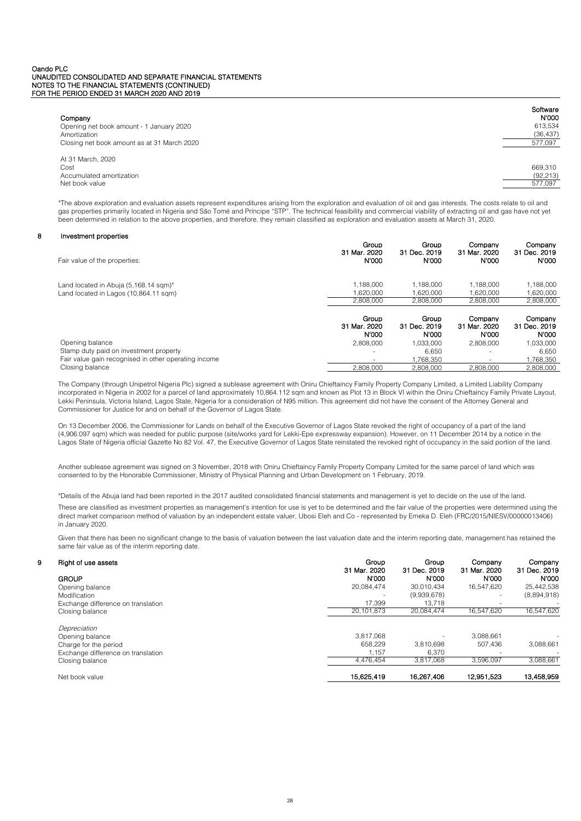| Company                                     | Software<br>N'000 |
|---------------------------------------------|-------------------|
| Opening net book amount - 1 January 2020    | 613.534           |
| Amortization                                | (36, 437)         |
| Closing net book amount as at 31 March 2020 | 577,097           |
| At 31 March, 2020                           |                   |
| Cost                                        | 669.310           |
| Accumulated amortization                    | (92, 213)         |
| Net book value                              | 577.097           |
|                                             |                   |

\*The above exploration and evaluation assets represent expenditures arising from the exploration and evaluation of oil and gas interests. The costs relate to oil and gas properties primarily located in Nigeria and São Tomé and Príncipe "STP". The technical feasibility and commercial viability of extracting oil and gas have not yet been determined in relation to the above properties, and therefore, they remain classified as exploration and evaluation assets at March 31, 2020.

# 8 Investment properties

| Fair value of the properties:                        | Group<br>31 Mar. 2020<br>N'000 | Group<br>31 Dec. 2019<br>N'000 | Company<br>31 Mar. 2020<br>N'000 | Company<br>31 Dec. 2019<br>N'000        |
|------------------------------------------------------|--------------------------------|--------------------------------|----------------------------------|-----------------------------------------|
| Land located in Abuja (5,168.14 sqm)*                | 1.188.000                      | 1.188.000                      | 1.188.000                        | 1,188,000                               |
| Land located in Lagos (10,864.11 sqm)                | 1.620.000<br>2.808.000         | 1.620.000<br>2,808,000         | 1.620.000<br>2.808.000           | 1.620.000<br>2,808,000                  |
|                                                      |                                |                                |                                  |                                         |
|                                                      | Group<br>31 Mar. 2020<br>N'000 | Group<br>31 Dec. 2019<br>N'000 | Company<br>31 Mar. 2020<br>N'000 | Company<br>31 Dec. 2019<br><b>N'000</b> |
| Opening balance                                      | 2.808.000                      | 1.033.000                      | 2.808.000                        | 1.033.000                               |
| Stamp duty paid on investment property               | ٠                              | 6.650                          | $\overline{\phantom{a}}$         | 6.650                                   |
| Fair value gain recognised in other operating income | ٠                              | 1.768.350                      | $\overline{\phantom{a}}$         | ,768,350                                |
| Closing balance                                      | 2.808.000                      | 2.808.000                      | 2.808.000                        | 2.808.000                               |

The Company (through Unipetrol Nigeria Plc) signed a sublease agreement with Oniru Chieftaincy Family Property Company Limited, a Limited Liability Company incorporated in Nigeria in 2002 for a parcel of land approximately 10,864.112 sqm and known as Plot 13 in Block VI within the Oniru Chieftaincy Family Private Layout, Lekki Peninsula, Victoria Island, Lagos State, Nigeria for a consideration of N95 million. This agreement did not have the consent of the Attorney General and Commissioner for Justice for and on behalf of the Governor of Lagos State.

On 13 December 2006, the Commissioner for Lands on behalf of the Executive Governor of Lagos State revoked the right of occupancy of a part of the land (4,906.097 sqm) which was needed for public purpose (site/works yard for Lekki-Epe expressway expansion). However, on 11 December 2014 by a notice in the Lagos State of Nigeria official Gazette No 82 Vol. 47, the Executive Governor of Lagos State reinstated the revoked right of occupancy in the said portion of the land.

Another sublease agreement was signed on 3 November, 2018 with Oniru Chieftaincy Family Property Company Limited for the same parcel of land which was consented to by the Honorable Commissioner, Ministry of Physical Planning and Urban Development on 1 February, 2019.

\*Details of the Abuja land had been reported in the 2017 audited consolidated financial statements and management is yet to decide on the use of the land.

These are classified as investment properties as management's intention for use is yet to be determined and the fair value of the properties were determined using the direct market comparison method of valuation by an independent estate valuer, Ubosi Eleh and Co - represented by Emeka D. Eleh (FRC/2015/NIESV/00000013406) in January 2020.

Given that there has been no significant change to the basis of valuation between the last valuation date and the interim reporting date, management has retained the same fair value as of the interim reporting date.

| 9 | Right of use assets                | Group<br>31 Mar. 2020 | Group<br>31 Dec. 2019 | Company<br>31 Mar. 2020  | Company<br>31 Dec. 2019 |
|---|------------------------------------|-----------------------|-----------------------|--------------------------|-------------------------|
|   | <b>GROUP</b>                       | N'000                 | N'000                 | N'000                    | N'000                   |
|   | Opening balance                    | 20.084.474            | 30.010.434            | 16.547.620               | 25,442,538              |
|   | Modification                       |                       | (9,939,678)           | $\overline{\phantom{a}}$ | (8,894,918)             |
|   | Exchange difference on translation | 17.399                | 13.718                | $\sim$                   |                         |
|   | Closing balance                    | 20,101,873            | 20.084.474            | 16.547.620               | 16,547,620              |
|   | Depreciation                       |                       |                       |                          |                         |
|   | Opening balance                    | 3,817,068             |                       | 3.088.661                |                         |
|   | Charge for the period              | 658,229               | 3.810.698             | 507.436                  | 3.088.661               |
|   | Exchange difference on translation | 1.157                 | 6.370                 |                          |                         |
|   | Closing balance                    | 4.476.454             | 3.817.068             | 3.596.097                | 3.088.661               |
|   | Net book value                     | 15.625.419            | 16,267,406            | 12.951.523               | 13,458,959              |
|   |                                    |                       |                       |                          |                         |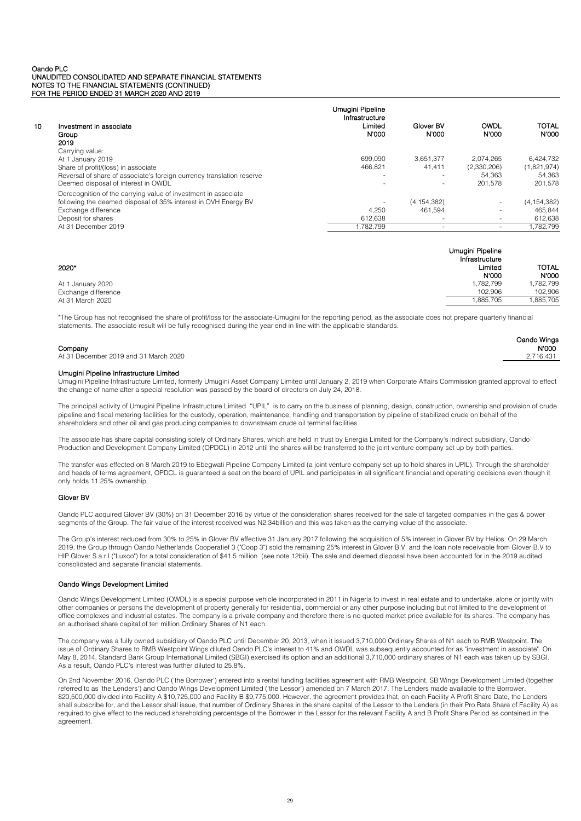|    |                                                                       | Umugini Pipeline<br>Infrastructure |               |                          |               |
|----|-----------------------------------------------------------------------|------------------------------------|---------------|--------------------------|---------------|
| 10 | Investment in associate                                               | Limited                            | Glover BV     | <b>OWDL</b>              | <b>TOTAL</b>  |
|    | Group                                                                 | N'000                              | N'000         | N'000                    | N'000         |
|    | 2019                                                                  |                                    |               |                          |               |
|    | Carrying value:                                                       |                                    |               |                          |               |
|    | At 1 January 2019                                                     | 699.090                            | 3.651.377     | 2.074.265                | 6.424.732     |
|    | Share of profit/(loss) in associate                                   | 466.821                            | 41.411        | (2,330,206)              | (1,821,974)   |
|    | Reversal of share of associate's foreign currency translation reserve |                                    |               | 54.363                   | 54.363        |
|    | Deemed disposal of interest in OWDL                                   |                                    | ٠             | 201.578                  | 201.578       |
|    | Derecognition of the carrying value of investment in associate        |                                    |               |                          |               |
|    | following the deemed disposal of 35% interest in OVH Energy BV        |                                    | (4, 154, 382) | $\overline{\phantom{a}}$ | (4, 154, 382) |
|    | Exchange difference                                                   | 4.250                              | 461.594       | $\overline{\phantom{a}}$ | 465.844       |
|    | Deposit for shares                                                    | 612,638                            | $\sim$        | $\overline{\phantom{a}}$ | 612,638       |
|    | At 31 December 2019                                                   | 1.782.799                          | ۰             | $\overline{\phantom{a}}$ | 1.782.799     |

|                     | Umugini Pipeline<br>Infrastructure |              |
|---------------------|------------------------------------|--------------|
| 2020*               | ∟imited                            | <b>TOTAL</b> |
|                     | N'000                              | N'000        |
| At 1 January 2020   | 1.782.799                          | ,782,799     |
| Exchange difference | 102.906                            | 102,906      |
| At 31 March 2020    | 1.885.705                          | .885.705     |

\*The Group has not recognised the share of profit/loss for the associate-Umugini for the reporting period, as the associate does not prepare quarterly financial statements. The associate result will be fully recognised during the year end in line with the applicable standards.

|                                       | Oando Wings |
|---------------------------------------|-------------|
| Company                               | N'000       |
| At 31 December 2019 and 31 March 2020 | 2.716.431   |
|                                       |             |

# Umugini Pipeline Infrastructure Limited

Umugini Pipeline Infrastructure Limited, formerly Umugini Asset Company Limited until January 2, 2019 when Corporate Affairs Commission granted approval to effect the change of name after a special resolution was passed by the board of directors on July 24, 2018.

The principal activity of Umugini Pipeline Infrastructure Limited "UPIL" is to carry on the business of planning, design, construction, ownership and provision of crude pipeline and fiscal metering facilities for the custody, operation, maintenance, handling and transportation by pipeline of stabilized crude on behalf of the shareholders and other oil and gas producing companies to downstream crude oil terminal facilities.

The associate has share capital consisting solely of Ordinary Shares, which are held in trust by Energia Limited for the Company's indirect subsidiary, Oando Production and Development Company Limited (OPDCL) in 2012 until the shares will be transferred to the joint venture company set up by both parties.

The transfer was effected on 8 March 2019 to Ebegwati Pipeline Company Limited (a joint venture company set up to hold shares in UPIL). Through the shareholder and heads of terms agreement, OPDCL is guaranteed a seat on the board of UPIL and participates in all significant financial and operating decisions even though it only holds 11.25% ownership.

# Glover BV

Oando PLC acquired Glover BV (30%) on 31 December 2016 by virtue of the consideration shares received for the sale of targeted companies in the gas & power segments of the Group. The fair value of the interest received was N2.34billion and this was taken as the carrying value of the associate.

The Group's interest reduced from 30% to 25% in Glover BV effective 31 January 2017 following the acquisition of 5% interest in Glover BV by Helios. On 29 March 2019, the Group through Oando Netherlands Cooperatief 3 ("Coop 3") sold the remaining 25% interest in Glover B.V. and the loan note receivable from Glover B.V to HIP Glover S.a.r.l ("Luxco") for a total consideration of \$41.5 million (see note 12bii). The sale and deemed disposal have been accounted for in the 2019 audited consolidated and separate financial statements.

# Oando Wings Development Limited

Oando Wings Development Limited (OWDL) is a special purpose vehicle incorporated in 2011 in Nigeria to invest in real estate and to undertake, alone or jointly with other companies or persons the development of property generally for residential, commercial or any other purpose including but not limited to the development of office complexes and industrial estates. The company is a private company and therefore there is no quoted market price available for its shares. The company has an authorised share capital of ten million Ordinary Shares of N1 each.

The company was a fully owned subsidiary of Oando PLC until December 20, 2013, when it issued 3,710,000 Ordinary Shares of N1 each to RMB Westpoint. The issue of Ordinary Shares to RMB Westpoint Wings diluted Oando PLC's interest to 41% and OWDL was subsequently accounted for as "investment in associate". On May 8, 2014, Standard Bank Group International Limited (SBGI) exercised its option and an additional 3,710,000 ordinary shares of N1 each was taken up by SBGI. As a result, Oando PLC's interest was further diluted to 25.8%.

On 2nd November 2016, Oando PLC ('the Borrower') entered into a rental funding facilities agreement with RMB Westpoint, SB Wings Development Limited (together referred to as 'the Lenders') and Oando Wings Development Limited ('the Lessor') amended on 7 March 2017. The Lenders made available to the Borrower, \$20,500,000 divided into Facility A \$10,725,000 and Facility B \$9,775,000. However, the agreement provides that, on each Facility A Profit Share Date, the Lenders shall subscribe for, and the Lessor shall issue, that number of Ordinary Shares in the share capital of the Lessor to the Lenders (in their Pro Rata Share of Facility A) as required to give effect to the reduced shareholding percentage of the Borrower in the Lessor for the relevant Facility A and B Profit Share Period as contained in the agreement.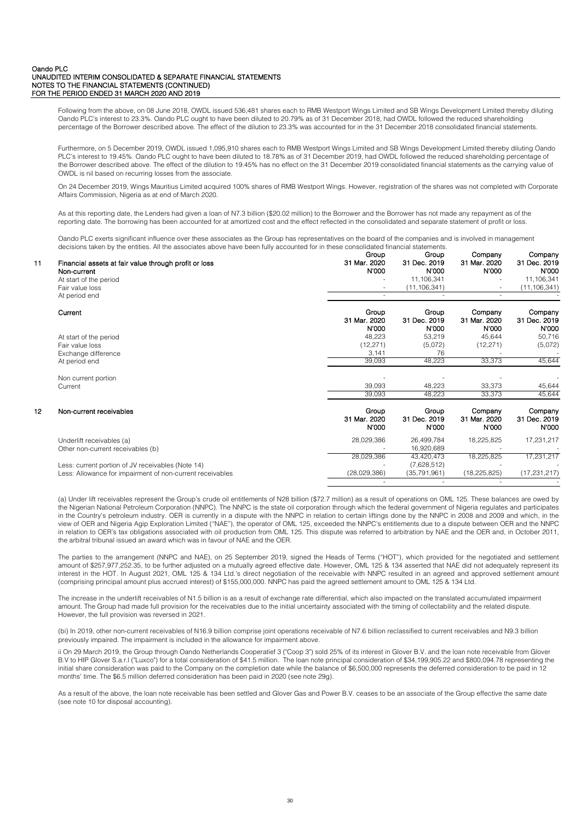Following from the above, on 08 June 2018, OWDL issued 536,481 shares each to RMB Westport Wings Limited and SB Wings Development Limited thereby diluting Oando PLC's interest to 23.3%. Oando PLC ought to have been diluted to 20.79% as of 31 December 2018, had OWDL followed the reduced shareholding percentage of the Borrower described above. The effect of the dilution to 23.3% was accounted for in the 31 December 2018 consolidated financial statements.

Furthermore, on 5 December 2019, OWDL issued 1,095,910 shares each to RMB Westport Wings Limited and SB Wings Development Limited thereby diluting Oando PLC's interest to 19.45%. Oando PLC ought to have been diluted to 18.78% as of 31 December 2019, had OWDL followed the reduced shareholding percentage of the Borrower described above. The effect of the dilution to 19.45% has no effect on the 31 December 2019 consolidated financial statements as the carrying value of OWDL is nil based on recurring losses from the associate.

On 24 December 2019, Wings Mauritius Limited acquired 100% shares of RMB Westport Wings. However, registration of the shares was not completed with Corporate Affairs Commission, Nigeria as at end of March 2020.

As at this reporting date, the Lenders had given a loan of N7.3 billion (\$20.02 million) to the Borrower and the Borrower has not made any repayment as of the reporting date. The borrowing has been accounted for at amortized cost and the effect reflected in the consolidated and separate statement of profit or loss.

Oando PLC exerts significant influence over these associates as the Group has representatives on the board of the companies and is involved in management decisions taken by the entities. All the associates above have been fully accounted for in these consolidated financial statements.

| 11 | Financial assets at fair value through profit or loss<br>Non-current<br>At start of the period<br>Fair value loss | Group<br>31 Mar. 2020<br>N'000 | Group<br>31 Dec. 2019<br>N'000<br>11,106,341<br>(11, 106, 341) | Company<br>31 Mar. 2020<br>N'000<br>٠ | Company<br>31 Dec. 2019<br>N'000<br>11,106,341<br>(11, 106, 341) |
|----|-------------------------------------------------------------------------------------------------------------------|--------------------------------|----------------------------------------------------------------|---------------------------------------|------------------------------------------------------------------|
|    | At period end<br>Current                                                                                          | Group<br>31 Mar. 2020<br>N'000 | Group<br>31 Dec. 2019<br>N'000                                 | Company<br>31 Mar. 2020<br>N'000      | Company<br>31 Dec. 2019<br>N'000                                 |
|    | At start of the period<br>Fair value loss<br>Exchange difference                                                  | 48,223<br>(12, 271)<br>3.141   | 53,219<br>(5,072)<br>76                                        | 45,644<br>(12, 271)                   | 50,716<br>(5,072)                                                |
|    | At period end<br>Non current portion<br>Current                                                                   | 39,093<br>39,093<br>39,093     | 48,223<br>48.223<br>48.223                                     | 33,373<br>33.373<br>33,373            | 45,644<br>45,644<br>45,644                                       |
| 12 | Non-current receivables                                                                                           | Group<br>31 Mar. 2020<br>N'000 | Group<br>31 Dec. 2019<br>N'000                                 | Company<br>31 Mar. 2020<br>N'000      | Company<br>31 Dec. 2019<br>N'000                                 |
|    | Underlift receivables (a)<br>Other non-current receivables (b)                                                    | 28,029,386<br>28,029,386       | 26,499,784<br>16,920,689<br>43,420,473                         | 18,225,825<br>18,225,825              | 17,231,217<br>17,231,217                                         |
|    | Less: current portion of JV receivables (Note 14)<br>Less: Allowance for impairment of non-current receivables    | (28,029,386)                   | (7,628,512)<br>(35, 791, 961)                                  | (18, 225, 825)                        | (17, 231, 217)                                                   |

(a) Under lift receivables represent the Group's crude oil entitlements of N28 billion (\$72.7 million) as a result of operations on OML 125. These balances are owed by the Nigerian National Petroleum Corporation (NNPC). The NNPC is the state oil corporation through which the federal government of Nigeria regulates and participates in the Country's petroleum industry. OER is currently in a dispute with the NNPC in relation to certain liftings done by the NNPC in 2008 and 2009 and which, in the view of OER and Nigeria Agip Exploration Limited ("NAE"), the operator of OML 125, exceeded the NNPC's entitlements due to a dispute between OER and the NNPC in relation to OER's tax obligations associated with oil production from OML 125. This dispute was referred to arbitration by NAE and the OER and, in October 2011, the arbitral tribunal issued an award which was in favour of NAE and the OER.

The parties to the arrangement (NNPC and NAE), on 25 September 2019, signed the Heads of Terms ("HOT"), which provided for the negotiated and settlement amount of \$257,977,252.35, to be further adjusted on a mutually agreed effective date. However, OML 125 & 134 asserted that NAE did not adequately represent its interest in the HOT. In August 2021, OML 125 & 134 Ltd.'s direct negotiation of the receivable with NNPC resulted in an agreed and approved settlement amount (comprising principal amount plus accrued interest) of \$155,000,000. NNPC has paid the agreed settlement amount to OML 125 & 134 Ltd.

The increase in the underlift receivables of N1.5 billion is as a result of exchange rate differential, which also impacted on the translated accumulated impairment amount. The Group had made full provision for the receivables due to the initial uncertainty associated with the timing of collectability and the related dispute. However, the full provision was reversed in 2021.

(bi) In 2019, other non-current receivables of N16.9 billion comprise joint operations receivable of N7.6 billion reclassified to current receivables and N9.3 billion previously impaired. The impairment is included in the allowance for impairment above.

ii On 29 March 2019, the Group through Oando Netherlands Cooperatief 3 ("Coop 3") sold 25% of its interest in Glover B.V. and the loan note receivable from Glover B.V to HIP Glover S.a.r.l ("Luxco") for a total consideration of \$41.5 million. The loan note principal consideration of \$34,199,905.22 and \$800,094.78 representing the initial share consideration was paid to the Company on the completion date while the balance of \$6,500,000 represents the deferred consideration to be paid in 12 months' time. The \$6.5 million deferred consideration has been paid in 2020 (see note 29g).

As a result of the above, the loan note receivable has been settled and Glover Gas and Power B.V. ceases to be an associate of the Group effective the same date (see note 10 for disposal accounting).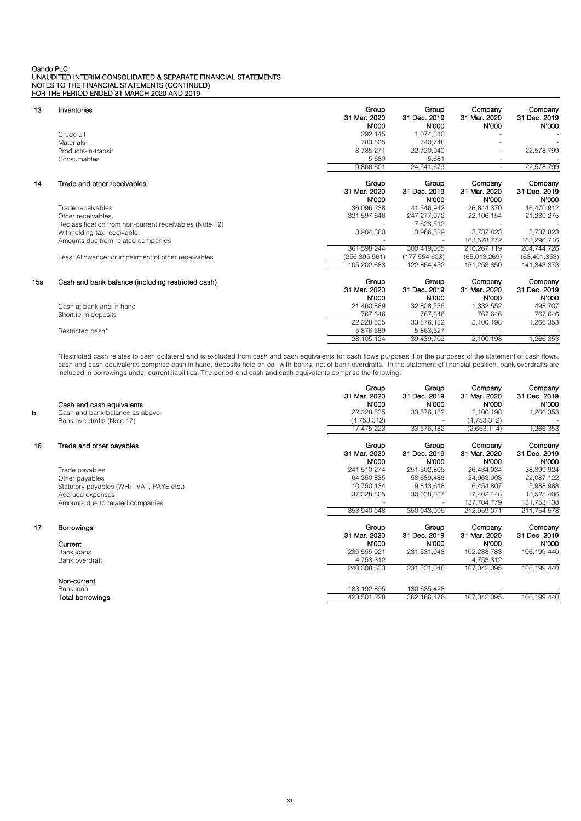| 13         | Inventories                                             | Group           | Group         | Company        | Company        |
|------------|---------------------------------------------------------|-----------------|---------------|----------------|----------------|
|            |                                                         | 31 Mar. 2020    | 31 Dec. 2019  | 31 Mar. 2020   | 31 Dec. 2019   |
|            |                                                         | N'000           | N'000         | N'000          | N'000          |
|            | Crude oil                                               | 292,145         | 1,074,310     |                |                |
|            | Materials                                               | 783.505         | 740.748       |                |                |
|            | Products-in-transit                                     | 8.785.271       | 22,720,940    |                | 22,578,799     |
|            | Consumables                                             | 5,680           | 5,681         | $\blacksquare$ |                |
|            |                                                         | 9,866,601       | 24,541,679    | $\sim$         | 22,578,799     |
| 14         | Trade and other receivables                             | Group           | Group         | Company        | Company        |
|            |                                                         | 31 Mar. 2020    | 31 Dec. 2019  | 31 Mar. 2020   | 31 Dec. 2019   |
|            |                                                         | N'000           | N'000         | N'000          | N'000          |
|            | Trade receivables                                       | 36.096.238      | 41.546.942    | 26.844.370     | 16,470,912     |
|            | Other receivables                                       | 321,597,646     | 247.277.072   | 22,106,154     | 21,239,275     |
|            | Reclassification from non-current receivables (Note 12) |                 | 7.628.512     |                |                |
|            | Withholding tax receivable                              | 3,904,360       | 3.966.529     | 3.737.823      | 3.737.823      |
|            | Amounts due from related companies                      |                 |               | 163.578.772    | 163,296,716    |
|            |                                                         | 361.598.244     | 300.419.055   | 216.267.119    | 204,744,726    |
|            | Less: Allowance for impairment of other receivables     | (256, 395, 561) | (177,554,603) | (65,013,269)   | (63, 401, 353) |
|            |                                                         | 105,202,683     | 122,864,452   | 151,253,850    | 141,343,373    |
| <b>15a</b> | Cash and bank balance (including restricted cash)       | Group           | Group         | Company        | Company        |
|            |                                                         | 31 Mar. 2020    | 31 Dec. 2019  | 31 Mar. 2020   | 31 Dec. 2019   |
|            |                                                         | N'000           | N'000         | N'000          | N 000          |
|            | Cash at bank and in hand                                | 21.460.889      | 32.808.536    | 1,332,552      | 498,707        |
|            | Short term deposits                                     | 767,646         | 767,646       | 767,646        | 767,646        |
|            |                                                         | 22.228.535      | 33.576.182    | 2,100,198      | 1,266,353      |
|            | Restricted cash*                                        | 5,876,589       | 5,863,527     |                |                |
|            |                                                         | 28, 105, 124    | 39,439,709    | 2.100.198      | 1,266,353      |
|            |                                                         |                 |               |                |                |

\*Restricted cash relates to cash collateral and is excluded from cash and cash equivalents for cash flows purposes. For the purposes of the statement of cash flows, cash and cash equivalents comprise cash in hand, deposits held on call with banks, net of bank overdrafts. In the statement of financial position, bank overdrafts are included in borrowings under current liabilities. The period-end cash and cash equivalents comprise the following:

|    |                                          | Group         | Group        | Company      | Company       |
|----|------------------------------------------|---------------|--------------|--------------|---------------|
|    |                                          | 31 Mar. 2020  | 31 Dec. 2019 | 31 Mar. 2020 | 31 Dec. 2019  |
|    | Cash and cash equivalents                | N'000         | N'000        | N'000        | N'000         |
| b  | Cash and bank balance as above           | 22,228,535    | 33,576,182   | 2,100,198    | 1,266,353     |
|    | Bank overdrafts (Note 17)                | (4,753,312)   |              | (4,753,312)  |               |
|    |                                          | 17,475,223    | 33,576,182   | (2,653,114)  | 1,266,353     |
| 16 | Trade and other payables                 | Group         | Group        | Company      | Company       |
|    |                                          | 31 Mar. 2020  | 31 Dec. 2019 | 31 Mar. 2020 | 31 Dec. 2019  |
|    |                                          | N'000         | N'000        | N'000        | N'000         |
|    | Trade payables                           | 241,510,274   | 251,502,805  | 26,434,034   | 38,399,924    |
|    | Other payables                           | 64,350,835    | 58,689,486   | 24,963,003   | 22,087,122    |
|    | Statutory payables (WHT, VAT, PAYE etc.) | 10,750,134    | 9,813,618    | 6,454,807    | 5,988,988     |
|    | Accrued expenses                         | 37,328,805    | 30,038,087   | 17,402,448   | 13,525,406    |
|    | Amounts due to related companies         |               |              | 137,704,779  | 131,753,138   |
|    |                                          | 353.940.048   | 350,043,996  | 212,959,071  | 211,754,578   |
| 17 | <b>Borrowings</b>                        | Group         | Group        | Company      | Company       |
|    |                                          | 31 Mar. 2020  | 31 Dec. 2019 | 31 Mar. 2020 | 31 Dec. 2019  |
|    | Current                                  | N'000         | N'000        | N'000        | N'000         |
|    | Bank loans                               | 235,555,021   | 231,531,048  | 102,288,783  | 106, 199, 440 |
|    | Bank overdraft                           | 4,753,312     |              | 4,753,312    |               |
|    |                                          | 240,308,333   | 231,531,048  | 107,042,095  | 106, 199, 440 |
|    | Non-current                              |               |              |              |               |
|    | Bank loan                                | 183, 192, 895 | 130,635,428  |              |               |
|    | Total borrowings                         | 423,501,228   | 362,166,476  | 107,042,095  | 106, 199, 440 |
|    |                                          |               |              |              |               |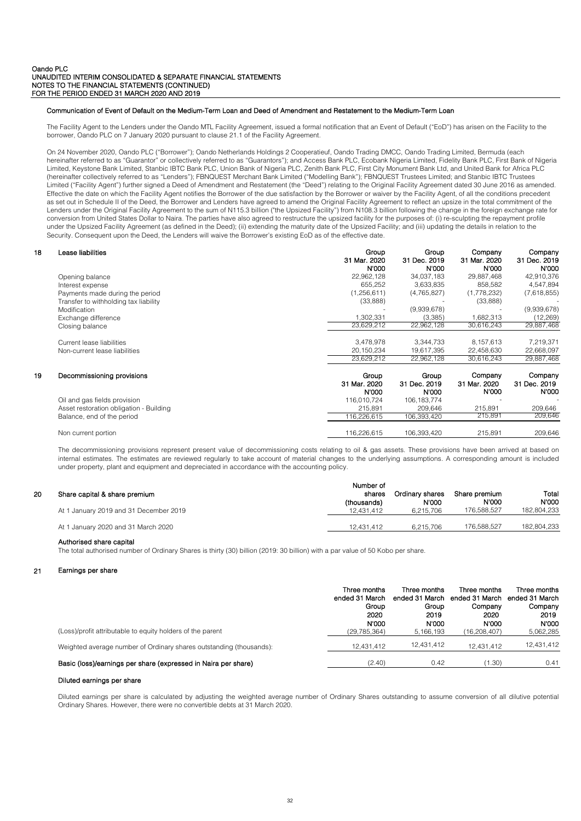# Communication of Event of Default on the Medium-Term Loan and Deed of Amendment and Restatement to the Medium-Term Loan

The Facility Agent to the Lenders under the Oando MTL Facility Agreement, issued a formal notification that an Event of Default ("EoD") has arisen on the Facility to the borrower, Oando PLC on 7 January 2020 pursuant to clause 21.1 of the Facility Agreement.

On 24 November 2020, Oando PLC ("Borrower"); Oando Netherlands Holdings 2 Cooperatieuf, Oando Trading DMCC, Oando Trading Limited, Bermuda (each hereinafter referred to as "Guarantor" or collectively referred to as "Guarantors"); and Access Bank PLC, Ecobank Nigeria Limited, Fidelity Bank PLC, First Bank of Nigeria Limited, Keystone Bank Limited, Stanbic IBTC Bank PLC, Union Bank of Nigeria PLC, Zenith Bank PLC, First City Monument Bank Ltd, and United Bank for Africa PLC (hereinafter collectively referred to as "Lenders"); FBNQUEST Merchant Bank Limited ("Modelling Bank"); FBNQUEST Trustees Limited; and Stanbic IBTC Trustees Limited ("Facility Agent") further signed a Deed of Amendment and Restatement (the "Deed") relating to the Original Facility Agreement dated 30 June 2016 as amended. Effective the date on which the Facility Agent notifies the Borrower of the due satisfaction by the Borrower or waiver by the Facility Agent, of all the conditions precedent as set out in Schedule II of the Deed, the Borrower and Lenders have agreed to amend the Original Facility Agreement to reflect an upsize in the total commitment of the Lenders under the Original Facility Agreement to the sum of N115.3 billion ("the Upsized Facility") from N108.3 billion following the change in the foreign exchange rate for conversion from United States Dollar to Naira. The parties have also agreed to restructure the upsized facility for the purposes of: (i) re-sculpting the repayment profile under the Upsized Facility Agreement (as defined in the Deed); (ii) extending the maturity date of the Upsized Facility; and (iii) updating the details in relation to the Security. Consequent upon the Deed, the Lenders will waive the Borrower's existing EoD as of the effective date.

| 18 | Lease liabilities                       | Group                 | Group                 | Company               | Company               |
|----|-----------------------------------------|-----------------------|-----------------------|-----------------------|-----------------------|
|    |                                         | 31 Mar. 2020<br>N'000 | 31 Dec. 2019<br>N'000 | 31 Mar. 2020<br>N'000 | 31 Dec. 2019<br>N'000 |
|    | Opening balance                         | 22,962,128            | 34,037,183            | 29,887,468            | 42,910,376            |
|    | Interest expense                        | 655.252               | 3.633.835             | 858.582               | 4,547,894             |
|    | Payments made during the period         | (1,256,611)           | (4,765,827)           | (1,778,232)           | (7,618,855)           |
|    | Transfer to withholding tax liability   | (33, 888)             |                       | (33,888)              |                       |
|    | Modification                            |                       | (9,939,678)           |                       | (9,939,678)           |
|    | Exchange difference                     | 1,302,331             | (3,385)               | 1,682,313             | (12, 269)             |
|    | Closing balance                         | 23,629,212            | 22,962,128            | 30,616,243            | 29,887,468            |
|    | Current lease liabilities               | 3,478,978             | 3,344,733             | 8,157,613             | 7,219,371             |
|    | Non-current lease liabilities           | 20, 150, 234          | 19,617,395            | 22,458,630            | 22,668,097            |
|    |                                         | 23,629,212            | 22,962,128            | 30,616,243            | 29,887,468            |
| 19 | Decommissioning provisions              | Group                 | Group                 | Company               | Company               |
|    |                                         | 31 Mar. 2020          | 31 Dec. 2019          | 31 Mar. 2020          | 31 Dec. 2019          |
|    |                                         | N'000                 | N'000                 | N'000                 | N'000                 |
|    | Oil and gas fields provision            | 116,010,724           | 106, 183, 774         |                       |                       |
|    | Asset restoration obligation - Building | 215,891               | 209,646               | 215,891               | 209,646               |
|    | Balance, end of the period              | 116,226,615           | 106,393,420           | 215,891               | 209,646               |
|    | Non current portion                     | 116,226,615           | 106,393,420           | 215,891               | 209,646               |

The decommissioning provisions represent present value of decommissioning costs relating to oil & gas assets. These provisions have been arrived at based on internal estimates. The estimates are reviewed regularly to take account of material changes to the underlying assumptions. A corresponding amount is included under property, plant and equipment and depreciated in accordance with the accounting policy.

| Share capital & share premium          | Number of<br>shares       | Ordinary shares    | Share premium        | Total                |
|----------------------------------------|---------------------------|--------------------|----------------------|----------------------|
| At 1 January 2019 and 31 December 2019 | (thousands)<br>12.431.412 | N'000<br>6.215.706 | N'000<br>176.588.527 | N'000<br>182.804.233 |
| At 1 January 2020 and 31 March 2020    | 12.431.412                | 6.215.706          | 176.588.527          | 182.804.233          |

### Authorised share capital

The total authorised number of Ordinary Shares is thirty (30) billion (2019: 30 billion) with a par value of 50 Kobo per share.

# 21 Earnings per share

| (Loss)/profit attributable to equity holders of the parent          | Three months<br>ended 31 March<br>Group<br>2020<br>N'000<br>(29, 785, 364) | Three months<br>ended 31 March<br>Group<br>2019<br>N'000<br>5,166,193 | Three months<br>Company<br>2020<br><b>N'000</b><br>(16.208.407) | Three months<br>ended 31 March ended 31 March<br>Company<br>2019<br>N 000<br>5,062,285 |
|---------------------------------------------------------------------|----------------------------------------------------------------------------|-----------------------------------------------------------------------|-----------------------------------------------------------------|----------------------------------------------------------------------------------------|
| Weighted average number of Ordinary shares outstanding (thousands): | 12,431,412                                                                 | 12,431,412                                                            | 12.431.412                                                      | 12,431,412                                                                             |
| Basic (loss)/earnings per share (expressed in Naira per share)      | (2.40)                                                                     | 0.42                                                                  | 1.30)                                                           | 0.41                                                                                   |

# Diluted earnings per share

Diluted earnings per share is calculated by adjusting the weighted average number of Ordinary Shares outstanding to assume conversion of all dilutive potential Ordinary Shares. However, there were no convertible debts at 31 March 2020.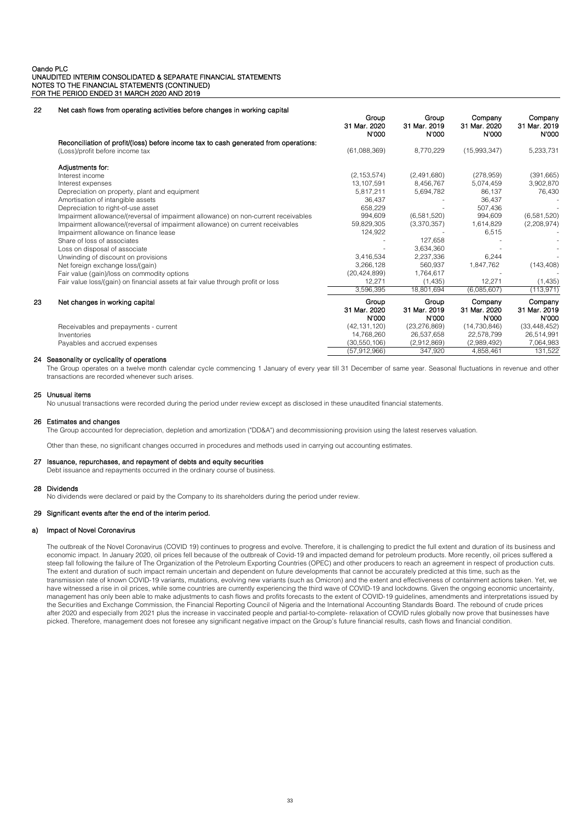# 22 Net cash flows from operating activities before changes in working capital

|    |                                                                                                                         | Group<br>31 Mar. 2020<br>N'000 | Group<br>31 Mar. 2019<br>N'000 | Company<br>31 Mar. 2020<br>N'000 | Company<br>31 Mar. 2019<br>N'000 |
|----|-------------------------------------------------------------------------------------------------------------------------|--------------------------------|--------------------------------|----------------------------------|----------------------------------|
|    | Reconciliation of profit/(loss) before income tax to cash generated from operations:<br>(Loss)/profit before income tax | (61,088,369)                   | 8,770,229                      | (15,993,347)                     | 5,233,731                        |
|    |                                                                                                                         |                                |                                |                                  |                                  |
|    | Adjustments for:                                                                                                        |                                |                                |                                  |                                  |
|    | Interest income                                                                                                         | (2, 153, 574)                  | (2,491,680)                    | (278,959)                        | (391, 665)                       |
|    | Interest expenses                                                                                                       | 13, 107, 591                   | 8,456,767                      | 5,074,459                        | 3,902,870                        |
|    | Depreciation on property, plant and equipment                                                                           | 5,817,211                      | 5,694,782                      | 86,137                           | 76,430                           |
|    | Amortisation of intangible assets                                                                                       | 36.437                         |                                | 36.437                           |                                  |
|    | Depreciation to right-of-use asset                                                                                      | 658,229                        |                                | 507.436                          |                                  |
|    | Impairment allowance/(reversal of impairment allowance) on non-current receivables                                      | 994,609                        | (6,581,520)                    | 994,609                          | (6,581,520)                      |
|    | Impairment allowance/(reversal of impairment allowance) on current receivables                                          | 59,829,305                     | (3,370,357)                    | 1,614,829                        | (2,208,974)                      |
|    | Impairment allowance on finance lease                                                                                   | 124,922                        |                                | 6,515                            |                                  |
|    | Share of loss of associates                                                                                             |                                | 127,658                        |                                  |                                  |
|    | Loss on disposal of associate                                                                                           |                                | 3,634,360                      |                                  |                                  |
|    | Unwinding of discount on provisions                                                                                     | 3.416.534                      | 2,237,336                      | 6.244                            |                                  |
|    | Net foreign exchange loss/(gain)                                                                                        | 3.266.128                      | 560.937                        | 1,847,762                        | (143, 408)                       |
|    | Fair value (gain)/loss on commodity options                                                                             | (20, 424, 899)                 | 1,764,617                      |                                  |                                  |
|    | Fair value loss/(gain) on financial assets at fair value through profit or loss                                         | 12,271                         | (1, 435)                       | 12,271                           | (1, 435)                         |
|    |                                                                                                                         | 3,596,395                      | 18.801.694                     | (6,085,607)                      | (113, 971)                       |
| 23 | Net changes in working capital                                                                                          | Group                          | Group                          | Company                          | Company                          |
|    |                                                                                                                         | 31 Mar. 2020                   | 31 Mar. 2019                   | 31 Mar. 2020                     | 31 Mar. 2019                     |
|    |                                                                                                                         | N'000                          | N'000                          | N'000                            | N'000                            |
|    | Receivables and prepayments - current                                                                                   | (42, 131, 120)                 | (23, 276, 869)                 | (14, 730, 846)                   | (33, 448, 452)                   |
|    | Inventories                                                                                                             | 14,768,260                     | 26,537,658                     | 22,578,799                       | 26,514,991                       |
|    | Payables and accrued expenses                                                                                           | (30, 550, 106)                 | (2,912,869)                    | (2,989,492)                      | 7,064,983                        |
|    |                                                                                                                         | (57, 912, 966)                 | 347.920                        | 4.858.461                        | 131,522                          |

# 24 Seasonality or cyclicality of operations

The Group operates on a twelve month calendar cycle commencing 1 January of every year till 31 December of same year. Seasonal fluctuations in revenue and other transactions are recorded whenever such arises.

# 25 Unusual items

No unusual transactions were recorded during the period under review except as disclosed in these unaudited financial statements.

# 26 Estimates and changes

The Group accounted for depreciation, depletion and amortization ("DD&A") and decommissioning provision using the latest reserves valuation.

Other than these, no significant changes occurred in procedures and methods used in carrying out accounting estimates.

### 27 Issuance, repurchases, and repayment of debts and equity securities

Debt issuance and repayments occurred in the ordinary course of business.

# 28 Dividends

No dividends were declared or paid by the Company to its shareholders during the period under review.

### 29 Significant events after the end of the interim period.

### a) Impact of Novel Coronavirus

The outbreak of the Novel Coronavirus (COVID 19) continues to progress and evolve. Therefore, it is challenging to predict the full extent and duration of its business and economic impact. In January 2020, oil prices fell because of the outbreak of Covid-19 and impacted demand for petroleum products. More recently, oil prices suffered a steep fall following the failure of The Organization of the Petroleum Exporting Countries (OPEC) and other producers to reach an agreement in respect of production cuts. The extent and duration of such impact remain uncertain and dependent on future developments that cannot be accurately predicted at this time, such as the transmission rate of known COVID-19 variants, mutations, evolving new variants (such as Omicron) and the extent and effectiveness of containment actions taken. Yet, we have witnessed a rise in oil prices, while some countries are currently experiencing the third wave of COVID-19 and lockdowns. Given the ongoing economic uncertainty, management has only been able to make adjustments to cash flows and profits forecasts to the extent of COVID-19 guidelines, amendments and interpretations issued by the Securities and Exchange Commission, the Financial Reporting Council of Nigeria and the International Accounting Standards Board. The rebound of crude prices after 2020 and especially from 2021 plus the increase in vaccinated people and partial-to-complete- relaxation of COVID rules globally now prove that businesses have picked. Therefore, management does not foresee any significant negative impact on the Group's future financial results, cash flows and financial condition.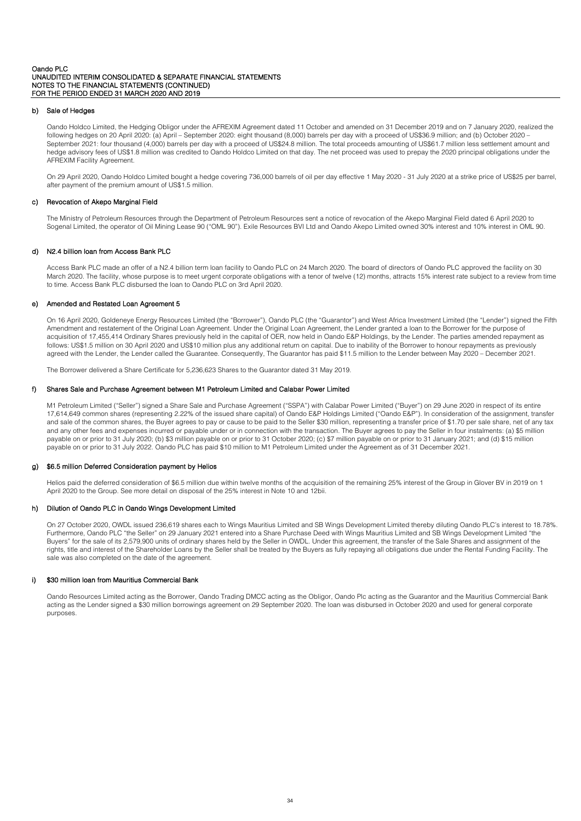# b) Sale of Hedges

Oando Holdco Limited, the Hedging Obligor under the AFREXIM Agreement dated 11 October and amended on 31 December 2019 and on 7 January 2020, realized the following hedges on 20 April 2020: (a) April – September 2020: eight thousand (8,000) barrels per day with a proceed of US\$36.9 million; and (b) October 2020 – September 2021: four thousand (4,000) barrels per day with a proceed of US\$24.8 million. The total proceeds amounting of US\$61.7 million less settlement amount and hedge advisory fees of US\$1.8 million was credited to Oando Holdco Limited on that day. The net proceed was used to prepay the 2020 principal obligations under the AFREXIM Facility Agreement.

On 29 April 2020, Oando Holdco Limited bought a hedge covering 736,000 barrels of oil per day effective 1 May 2020 - 31 July 2020 at a strike price of US\$25 per barrel, after payment of the premium amount of US\$1.5 million.

# c) Revocation of Akepo Marginal Field

The Ministry of Petroleum Resources through the Department of Petroleum Resources sent a notice of revocation of the Akepo Marginal Field dated 6 April 2020 to Sogenal Limited, the operator of Oil Mining Lease 90 ("OML 90"). Exile Resources BVI Ltd and Oando Akepo Limited owned 30% interest and 10% interest in OML 90.

# d) N2.4 billion loan from Access Bank PLC

Access Bank PLC made an offer of a N2.4 billion term loan facility to Oando PLC on 24 March 2020. The board of directors of Oando PLC approved the facility on 30 March 2020. The facility, whose purpose is to meet urgent corporate obligations with a tenor of twelve (12) months, attracts 15% interest rate subject to a review from time to time. Access Bank PLC disbursed the loan to Oando PLC on 3rd April 2020.

# e) Amended and Restated Loan Agreement 5

On 16 April 2020, Goldeneye Energy Resources Limited (the "Borrower"), Oando PLC (the "Guarantor") and West Africa Investment Limited (the "Lender") signed the Fifth Amendment and restatement of the Original Loan Agreement. Under the Original Loan Agreement, the Lender granted a loan to the Borrower for the purpose of acquisition of 17,455,414 Ordinary Shares previously held in the capital of OER, now held in Oando E&P Holdings, by the Lender. The parties amended repayment as follows: US\$1.5 million on 30 April 2020 and US\$10 million plus any additional return on capital. Due to inability of the Borrower to honour repayments as previously agreed with the Lender, the Lender called the Guarantee. Consequently, The Guarantor has paid \$11.5 million to the Lender between May 2020 – December 2021.

The Borrower delivered a Share Certificate for 5,236,623 Shares to the Guarantor dated 31 May 2019.

### f) Shares Sale and Purchase Agreement between M1 Petroleum Limited and Calabar Power Limited

M1 Petroleum Limited ("Seller") signed a Share Sale and Purchase Agreement ("SSPA") with Calabar Power Limited ("Buyer") on 29 June 2020 in respect of its entire 17,614,649 common shares (representing 2.22% of the issued share capital) of Oando E&P Holdings Limited ("Oando E&P"). In consideration of the assignment, transfer and sale of the common shares, the Buyer agrees to pay or cause to be paid to the Seller \$30 million, representing a transfer price of \$1.70 per sale share, net of any tax and any other fees and expenses incurred or payable under or in connection with the transaction. The Buyer agrees to pay the Seller in four instalments: (a) \$5 million payable on or prior to 31 July 2020; (b) \$3 million payable on or prior to 31 October 2020; (c) \$7 million payable on or prior to 31 January 2021; and (d) \$15 million payable on or prior to 31 July 2022. Oando PLC has paid \$10 million to M1 Petroleum Limited under the Agreement as of 31 December 2021.

# g) \$6.5 million Deferred Consideration payment by Helios

Helios paid the deferred consideration of \$6.5 million due within twelve months of the acquisition of the remaining 25% interest of the Group in Glover BV in 2019 on 1 April 2020 to the Group. See more detail on disposal of the 25% interest in Note 10 and 12bii.

# h) Dilution of Oando PLC in Oando Wings Development Limited

On 27 October 2020, OWDL issued 236,619 shares each to Wings Mauritius Limited and SB Wings Development Limited thereby diluting Oando PLC's interest to 18.78%. Furthermore, Oando PLC "the Seller" on 29 January 2021 entered into a Share Purchase Deed with Wings Mauritius Limited and SB Wings Development Limited "the Buyers" for the sale of its 2,579,900 units of ordinary shares held by the Seller in OWDL. Under this agreement, the transfer of the Sale Shares and assignment of the rights, title and interest of the Shareholder Loans by the Seller shall be treated by the Buyers as fully repaying all obligations due under the Rental Funding Facility. The sale was also completed on the date of the agreement

### i) \$30 million loan from Mauritius Commercial Bank

Oando Resources Limited acting as the Borrower, Oando Trading DMCC acting as the Obligor, Oando Plc acting as the Guarantor and the Mauritius Commercial Bank acting as the Lender signed a \$30 million borrowings agreement on 29 September 2020. The loan was disbursed in October 2020 and used for general corporate purposes.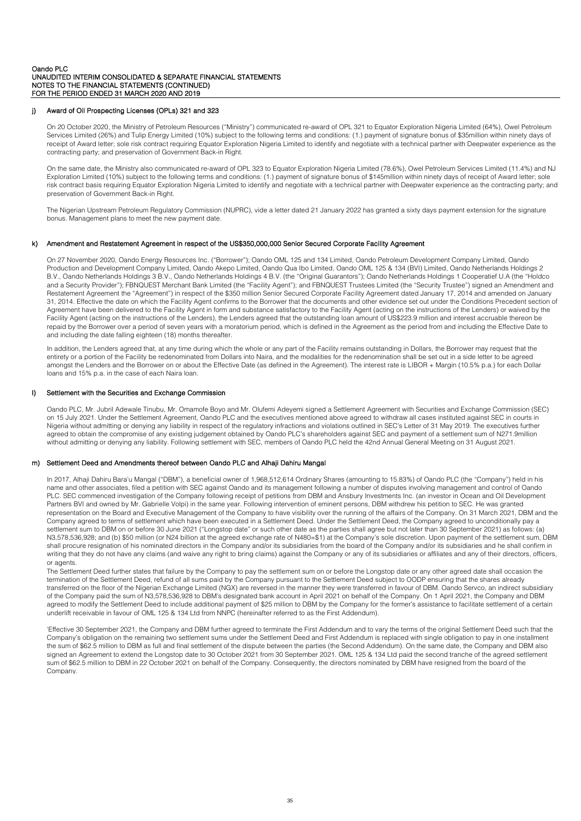### j) Award of Oil Prospecting Licenses (OPLs) 321 and 323

On 20 October 2020, the Ministry of Petroleum Resources ("Ministry") communicated re-award of OPL 321 to Equator Exploration Nigeria Limited (64%), Owel Petroleum Services Limited (26%) and Tulip Energy Limited (10%) subject to the following terms and conditions: (1.) payment of signature bonus of \$35million within ninety days of receipt of Award letter; sole risk contract requiring Equator Exploration Nigeria Limited to identify and negotiate with a technical partner with Deepwater experience as the contracting party; and preservation of Government Back-in Right.

On the same date, the Ministry also communicated re-award of OPL 323 to Equator Exploration Nigeria Limited (78.6%), Owel Petroleum Services Limited (11.4%) and NJ Exploration Limited (10%) subject to the following terms and conditions: (1.) payment of signature bonus of \$145million within ninety days of receipt of Award letter; sole risk contract basis requiring Equator Exploration Nigeria Limited to identify and negotiate with a technical partner with Deepwater experience as the contracting party; and preservation of Government Back-in Right.

The Nigerian Upstream Petroleum Regulatory Commission (NUPRC), vide a letter dated 21 January 2022 has granted a sixty days payment extension for the signature bonus. Management plans to meet the new payment date.

# k) Amendment and Restatement Agreement in respect of the US\$350,000,000 Senior Secured Corporate Facility Agreement

On 27 November 2020, Oando Energy Resources Inc. ("Borrower"); Oando OML 125 and 134 Limited, Oando Petroleum Development Company Limited, Oando Production and Development Company Limited, Oando Akepo Limited, Oando Qua Ibo Limited, Oando OML 125 & 134 (BVI) Limited, Oando Netherlands Holdings 2 B.V., Oando Netherlands Holdings 3 B.V., Oando Netherlands Holdings 4 B.V. (the "Original Guarantors"); Oando Netherlands Holdings 1 Cooperatief U.A (the "Holdco and a Security Provider"); FBNQUEST Merchant Bank Limited (the "Facility Agent"); and FBNQUEST Trustees Limited (the "Security Trustee") signed an Amendment and Restatement Agreement the "Agreement") in respect of the \$350 million Senior Secured Corporate Facility Agreement dated January 17, 2014 and amended on January 31, 2014. Effective the date on which the Facility Agent confirms to the Borrower that the documents and other evidence set out under the Conditions Precedent section of Agreement have been delivered to the Facility Agent in form and substance satisfactory to the Facility Agent (acting on the instructions of the Lenders) or waived by the Facility Agent (acting on the instructions of the Lenders), the Lenders agreed that the outstanding loan amount of US\$223.9 million and interest accruable thereon be repaid by the Borrower over a period of seven years with a moratorium period, which is defined in the Agreement as the period from and including the Effective Date to and including the date falling eighteen (18) months thereafter

In addition, the Lenders agreed that, at any time during which the whole or any part of the Facility remains outstanding in Dollars, the Borrower may request that the entirety or a portion of the Facility be redenominated from Dollars into Naira, and the modalities for the redenomination shall be set out in a side letter to be agreed amongst the Lenders and the Borrower on or about the Effective Date (as defined in the Agreement). The interest rate is LIBOR + Margin (10.5% p.a.) for each Dollar loans and 15% p.a. in the case of each Naira loan.

### l) Settlement with the Securities and Exchange Commission

Oando PLC, Mr. Jubril Adewale Tinubu, Mr. Omamofe Boyo and Mr. Olufemi Adeyemi signed a Settlement Agreement with Securities and Exchange Commission (SEC) on 15 July 2021. Under the Settlement Agreement, Oando PLC and the executives mentioned above agreed to withdraw all cases instituted against SEC in courts in Nigeria without admitting or denying any liability in respect of the regulatory infractions and violations outlined in SEC's Letter of 31 May 2019. The executives further agreed to obtain the compromise of any existing judgement obtained by Oando PLC's shareholders against SEC and payment of a settlement sum of N271.9million without admitting or denying any liability. Following settlement with SEC, members of Oando PLC held the 42nd Annual General Meeting on 31 August 2021.

# m) Settlement Deed and Amendments thereof between Oando PLC and Alhaji Dahiru Mangal

In 2017, Alhaji Dahiru Bara'u Mangal ("DBM"), a beneficial owner of 1,968,512,614 Ordinary Shares (amounting to 15.83%) of Oando PLC (the "Company") held in his name and other associates, filed a petition with SEC against Oando and its management following a number of disputes involving management and control of Oando PLC. SEC commenced investigation of the Company following receipt of petitions from DBM and Ansbury Investments Inc. (an investor in Ocean and Oil Development Partners BVI and owned by Mr. Gabrielle Volpi) in the same year. Following intervention of eminent persons, DBM withdrew his petition to SEC. He was granted representation on the Board and Executive Management of the Company to have visibility over the running of the affairs of the Company. On 31 March 2021, DBM and the Company agreed to terms of settlement which have been executed in a Settlement Deed. Under the Settlement Deed, the Company agreed to unconditionally pay a settlement sum to DBM on or before 30 June 2021 ("Longstop date" or such other date as the parties shall agree but not later than 30 September 2021) as follows: (a) N3,578,536,928; and (b) \$50 million (or N24 billion at the agreed exchange rate of N480=\$1) at the Company's sole discretion. Upon payment of the settlement sum, DBM shall procure resignation of his nominated directors in the Company and/or its subsidiaries from the board of the Company and/or its subsidiaries and he shall confirm in writing that they do not have any claims (and waive any right to bring claims) against the Company or any of its subsidiaries or affiliates and any of their directors, officers, or agents.

The Settlement Deed further states that failure by the Company to pay the settlement sum on or before the Longstop date or any other agreed date shall occasion the termination of the Settlement Deed, refund of all sums paid by the Company pursuant to the Settlement Deed subject to OODP ensuring that the shares already transferred on the floor of the Nigerian Exchange Limited (NGX) are reversed in the manner they were transferred in favour of DBM. Oando Servco, an indirect subsidiary of the Company paid the sum of N3,578,536,928 to DBM's designated bank account in April 2021 on behalf of the Company. On 1 April 2021, the Company and DBM agreed to modify the Settlement Deed to include additional payment of \$25 million to DBM by the Company for the former's assistance to facilitate settlement of a certain underlift receivable in favour of OML 125 & 134 Ltd from NNPC (hereinafter referred to as the First Addendum).

'Effective 30 September 2021, the Company and DBM further agreed to terminate the First Addendum and to vary the terms of the original Settlement Deed such that the Company's obligation on the remaining two settlement sums under the Settlement Deed and First Addendum is replaced with single obligation to pay in one installment the sum of \$62.5 million to DBM as full and final settlement of the dispute between the parties (the Second Addendum). On the same date, the Company and DBM also signed an Agreement to extend the Longstop date to 30 October 2021 from 30 September 2021. OML 125 & 134 Ltd paid the second tranche of the agreed settlement sum of \$62.5 million to DBM in 22 October 2021 on behalf of the Company. Consequently, the directors nominated by DBM have resigned from the board of the Company.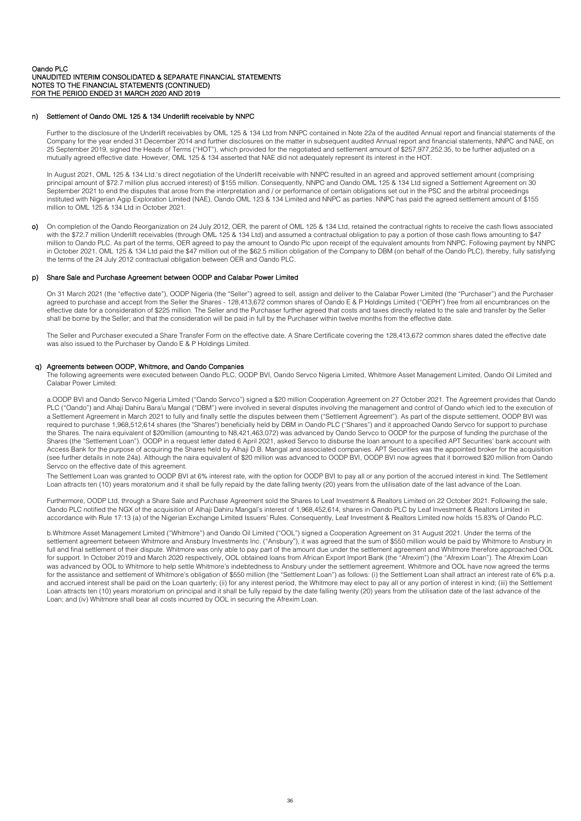# n) Settlement of Oando OML 125 & 134 Underlift receivable by NNPC

Further to the disclosure of the Underlift receivables by OML 125 & 134 Ltd from NNPC contained in Note 22a of the audited Annual report and financial statements of the Company for the year ended 31 December 2014 and further disclosures on the matter in subsequent audited Annual report and financial statements, NNPC and NAE, on 25 September 2019, signed the Heads of Terms ("HOT"), which provided for the negotiated and settlement amount of \$257,977,252.35, to be further adjusted on a mutually agreed effective date. However, OML 125 & 134 asserted that NAE did not adequately represent its interest in the HOT.

In August 2021, OML 125 & 134 Ltd.'s direct negotiation of the Underlift receivable with NNPC resulted in an agreed and approved settlement amount (comprising principal amount of \$72.7 million plus accrued interest) of \$155 million. Consequently, NNPC and Oando OML 125 & 134 Ltd signed a Settlement Agreement on 30 September 2021 to end the disputes that arose from the interpretation and / or performance of certain obligations set out in the PSC and the arbitral proceedings instituted with Nigerian Agip Exploration Limited (NAE), Oando OML 123 & 134 Limited and NNPC as parties. NNPC has paid the agreed settlement amount of \$155 million to OML 125 & 134 Ltd in October 2021.

o) On completion of the Oando Reorganization on 24 July 2012, OER, the parent of OML 125 & 134 Ltd, retained the contractual rights to receive the cash flows associated with the \$72.7 million Underlift receivables (through OML 125 & 134 Ltd) and assumed a contractual obligation to pay a portion of those cash flows amounting to \$47 million to Oando PLC. As part of the terms, OER agreed to pay the amount to Oando Plc upon receipt of the equivalent amounts from NNPC. Following payment by NNPC in October 2021, OML 125 & 134 Ltd paid the \$47 million out of the \$62.5 million obligation of the Company to DBM (on behalf of the Oando PLC), thereby, fully satisfying the terms of the 24 July 2012 contractual obligation between OER and Oando PLC.

### p) Share Sale and Purchase Agreement between OODP and Calabar Power Limited

On 31 March 2021 (the "effective date"), OODP Nigeria (the "Seller") agreed to sell, assign and deliver to the Calabar Power Limited (the "Purchaser") and the Purchaser agreed to purchase and accept from the Seller the Shares - 128,413,672 common shares of Oando E & P Holdings Limited ("OEPH") free from all encumbrances on the effective date for a consideration of \$225 million. The Seller and the Purchaser further agreed that costs and taxes directly related to the sale and transfer by the Seller shall be borne by the Seller; and that the consideration will be paid in full by the Purchaser within twelve months from the effective date.

The Seller and Purchaser executed a Share Transfer Form on the effective date. A Share Certificate covering the 128,413,672 common shares dated the effective date was also issued to the Purchaser by Oando E & P Holdings Limited.

# q) Agreements between OODP, Whitmore, and Oando Companies

The following agreements were executed between Oando PLC, OODP BVI, Oando Servco Nigeria Limited, Whitmore Asset Management Limited, Oando Oil Limited and Calabar Power Limited:

a.OODP BVI and Oando Servco Nigeria Limited ("Oando Servco") signed a \$20 million Cooperation Agreement on 27 October 2021. The Agreement provides that Oando PLC ("Oando") and Alhaji Dahiru Bara'u Mangal ("DBM") were involved in several disputes involving the management and control of Oando which led to the execution of a Settlement Agreement in March 2021 to fully and finally settle the disputes between them ("Settlement Agreement"). As part of the dispute settlement, OODP BVI was required to purchase 1,968,512,614 shares (the "Shares") beneficially held by DBM in Oando PLC ("Shares") and it approached Oando Servco for support to purchase the Shares. The naira equivalent of \$20million (amounting to N8,421,463,072) was advanced by Oando Servco to OODP for the purpose of funding the purchase of the Shares (the "Settlement Loan"). OODP in a request letter dated 6 April 2021, asked Servco to disburse the loan amount to a specified APT Securities' bank account with Access Bank for the purpose of acquiring the Shares held by Alhaji D.B. Mangal and associated companies. APT Securities was the appointed broker for the acquisition (see further details in note 24a). Although the naira equivalent of \$20 million was advanced to OODP BVI, OODP BVI now agrees that it borrowed \$20 million from Oando Servco on the effective date of this agreement.

The Settlement Loan was granted to OODP BVI at 6% interest rate, with the option for OODP BVI to pay all or any portion of the accrued interest in kind. The Settlement Loan attracts ten (10) years moratorium and it shall be fully repaid by the date falling twenty (20) years from the utilisation date of the last advance of the Loan.

Furthermore, OODP Ltd, through a Share Sale and Purchase Agreement sold the Shares to Leaf Investment & Realtors Limited on 22 October 2021. Following the sale, Oando PLC notified the NGX of the acquisition of Alhaji Dahiru Mangal's interest of 1,968,452,614, shares in Oando PLC by Leaf Investment & Realtors Limited in accordance with Rule 17:13 (a) of the Nigerian Exchange Limited Issuers' Rules. Consequently, Leaf Investment & Realtors Limited now holds 15.83% of Oando PLC.

b. Whitmore Asset Management Limited ("Whitmore") and Oando Oil Limited ("OOL") signed a Cooperation Agreement on 31 August 2021. Under the terms of the settlement agreement between Whitmore and Ansbury Investments Inc. ("Ansbury"), it was agreed that the sum of \$550 million would be paid by Whitmore to Ansbury in full and final settlement of their dispute. Whitmore was only able to pay part of the amount due under the settlement agreement and Whitmore therefore approached OOL for support. In October 2019 and March 2020 respectively, OOL obtained loans from African Export Import Bank (the "Afrexim") (the "Afrexim Loan"). The Afrexim Loan was advanced by OOL to Whitmore to help settle Whitmore's indebtedness to Ansbury under the settlement agreement. Whitmore and OOL have now agreed the terms for the assistance and settlement of Whitmore's obligation of \$550 million (the "Settlement Loan") as follows: (i) the Settlement Loan shall attract an interest rate of 6% p.a. and accrued interest shall be paid on the Loan quarterly; (ii) for any interest period, the Whitmore may elect to pay all or any portion of interest in kind; (iii) the Settlement Loan attracts ten (10) years moratorium on principal and it shall be fully repaid by the date falling twenty (20) years from the utilisation date of the last advance of the Loan; and (iv) Whitmore shall bear all costs incurred by OOL in securing the Afrexim Loan.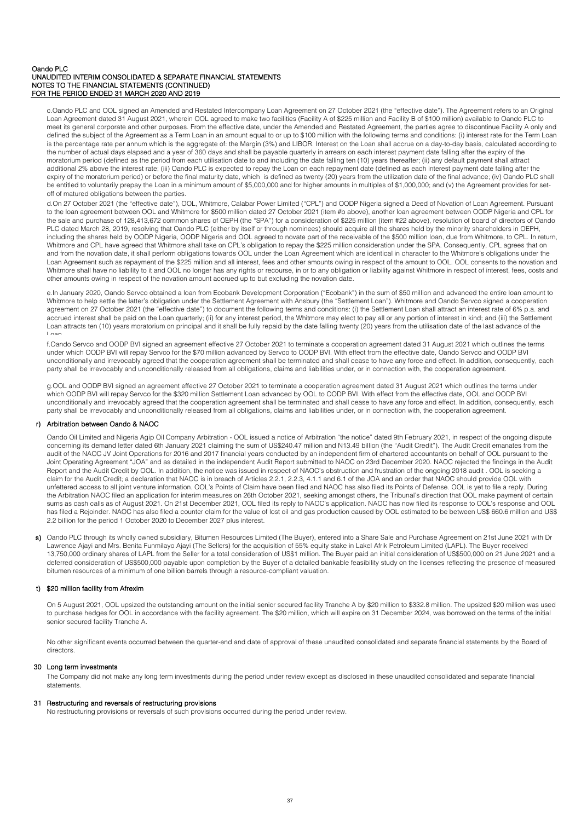c. Oando PLC and OOL signed an Amended and Restated Intercompany Loan Agreement on 27 October 2021 (the "effective date"). The Agreement refers to an Original Loan Agreement dated 31 August 2021, wherein OOL agreed to make two facilities (Facility A of \$225 million and Facility B of \$100 million) available to Oando PLC to meet its general corporate and other purposes. From the effective date, under the Amended and Restated Agreement, the parties agree to discontinue Facility A only and defined the subject of the Agreement as a Term Loan in an amount equal to or up to \$100 million with the following terms and conditions: (i) interest rate for the Term Loan is the percentage rate per annum which is the aggregate of: the Margin (3%) and LIBOR. Interest on the Loan shall accrue on a day-to-day basis, calculated according to the number of actual days elapsed and a year of 360 days and shall be payable quarterly in arrears on each interest payment date falling after the expiry of the moratorium period (defined as the period from each utilisation date to and including the date falling ten (10) years thereafter; (ii) any default payment shall attract additional 2% above the interest rate; (iii) Oando PLC is expected to repay the Loan on each repayment date (defined as each interest payment date falling after the expiry of the moratorium period) or before the final maturity date, which is defined as twenty (20) years from the utilization date of the final advance; (iv) Oando PLC shall be entitled to voluntarily prepay the Loan in a minimum amount of \$5,000,000 and for higher amounts in multiples of \$1,000,000; and (v) the Agreement provides for setoff of matured obligations between the parties.

d. On 27 October 2021 (the "effective date"), OOL, Whitmore, Calabar Power Limited ("CPL") and OODP Nigeria signed a Deed of Novation of Loan Agreement. Pursuant to the loan agreement between OOL and Whitmore for \$500 million dated 27 October 2021 (item #b above), another loan agreement between OODP Nigeria and CPL for the sale and purchase of 128,413,672 common shares of OEPH (the "SPA") for a consideration of \$225 million (item #22 above), resolution of board of directors of Oando PLC dated March 28, 2019, resolving that Oando PLC (either by itself or through nominees) should acquire all the shares held by the minority shareholders in OEPH, including the shares held by OODP Nigeria, OODP Nigeria and OOL agreed to novate part of the receivable of the \$500 million loan, due from Whitmore, to CPL. In return, Whitmore and CPL have agreed that Whitmore shall take on CPL's obligation to repay the \$225 million consideration under the SPA. Consequently, CPL agrees that on and from the novation date, it shall perform obligations towards OOL under the Loan Agreement which are identical in character to the Whitmore's obligations under the Loan Agreement such as repayment of the \$225 million and all interest, fees and other amounts owing in respect of the amount to OOL. OOL consents to the novation and Whitmore shall have no liability to it and OOL no longer has any rights or recourse, in or to any obligation or liability against Whitmore in respect of interest, fees, costs and other amounts owing in respect of the novation amount accrued up to but excluding the novation date.

e. In January 2020, Oando Servco obtained a loan from Ecobank Development Corporation ("Ecobank") in the sum of \$50 million and advanced the entire loan amount to Whitmore to help settle the latter's obligation under the Settlement Agreement with Ansbury (the "Settlement Loan"). Whitmore and Oando Servco signed a cooperation agreement on 27 October 2021 (the "effective date") to document the following terms and conditions: (i) the Settlement Loan shall attract an interest rate of 6% p.a. and accrued interest shall be paid on the Loan quarterly; (ii) for any interest period, the Whitmore may elect to pay all or any portion of interest in kind; and (iii) the Settlement Loan attracts ten (10) years moratorium on principal and it shall be fully repaid by the date falling twenty (20) years from the utilisation date of the last advance of the Loan.

f. Oando Servco and OODP BVI signed an agreement effective 27 October 2021 to terminate a cooperation agreement dated 31 August 2021 which outlines the terms under which OODP BVI will repay Servco for the \$70 million advanced by Servco to OODP BVI. With effect from the effective date, Oando Servco and OODP BVI unconditionally and irrevocably agreed that the cooperation agreement shall be terminated and shall cease to have any force and effect. In addition, consequently, each party shall be irrevocably and unconditionally released from all obligations, claims and liabilities under, or in connection with, the cooperation agreement.

g.OOL and OODP BVI signed an agreement effective 27 October 2021 to terminate a cooperation agreement dated 31 August 2021 which outlines the terms under which OODP BVI will repay Servco for the \$320 million Settlement Loan advanced by OOL to OODP BVI. With effect from the effective date, OOL and OODP BVI unconditionally and irrevocably agreed that the cooperation agreement shall be terminated and shall cease to have any force and effect. In addition, consequently, each party shall be irrevocably and unconditionally released from all obligations, claims and liabilities under, or in connection with, the cooperation agreement.

# r) Arbitration between Oando & NAOC

Oando Oil Limited and Nigeria Agip Oil Company Arbitration - OOL issued a notice of Arbitration "the notice" dated 9th February 2021, in respect of the ongoing dispute concerning its demand letter dated 6th January 2021 claiming the sum of US\$240.47 million and N13.49 billion (the "Audit Credit"). The Audit Credit emanates from the audit of the NAOC JV Joint Operations for 2016 and 2017 financial years conducted by an independent firm of chartered accountants on behalf of OOL pursuant to the Joint Operating Agreement "JOA" and as detailed in the independent Audit Report submitted to NAOC on 23rd December 2020. NAOC rejected the findings in the Audit Report and the Audit Credit by OOL. In addition, the notice was issued in respect of NAOC's obstruction and frustration of the ongoing 2018 audit . OOL is seeking a claim for the Audit Credit; a declaration that NAOC is in breach of Articles 2.2.1, 2.2.3, 4.1.1 and 6.1 of the JOA and an order that NAOC should provide OOL with unfettered access to all joint venture information. OOL's Points of Claim have been filed and NAOC has also filed its Points of Defense. OOL is yet to file a reply. During the Arbitration NAOC filed an application for interim measures on 26th October 2021, seeking amongst others, the Tribunal's direction that OOL make payment of certain sums as cash calls as of August 2021. On 21st December 2021, OOL filed its reply to NAOC's application. NAOC has now filed its response to OOL's response and OOL has filed a Rejoinder. NAOC has also filed a counter claim for the value of lost oil and gas production caused by OOL estimated to be between US\$ 660.6 million and US\$ 2.2 billion for the period 1 October 2020 to December 2027 plus interest.

s) Oando PLC through its wholly owned subsidiary, Bitumen Resources Limited (The Buyer), entered into a Share Sale and Purchase Agreement on 21st June 2021 with Dr Lawrence Ajayi and Mrs. Benita Funmilayo Ajayi (The Sellers) for the acquisition of 55% equity stake in Lakel Afrik Petroleum Limited (LAPL). The Buyer received 13,750,000 ordinary shares of LAPL from the Seller for a total consideration of US\$1 million. The Buyer paid an initial consideration of US\$500,000 on 21 June 2021 and a deferred consideration of US\$500,000 payable upon completion by the Buyer of a detailed bankable feasibility study on the licenses reflecting the presence of measured bitumen resources of a minimum of one billion barrels through a resource-compliant valuation.

# t) \$20 million facility from Afrexim

On 5 August 2021, OOL upsized the outstanding amount on the initial senior secured facility Tranche A by \$20 million to \$332.8 million. The upsized \$20 million was used to purchase hedges for OOL in accordance with the facility agreement. The \$20 million, which will expire on 31 December 2024, was borrowed on the terms of the initial senior secured facility Tranche A.

No other significant events occurred between the quarter-end and date of approval of these unaudited consolidated and separate financial statements by the Board of directors

# 30 Long term investments

The Company did not make any long term investments during the period under review except as disclosed in these unaudited consolidated and separate financial statements.

# 31 Restructuring and reversals of restructuring provisions

No restructuring provisions or reversals of such provisions occurred during the period under review.